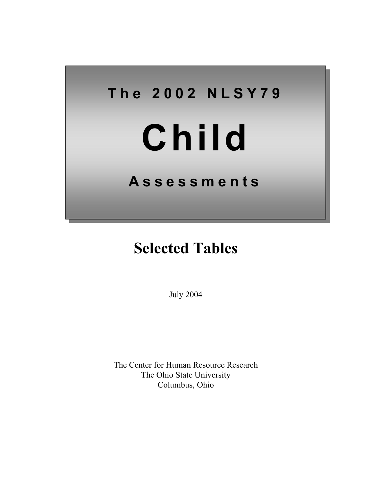

# **Selected Tables**

July 2004

The Center for Human Resource Research The Ohio State University Columbus, Ohio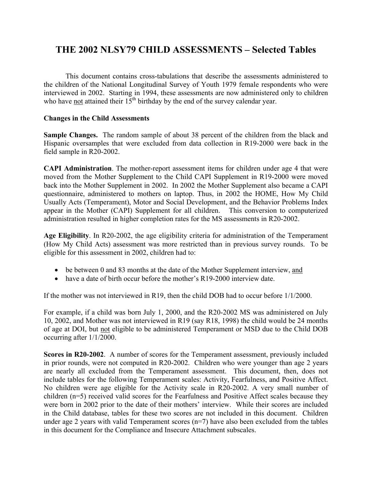## **THE 2002 NLSY79 CHILD ASSESSMENTS – Selected Tables**

 This document contains cross-tabulations that describe the assessments administered to the children of the National Longitudinal Survey of Youth 1979 female respondents who were interviewed in 2002. Starting in 1994, these assessments are now administered only to children who have not attained their  $15<sup>th</sup>$  birthday by the end of the survey calendar year.

#### **Changes in the Child Assessments**

**Sample Changes.** The random sample of about 38 percent of the children from the black and Hispanic oversamples that were excluded from data collection in R19-2000 were back in the field sample in R20-2002.

**CAPI Administration**. The mother-report assessment items for children under age 4 that were moved from the Mother Supplement to the Child CAPI Supplement in R19-2000 were moved back into the Mother Supplement in 2002. In 2002 the Mother Supplement also became a CAPI questionnaire, administered to mothers on laptop. Thus, in 2002 the HOME, How My Child Usually Acts (Temperament), Motor and Social Development, and the Behavior Problems Index appear in the Mother (CAPI) Supplement for all children. This conversion to computerized administration resulted in higher completion rates for the MS assessments in R20-2002.

**Age Eligibility**. In R20-2002, the age eligibility criteria for administration of the Temperament (How My Child Acts) assessment was more restricted than in previous survey rounds. To be eligible for this assessment in 2002, children had to:

- be between 0 and 83 months at the date of the Mother Supplement interview, and
- have a date of birth occur before the mother's R19-2000 interview date.

If the mother was not interviewed in R19, then the child DOB had to occur before 1/1/2000.

For example, if a child was born July 1, 2000, and the R20-2002 MS was administered on July 10, 2002, and Mother was not interviewed in R19 (say R18, 1998) the child would be 24 months of age at DOI, but not eligible to be administered Temperament or MSD due to the Child DOB occurring after 1/1/2000.

**Scores in R20-2002**. A number of scores for the Temperament assessment, previously included in prior rounds, were not computed in R20-2002. Children who were younger than age 2 years are nearly all excluded from the Temperament assessment. This document, then, does not include tables for the following Temperament scales: Activity, Fearfulness, and Positive Affect. No children were age eligible for the Activity scale in R20-2002. A very small number of children (n=5) received valid scores for the Fearfulness and Positive Affect scales because they were born in 2002 prior to the date of their mothers' interview. While their scores are included in the Child database, tables for these two scores are not included in this document. Children under age 2 years with valid Temperament scores  $(n=7)$  have also been excluded from the tables in this document for the Compliance and Insecure Attachment subscales.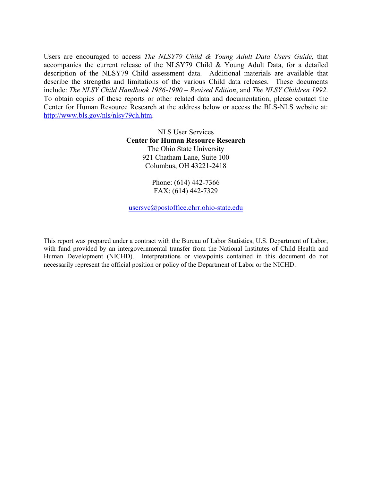Users are encouraged to access *The NLSY79 Child & Young Adult Data Users Guide*, that accompanies the current release of the NLSY79 Child & Young Adult Data, for a detailed description of the NLSY79 Child assessment data. Additional materials are available that describe the strengths and limitations of the various Child data releases. These documents include: *The NLSY Child Handbook 1986-1990 – Revised Edition*, and *The NLSY Children 1992*. To obtain copies of these reports or other related data and documentation, please contact the Center for Human Resource Research at the address below or access the BLS-NLS website at: <http://www.bls.gov/nls/nlsy79ch.htm>.

> NLS User Services **Center for Human Resource Research**  The Ohio State University 921 Chatham Lane, Suite 100 Columbus, OH 43221-2418

> > Phone: (614) 442-7366 FAX: (614) 442-7329

[usersvc@postoffice.chrr.ohio-state.edu](mailto:usersvc@postoffice.chrr.ohio-state.edu)

This report was prepared under a contract with the Bureau of Labor Statistics, U.S. Department of Labor, with fund provided by an intergovernmental transfer from the National Institutes of Child Health and Human Development (NICHD). Interpretations or viewpoints contained in this document do not necessarily represent the official position or policy of the Department of Labor or the NICHD.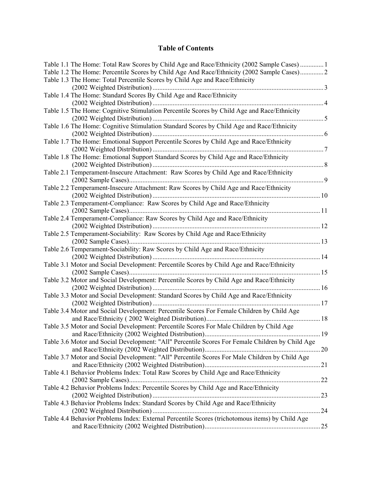#### **Table of Contents**

| Table 1.1 The Home: Total Raw Scores by Child Age and Race/Ethnicity (2002 Sample Cases) 1       |    |
|--------------------------------------------------------------------------------------------------|----|
| Table 1.2 The Home: Percentile Scores by Child Age And Race/Ethnicity (2002 Sample Cases)2       |    |
| Table 1.3 The Home: Total Percentile Scores by Child Age and Race/Ethnicity                      |    |
|                                                                                                  |    |
| Table 1.4 The Home: Standard Scores By Child Age and Race/Ethnicity                              |    |
|                                                                                                  |    |
| Table 1.5 The Home: Cognitive Stimulation Percentile Scores by Child Age and Race/Ethnicity      |    |
|                                                                                                  |    |
| Table 1.6 The Home: Cognitive Stimulation Standard Scores by Child Age and Race/Ethnicity        |    |
|                                                                                                  |    |
| Table 1.7 The Home: Emotional Support Percentile Scores by Child Age and Race/Ethnicity          |    |
|                                                                                                  |    |
| Table 1.8 The Home: Emotional Support Standard Scores by Child Age and Race/Ethnicity            |    |
|                                                                                                  |    |
| Table 2.1 Temperament-Insecure Attachment: Raw Scores by Child Age and Race/Ethnicity            |    |
|                                                                                                  |    |
| Table 2.2 Temperament-Insecure Attachment: Raw Scores by Child Age and Race/Ethnicity            |    |
|                                                                                                  |    |
| Table 2.3 Temperament-Compliance: Raw Scores by Child Age and Race/Ethnicity                     |    |
|                                                                                                  |    |
| Table 2.4 Temperament-Compliance: Raw Scores by Child Age and Race/Ethnicity                     |    |
|                                                                                                  |    |
| Table 2.5 Temperament-Sociability: Raw Scores by Child Age and Race/Ethnicity                    |    |
|                                                                                                  |    |
| Table 2.6 Temperament-Sociability: Raw Scores by Child Age and Race/Ethnicity                    |    |
|                                                                                                  |    |
| Table 3.1 Motor and Social Development: Percentile Scores by Child Age and Race/Ethnicity        |    |
|                                                                                                  |    |
| Table 3.2 Motor and Social Development: Percentile Scores by Child Age and Race/Ethnicity        |    |
|                                                                                                  |    |
| Table 3.3 Motor and Social Development: Standard Scores by Child Age and Race/Ethnicity          |    |
|                                                                                                  |    |
| Table 3.4 Motor and Social Development: Percentile Scores For Female Children by Child Age       |    |
|                                                                                                  |    |
| Table 3.5 Motor and Social Development: Percentile Scores For Male Children by Child Age         |    |
|                                                                                                  | 19 |
| Table 3.6 Motor and Social Development: "All" Percentile Scores For Female Children by Child Age |    |
|                                                                                                  |    |
| Table 3.7 Motor and Social Development: "All" Percentile Scores For Male Children by Child Age   |    |
|                                                                                                  |    |
| Table 4.1 Behavior Problems Index: Total Raw Scores by Child Age and Race/Ethnicity              |    |
|                                                                                                  |    |
| Table 4.2 Behavior Problems Index: Percentile Scores by Child Age and Race/Ethnicity             |    |
|                                                                                                  |    |
| Table 4.3 Behavior Problems Index: Standard Scores by Child Age and Race/Ethnicity               |    |
|                                                                                                  |    |
| Table 4.4 Behavior Problems Index: External Percentile Scores (trichotomous items) by Child Age  |    |
|                                                                                                  |    |
|                                                                                                  |    |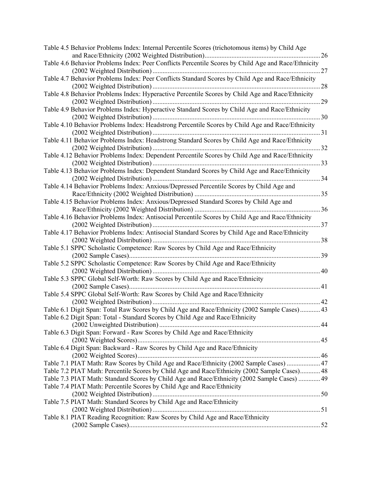| Table 4.5 Behavior Problems Index: Internal Percentile Scores (trichotomous items) by Child Age                                                                        |     |
|------------------------------------------------------------------------------------------------------------------------------------------------------------------------|-----|
|                                                                                                                                                                        |     |
| Table 4.6 Behavior Problems Index: Peer Conflicts Percentile Scores by Child Age and Race/Ethnicity                                                                    | .27 |
| Table 4.7 Behavior Problems Index: Peer Conflicts Standard Scores by Child Age and Race/Ethnicity                                                                      |     |
| Table 4.8 Behavior Problems Index: Hyperactive Percentile Scores by Child Age and Race/Ethnicity                                                                       |     |
| Table 4.9 Behavior Problems Index: Hyperactive Standard Scores by Child Age and Race/Ethnicity                                                                         |     |
| Table 4.10 Behavior Problems Index: Headstrong Percentile Scores by Child Age and Race/Ethnicity                                                                       |     |
| Table 4.11 Behavior Problems Index: Headstrong Standard Scores by Child Age and Race/Ethnicity                                                                         |     |
| Table 4.12 Behavior Problems Index: Dependent Percentile Scores by Child Age and Race/Ethnicity                                                                        |     |
| Table 4.13 Behavior Problems Index: Dependent Standard Scores by Child Age and Race/Ethnicity                                                                          |     |
| Table 4.14 Behavior Problems Index: Anxious/Depressed Percentile Scores by Child Age and                                                                               |     |
| Table 4.15 Behavior Problems Index: Anxious/Depressed Standard Scores by Child Age and                                                                                 |     |
| Table 4.16 Behavior Problems Index: Antisocial Percentile Scores by Child Age and Race/Ethnicity                                                                       |     |
|                                                                                                                                                                        |     |
| Table 4.17 Behavior Problems Index: Antisocial Standard Scores by Child Age and Race/Ethnicity                                                                         |     |
| Table 5.1 SPPC Scholastic Competence: Raw Scores by Child Age and Race/Ethnicity                                                                                       |     |
| Table 5.2 SPPC Scholastic Competence: Raw Scores by Child Age and Race/Ethnicity                                                                                       | 40  |
| Table 5.3 SPPC Global Self-Worth: Raw Scores by Child Age and Race/Ethnicity                                                                                           |     |
| Table 5.4 SPPC Global Self-Worth: Raw Scores by Child Age and Race/Ethnicity<br>. 42                                                                                   |     |
| Table 6.1 Digit Span: Total Raw Scores by Child Age and Race/Ethnicity (2002 Sample Cases) 43                                                                          |     |
| Table 6.2 Digit Span: Total - Standard Scores by Child Age and Race/Ethnicity                                                                                          |     |
| Table 6.3 Digit Span: Forward - Raw Scores by Child Age and Race/Ethnicity                                                                                             |     |
| Table 6.4 Digit Span: Backward - Raw Scores by Child Age and Race/Ethnicity                                                                                            |     |
| Table 7.1 PIAT Math: Raw Scores by Child Age and Race/Ethnicity (2002 Sample Cases)  47                                                                                |     |
| Table 7.2 PIAT Math: Percentile Scores by Child Age and Race/Ethnicity (2002 Sample Cases) 48                                                                          |     |
| Table 7.3 PIAT Math: Standard Scores by Child Age and Race/Ethnicity (2002 Sample Cases)  49<br>Table 7.4 PIAT Math: Percentile Scores by Child Age and Race/Ethnicity |     |
| Table 7.5 PIAT Math: Standard Scores by Child Age and Race/Ethnicity                                                                                                   |     |
| Table 8.1 PIAT Reading Recognition: Raw Scores by Child Age and Race/Ethnicity                                                                                         |     |
|                                                                                                                                                                        |     |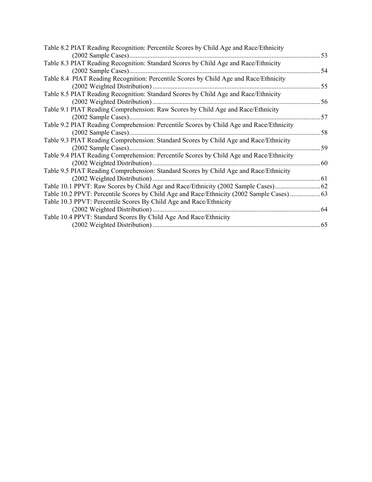| Table 8.2 PIAT Reading Recognition: Percentile Scores by Child Age and Race/Ethnicity      |     |
|--------------------------------------------------------------------------------------------|-----|
| (2002 Sample Cases)                                                                        | 53  |
| Table 8.3 PIAT Reading Recognition: Standard Scores by Child Age and Race/Ethnicity        |     |
| (2002 Sample Cases)                                                                        | 54  |
| Table 8.4 PIAT Reading Recognition: Percentile Scores by Child Age and Race/Ethnicity      |     |
| (2002 Weighted Distribution)                                                               | 55  |
| Table 8.5 PIAT Reading Recognition: Standard Scores by Child Age and Race/Ethnicity        |     |
| (2002 Weighted Distribution)                                                               | 56  |
| Table 9.1 PIAT Reading Comprehension: Raw Scores by Child Age and Race/Ethnicity           |     |
| (2002 Sample Cases)                                                                        | 57  |
| Table 9.2 PIAT Reading Comprehension: Percentile Scores by Child Age and Race/Ethnicity    |     |
| $(2002 \text{ Sample Cases})$                                                              | 58  |
| Table 9.3 PIAT Reading Comprehension: Standard Scores by Child Age and Race/Ethnicity      |     |
|                                                                                            | 59  |
| Table 9.4 PIAT Reading Comprehension: Percentile Scores by Child Age and Race/Ethnicity    |     |
|                                                                                            | -60 |
| Table 9.5 PIAT Reading Comprehension: Standard Scores by Child Age and Race/Ethnicity      |     |
|                                                                                            | -61 |
| Table 10.1 PPVT: Raw Scores by Child Age and Race/Ethnicity (2002 Sample Cases) 62         |     |
| Table 10.2 PPVT: Percentile Scores by Child Age and Race/Ethnicity (2002 Sample Cases)  63 |     |
| Table 10.3 PPVT: Percentile Scores By Child Age and Race/Ethnicity                         |     |
| (2002 Weighted Distribution)                                                               | 64  |
| Table 10.4 PPVT: Standard Scores By Child Age And Race/Ethnicity                           |     |
|                                                                                            | 65  |
|                                                                                            |     |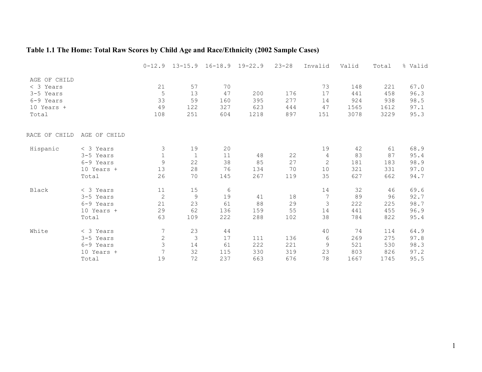## <span id="page-8-0"></span>**Table 1.1 The Home: Total Raw Scores by Child Age and Race/Ethnicity (2002 Sample Cases)**

|               |              |                |               | $0-12.9$ 13-15.9 16-18.9 19-22.9 |      | $23 - 28$ | Invalid | Valid | Total | % Valid |
|---------------|--------------|----------------|---------------|----------------------------------|------|-----------|---------|-------|-------|---------|
| AGE OF CHILD  |              |                |               |                                  |      |           |         |       |       |         |
| < 3 Years     |              | 21             | 57            | 70                               |      |           | 73      | 148   | 221   | 67.0    |
| 3-5 Years     |              | 5              | 13            | 47                               | 200  | 176       | 17      | 441   | 458   | 96.3    |
| 6-9 Years     |              | 33             | 59            | 160                              | 395  | 277       | 14      | 924   | 938   | 98.5    |
| 10 Years +    |              | 49             | 122           | 327                              | 623  | 444       | 47      | 1565  | 1612  | 97.1    |
| Total         |              | 108            | 251           | 604                              | 1218 | 897       | 151     | 3078  | 3229  | 95.3    |
| RACE OF CHILD | AGE OF CHILD |                |               |                                  |      |           |         |       |       |         |
|               |              |                |               |                                  |      |           |         |       |       |         |
| Hispanic      | $<$ 3 Years  | 3              | 19            | 20                               |      |           | 19      | 42    | 61    | 68.9    |
|               | 3-5 Years    | $\mathbf 1$    | $\mathbf{1}$  | 11                               | 48   | 22        | 4       | 83    | 87    | 95.4    |
|               | 6-9 Years    | $\mathsf 9$    | 22            | 38                               | 85   | 27        | 2       | 181   | 183   | 98.9    |
|               | $10$ Years + | 13             | 28            | 76                               | 134  | 70        | 10      | 321   | 331   | 97.0    |
|               | Total        | 26             | 70            | 145                              | 267  | 119       | 35      | 627   | 662   | 94.7    |
| Black         | < 3 Years    | $11\,$         | 15            | 6                                |      |           | 14      | 32    | 46    | 69.6    |
|               | 3-5 Years    | $\overline{2}$ | $\mathsf 9$   | 19                               | 41   | 18        | 7       | 89    | 96    | 92.7    |
|               | 6-9 Years    | 21             | 23            | 61                               | 88   | 29        | 3       | 222   | 225   | 98.7    |
|               | 10 Years +   | 29             | 62            | 136                              | 159  | 55        | 14      | 441   | 455   | 96.9    |
|               | Total        | 63             | 109           | 222                              | 288  | 102       | 38      | 784   | 822   | 95.4    |
| White         | $<$ 3 Years  | 7              | 23            | 44                               |      |           | 40      | 74    | 114   | 64.9    |
|               | 3-5 Years    | $\overline{c}$ | $\mathcal{S}$ | 17                               | 111  | 136       | 6       | 269   | 275   | 97.8    |
|               | 6-9 Years    | 3              | 14            | 61                               | 222  | 221       | 9       | 521   | 530   | 98.3    |
|               | $10$ Years + | 7              | 32            | 115                              | 330  | 319       | 23      | 803   | 826   | 97.2    |
|               | Total        | 19             | 72            | 237                              | 663  | 676       | 78      | 1667  | 1745  | 95.5    |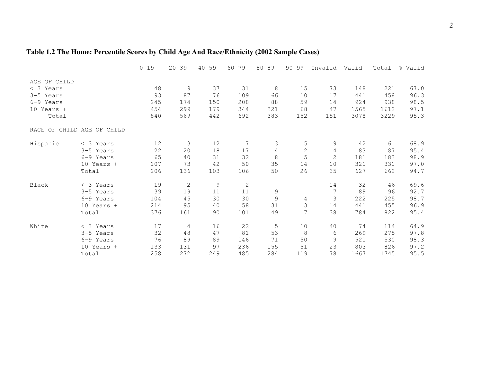## <span id="page-9-0"></span>**Table 1.2 The Home: Percentile Scores by Child Age And Race/Ethnicity (2002 Sample Cases)**

|              |                            | $0 - 19$ | $20 - 39$  | $40 - 59$ | $60 - 79$    | $80 - 89$      | $90 - 99$      | Invalid        | Valid | Total | % Valid |
|--------------|----------------------------|----------|------------|-----------|--------------|----------------|----------------|----------------|-------|-------|---------|
| AGE OF CHILD |                            |          |            |           |              |                |                |                |       |       |         |
| $<$ 3 Years  |                            | 48       | 9          | 37        | 31           | 8              | 15             | 73             | 148   | 221   | 67.0    |
| 3-5 Years    |                            | 93       | 87         | 76        | 109          | 66             | 10             | 17             | 441   | 458   | 96.3    |
| 6-9 Years    |                            | 245      | 174        | 150       | 208          | 88             | 59             | 14             | 924   | 938   | 98.5    |
| 10 Years +   |                            | 454      | 299        | 179       | 344          | 221            | 68             | 47             | 1565  | 1612  | 97.1    |
| Total        |                            | 840      | 569        | 442       | 692          | 383            | 152            | 151            | 3078  | 3229  | 95.3    |
|              | RACE OF CHILD AGE OF CHILD |          |            |           |              |                |                |                |       |       |         |
| Hispanic     | $<$ 3 Years                | 12       | 3          | 12        | 7            | 3              | 5              | 19             | 42    | 61    | 68.9    |
|              | 3-5 Years                  | 22       | 20         | 18        | 17           | $\overline{4}$ | $\overline{c}$ | 4              | 83    | 87    | 95.4    |
|              | 6-9 Years                  | 65       | 40         | 31        | 32           | 8              | 5              | $\overline{c}$ | 181   | 183   | 98.9    |
|              | 10 Years +                 | 107      | 73         | 42        | 50           | 35             | 14             | 10             | 321   | 331   | 97.0    |
|              | Total                      | 206      | 136        | 103       | 106          | 50             | 26             | 35             | 627   | 662   | 94.7    |
| Black        | < 3 Years                  | 19       | $\sqrt{2}$ | 9         | $\mathbf{2}$ |                |                | 14             | 32    | 46    | 69.6    |
|              | 3-5 Years                  | 39       | 19         | 11        | 11           | $\mathsf 9$    |                | 7              | 89    | 96    | 92.7    |
|              | 6-9 Years                  | 104      | 45         | 30        | 30           | 9              | 4              | 3              | 222   | 225   | 98.7    |
|              | 10 Years +                 | 214      | 95         | 40        | 58           | 31             | 3              | 14             | 441   | 455   | 96.9    |
|              | Total                      | 376      | 161        | 90        | 101          | 49             | $\overline{7}$ | 38             | 784   | 822   | 95.4    |
| White        | $<$ 3 Years                | 17       | 4          | 16        | 22           | 5              | 10             | 40             | 74    | 114   | 64.9    |
|              | 3-5 Years                  | 32       | 48         | 47        | 81           | 53             | $\,8\,$        | 6              | 269   | 275   | 97.8    |
|              | 6-9 Years                  | 76       | 89         | 89        | 146          | 71             | 50             | 9              | 521   | 530   | 98.3    |
|              | 10 Years +                 | 133      | 131        | 97        | 236          | 155            | 51             | 23             | 803   | 826   | 97.2    |
|              | Total                      | 258      | 272        | 249       | 485          | 284            | 119            | 78             | 1667  | 1745  | 95.5    |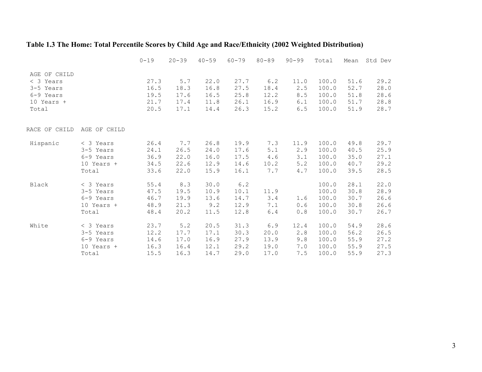|               |              | $0 - 19$ | $20 - 39$ | $40 - 59$ | $60 - 79$ | $80 - 89$ | $90 - 99$ | Total | Mean | Std Dev |
|---------------|--------------|----------|-----------|-----------|-----------|-----------|-----------|-------|------|---------|
| AGE OF CHILD  |              |          |           |           |           |           |           |       |      |         |
| $<$ 3 Years   |              | 27.3     | 5.7       | 22.0      | 27.7      | 6.2       | 11.0      | 100.0 | 51.6 | 29.2    |
| 3-5 Years     |              | 16.5     | 18.3      | 16.8      | 27.5      | 18.4      | 2.5       | 100.0 | 52.7 | 28.0    |
| 6-9 Years     |              | 19.5     | 17.6      | 16.5      | 25.8      | 12.2      | 8.5       | 100.0 | 51.8 | 28.6    |
| $10$ Years +  |              | 21.7     | 17.4      | 11.8      | 26.1      | 16.9      | 6.1       | 100.0 | 51.7 | 28.8    |
| Total         |              | 20.5     | 17.1      | 14.4      | 26.3      | 15.2      | 6.5       | 100.0 | 51.9 | 28.7    |
| RACE OF CHILD | AGE OF CHILD |          |           |           |           |           |           |       |      |         |
|               |              |          |           |           |           |           |           |       |      |         |
| Hispanic      | $<$ 3 Years  | 26.4     | 7.7       | 26.8      | 19.9      | 7.3       | 11.9      | 100.0 | 49.8 | 29.7    |
|               | 3-5 Years    | 24.1     | 26.5      | 24.0      | 17.6      | 5.1       | 2.9       | 100.0 | 40.5 | 25.9    |
|               | 6-9 Years    | 36.9     | 22.0      | 16.0      | 17.5      | 4.6       | 3.1       | 100.0 | 35.0 | 27.1    |
|               | 10 Years +   | 34.5     | 22.6      | 12.9      | 14.6      | 10.2      | 5.2       | 100.0 | 40.7 | 29.2    |
|               | Total        | 33.6     | 22.0      | 15.9      | 16.1      | 7.7       | 4.7       | 100.0 | 39.5 | 28.5    |
| Black         | $<$ 3 Years  | 55.4     | 8.3       | 30.0      | 6.2       |           |           | 100.0 | 28.1 | 22.0    |
|               | 3-5 Years    | 47.5     | 19.5      | 10.9      | 10.1      | 11.9      |           | 100.0 | 30.8 | 28.9    |
|               | 6-9 Years    | 46.7     | 19.9      | 13.6      | 14.7      | 3.4       | 1.6       | 100.0 | 30.7 | 26.6    |
|               | 10 Years +   | 48.9     | 21.3      | 9.2       | 12.9      | 7.1       | 0.6       | 100.0 | 30.8 | 26.6    |
|               | Total        | 48.4     | 20.2      | 11.5      | 12.8      | 6.4       | 0.8       | 100.0 | 30.7 | 26.7    |
| White         | $<$ 3 Years  | 23.7     | 5.2       | 20.5      | 31.3      | 6.9       | 12.4      | 100.0 | 54.9 | 28.6    |
|               | 3-5 Years    | 12.2     | 17.7      | 17.1      | 30.3      | 20.0      | 2.8       | 100.0 | 56.2 | 26.5    |
|               | 6-9 Years    | 14.6     | 17.0      | 16.9      | 27.9      | 13.9      | 9.8       | 100.0 | 55.9 | 27.2    |
|               | 10 Years +   | 16.3     | 16.4      | 12.1      | 29.2      | 19.0      | 7.0       | 100.0 | 55.9 | 27.5    |
|               | Total        | 15.5     | 16.3      | 14.7      | 29.0      | 17.0      | 7.5       | 100.0 | 55.9 | 27.3    |

## <span id="page-10-0"></span>**Table 1.3 The Home: Total Percentile Scores by Child Age and Race/Ethnicity (2002 Weighted Distribution)**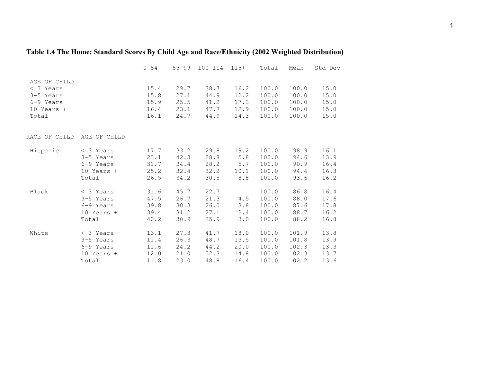## <span id="page-11-0"></span>**Table 1.4 The Home: Standard Scores By Child Age and Race/Ethnicity (2002 Weighted Distribution)**

|               |                | $0 - 84$ |      | 85-99 100-114 | $115+$ | Total | Mean  | Std Dev |
|---------------|----------------|----------|------|---------------|--------|-------|-------|---------|
| AGE OF CHILD  |                |          |      |               |        |       |       |         |
| $<$ 3 Years   |                | 15.4     | 29.7 | 38.7          | 16.2   | 100.0 | 100.0 | 15.0    |
| 3-5 Years     |                | 15.8     | 27.1 | 44.9          | 12.2   | 100.0 | 100.0 | 15.0    |
| 6-9 Years     |                | 15.9     | 25.5 | 41.2          | 17.3   | 100.0 | 100.0 | 15.0    |
| 10 Years +    |                | 16.4     | 23.1 | 47.7          | 12.9   | 100.0 | 100.0 | 15.0    |
| Total         |                | 16.1     | 24.7 | 44.9          | 14.3   | 100.0 | 100.0 | 15.0    |
| RACE OF CHILD | AGE OF CHILD   |          |      |               |        |       |       |         |
|               |                |          |      |               |        |       |       |         |
| Hispanic      | $<$ 3 Years    | 17.7     | 33.2 | 29.8          | 19.2   | 100.0 | 98.9  | 16.1    |
|               | 3-5 Years      | 23.1     | 42.3 | 28.8          | 5.8    | 100.0 | 94.6  | 13.9    |
|               | 6-9 Years      | 31.7     | 34.4 | 28.2          | 5.7    | 100.0 | 90.9  | 16.4    |
|               | $10$ Years $+$ | 25.2     | 32.4 | 32.2          | 10.1   | 100.0 | 94.4  | 16.3    |
|               | Total          | 26.5     | 34.2 | 30.5          | 8.8    | 100.0 | 93.6  | 16.2    |
| Black         | $<$ 3 Years    | 31.6     | 45.7 | 22.7          |        | 100.0 | 86.8  | 16.4    |
|               | 3-5 Years      | 47.5     | 26.7 | 21.3          | 4.5    | 100.0 | 88.0  | 17.6    |
|               | 6-9 Years      | 39.8     | 30.3 | 26.0          | 3.8    | 100.0 | 87.6  | 17.8    |
|               | 10 Years +     | 39.4     | 31.2 | 27.1          | 2.4    | 100.0 | 88.7  | 16.2    |
|               | Total          | 40.2     | 30.9 | 25.9          | 3.0    | 100.0 | 88.2  | 16.8    |
| White         | $<$ 3 Years    | 13.1     | 27.3 | 41.7          | 18.0   | 100.0 | 101.9 | 13.8    |
|               | 3-5 Years      | 11.4     | 26.3 | 48.7          | 13.5   | 100.0 | 101.8 | 13.9    |
|               | 6-9 Years      | 11.6     | 24.2 | 44.2          | 20.0   | 100.0 | 102.3 | 13.3    |
|               | 10 Years +     | 12.0     | 21.0 | 52.3          | 14.8   | 100.0 | 102.3 | 13.7    |
|               | Total          | 11.8     | 23.0 | 48.8          | 16.4   | 100.0 | 102.2 | 13.6    |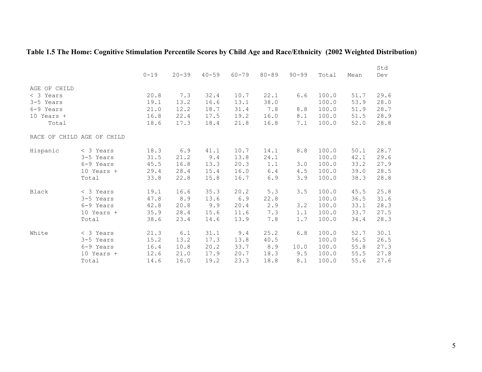### <span id="page-12-0"></span>**Table 1.5 The Home: Cognitive Stimulation Percentile Scores by Child Age and Race/Ethnicity (2002 Weighted Distribution)**

|              |                            | $0 - 19$ | $20 - 39$ | $40 - 59$ | $60 - 79$ | $80 - 89$ | $90 - 99$ | Total | Mean | Std  |
|--------------|----------------------------|----------|-----------|-----------|-----------|-----------|-----------|-------|------|------|
|              |                            |          |           |           |           |           |           |       |      | Dev  |
| AGE OF CHILD |                            |          |           |           |           |           |           |       |      |      |
| $<$ 3 Years  |                            | 20.8     | 7.3       | 32.4      | 10.7      | 22.1      | 6.6       | 100.0 | 51.7 | 29.6 |
| 3-5 Years    |                            | 19.1     | 13.2      | 16.6      | 13.1      | 38.0      |           | 100.0 | 53.9 | 28.0 |
| 6-9 Years    |                            | 21.0     | 12.2      | 18.7      | 31.4      | 7.8       | 8.8       | 100.0 | 51.9 | 28.7 |
| 10 Years +   |                            | 16.8     | 22.4      | 17.5      | 19.2      | 16.0      | 8.1       | 100.0 | 51.5 | 28.9 |
| Total        |                            | 18.6     | 17.3      | 18.4      | 21.8      | 16.8      | 7.1       | 100.0 | 52.0 | 28.8 |
|              | RACE OF CHILD AGE OF CHILD |          |           |           |           |           |           |       |      |      |
| Hispanic     | < 3 Years                  | 18.3     | 6.9       | 41.1      | 10.7      | 14.1      | 8.8       | 100.0 | 50.1 | 28.7 |
|              | 3-5 Years                  | 31.5     | 21.2      | 9.4       | 13.8      | 24.1      |           | 100.0 | 42.1 | 29.6 |
|              | 6-9 Years                  | 45.5     | 16.8      | 13.3      | 20.3      | 1.1       | 3.0       | 100.0 | 33.2 | 27.9 |
|              | $10$ Years $+$             | 29.4     | 28.4      | 15.4      | 16.0      | $6.4$     | 4.5       | 100.0 | 39.0 | 28.5 |
|              | Total                      | 33.8     | 22.8      | 15.8      | 16.7      | 6.9       | 3.9       | 100.0 | 38.3 | 28.8 |
| Black        | $<$ 3 Years                | 19.1     | 16.6      | 35.3      | 20.2      | 5.3       | 3.5       | 100.0 | 45.5 | 25.8 |
|              | 3-5 Years                  | 47.8     | 8.9       | 13.6      | 6.9       | 22.8      |           | 100.0 | 36.5 | 31.6 |
|              | 6-9 Years                  | 42.8     | 20.8      | 9.9       | 20.4      | 2.9       | 3.2       | 100.0 | 33.1 | 28.3 |
|              | 10 Years +                 | 35.9     | 28.4      | 15.6      | 11.6      | 7.3       | 1.1       | 100.0 | 33.7 | 27.5 |
|              | Total                      | 38.6     | 23.4      | 14.6      | 13.9      | 7.8       | 1.7       | 100.0 | 34.4 | 28.3 |
| White        | $<$ 3 Years                | 21.3     | 6.1       | 31.1      | 9.4       | 25.2      | 6.8       | 100.0 | 52.7 | 30.1 |
|              | 3-5 Years                  | 15.2     | 13.2      | 17.3      | 13.8      | 40.5      |           | 100.0 | 56.5 | 26.5 |
|              | 6-9 Years                  | 16.4     | 10.8      | 20.2      | 33.7      | 8.9       | 10.0      | 100.0 | 55.8 | 27.3 |
|              | 10 Years +                 | 12.6     | 21.0      | 17.9      | 20.7      | 18.3      | 9.5       | 100.0 | 55.5 | 27.8 |
|              | Total                      | 14.6     | 16.0      | 19.2      | 23.3      | 18.8      | 8.1       | 100.0 | 55.6 | 27.6 |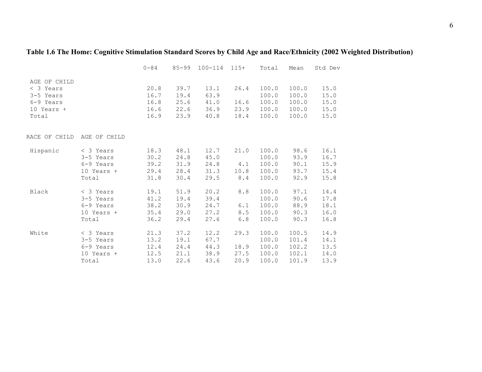### <span id="page-13-0"></span>**Table 1.6 The Home: Cognitive Stimulation Standard Scores by Child Age and Race/Ethnicity (2002 Weighted Distribution)**

|               |              | $0 - 84$ |      | 85-99 100-114 115+ |      | Total | Mean  | Std Dev |
|---------------|--------------|----------|------|--------------------|------|-------|-------|---------|
| AGE OF CHILD  |              |          |      |                    |      |       |       |         |
| $<$ 3 Years   |              | 20.8     | 39.7 | 13.1               | 26.4 | 100.0 | 100.0 | 15.0    |
| 3-5 Years     |              | 16.7     | 19.4 | 63.9               |      | 100.0 | 100.0 | 15.0    |
| 6-9 Years     |              | 16.8     | 25.6 | 41.0               | 16.6 | 100.0 | 100.0 | 15.0    |
| $10$ Years +  |              | 16.6     | 22.6 | 36.9               | 23.9 | 100.0 | 100.0 | 15.0    |
| Total         |              | 16.9     | 23.9 | 40.8               | 18.4 | 100.0 | 100.0 | 15.0    |
| RACE OF CHILD | AGE OF CHILD |          |      |                    |      |       |       |         |
|               |              |          |      |                    |      |       |       |         |
| Hispanic      | < 3 Years    | 18.3     | 48.1 | 12.7               | 21.0 | 100.0 | 98.6  | 16.1    |
|               | 3-5 Years    | 30.2     | 24.8 | 45.0               |      | 100.0 | 93.9  | 16.7    |
|               | 6-9 Years    | 39.2     | 31.9 | 24.8               | 4.1  | 100.0 | 90.1  | 15.9    |
|               | 10 Years +   | 29.4     | 28.4 | 31.3               | 10.8 | 100.0 | 93.7  | 15.4    |
|               | Total        | 31.8     | 30.4 | 29.5               | 8.4  | 100.0 | 92.9  | 15.8    |
| Black         | $<$ 3 Years  | 19.1     | 51.9 | 20.2               | 8.8  | 100.0 | 97.1  | 14.4    |
|               | 3-5 Years    | 41.2     | 19.4 | 39.4               |      | 100.0 | 90.6  | 17.8    |
|               | 6-9 Years    | 38.2     | 30.9 | 24.7               | 6.1  | 100.0 | 88.9  | 18.1    |
|               | $10$ Years + | 35.4     | 29.0 | 27.2               | 8.5  | 100.0 | 90.3  | 16.0    |
|               | Total        | 36.2     | 29.4 | 27.6               | 6.8  | 100.0 | 90.3  | 16.8    |
| White         | $<$ 3 Years  | 21.3     | 37.2 | 12.2               | 29.3 | 100.0 | 100.5 | 14.9    |
|               | 3-5 Years    | 13.2     | 19.1 | 67.7               |      | 100.0 | 101.4 | 14.1    |
|               | 6-9 Years    | 12.4     | 24.4 | 44.3               | 18.9 | 100.0 | 102.2 | 13.5    |
|               | $10$ Years + | 12.5     | 21.1 | 38.9               | 27.5 | 100.0 | 102.1 | 14.0    |
|               | Total        | 13.0     | 22.6 | 43.6               | 20.9 | 100.0 | 101.9 | 13.9    |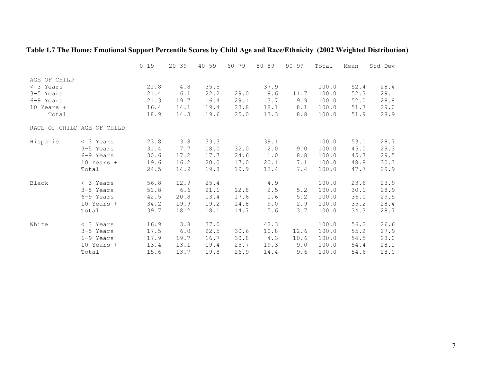<span id="page-14-0"></span>

|  |  | Table 1.7 The Home: Emotional Support Percentile Scores by Child Age and Race/Ethnicity (2002 Weighted Distribution) |  |
|--|--|----------------------------------------------------------------------------------------------------------------------|--|
|  |  |                                                                                                                      |  |

|              |                            | $0 - 19$ | $20 - 39$ | $40 - 59$ | $60 - 79$ | $80 - 89$ | $90 - 99$ | Total | Mean | Std Dev |
|--------------|----------------------------|----------|-----------|-----------|-----------|-----------|-----------|-------|------|---------|
| AGE OF CHILD |                            |          |           |           |           |           |           |       |      |         |
| $<$ 3 Years  |                            | 21.8     | 4.8       | 35.5      |           | 37.9      |           | 100.0 | 52.4 | 28.4    |
| 3-5 Years    |                            | 21.4     | 6.1       | 22.2      | 29.0      | 9.6       | 11.7      | 100.0 | 52.3 | 29.1    |
| 6-9 Years    |                            | 21.3     | 19.7      | 16.4      | 29.1      | 3.7       | 9.9       | 100.0 | 52.0 | 28.8    |
| 10 Years +   |                            | 16.4     | 14.1      | 19.4      | 23.8      | 18.1      | 8.1       | 100.0 | 51.7 | 29.0    |
| Total        |                            | 18.9     | 14.3      | 19.6      | 25.0      | 13.3      | 8.8       | 100.0 | 51.9 | 28.9    |
|              | RACE OF CHILD AGE OF CHILD |          |           |           |           |           |           |       |      |         |
| Hispanic     | $<$ 3 Years                | 23.8     | 3.8       | 33.3      |           | 39.1      |           | 100.0 | 53.1 | 28.7    |
|              | 3-5 Years                  | 31.4     | 7.7       | 18.0      | 32.0      | 2.0       | 9.0       | 100.0 | 45.0 | 29.3    |
|              | 6-9 Years                  | 30.6     | 17.2      | 17.7      | 24.6      | 1.0       | 8.8       | 100.0 | 45.7 | 29.5    |
|              | $10$ Years $+$             | 19.6     | 16.2      | 20.0      | 17.0      | 20.1      | 7.1       | 100.0 | 48.8 | 30.3    |
|              | Total                      | 24.5     | 14.9      | 19.8      | 19.9      | 13.4      | 7.4       | 100.0 | 47.7 | 29.9    |
| Black        | $<$ 3 Years                | 56.8     | 12.9      | 25.4      |           | 4.9       |           | 100.0 | 23.6 | 23.9    |
|              | 3-5 Years                  | 51.8     | 6.6       | 21.1      | 12.8      | 2.5       | 5.2       | 100.0 | 30.1 | 28.9    |
|              | 6-9 Years                  | 42.5     | 20.8      | 13.4      | 17.6      | 0.6       | 5.2       | 100.0 | 36.0 | 29.5    |
|              | $10$ Years +               | 34.2     | 19.9      | 19.2      | 14.8      | 9.0       | 2.9       | 100.0 | 35.2 | 28.4    |
|              | Total                      | 39.7     | 18.2      | 18.1      | 14.7      | 5.6       | 3.7       | 100.0 | 34.3 | 28.7    |
| White        | $<$ 3 Years                | 16.9     | 3.8       | 37.0      |           | 42.3      |           | 100.0 | 56.2 | 26.6    |
|              | 3-5 Years                  | 17.5     | 6.0       | 22.5      | 30.6      | 10.8      | 12.6      | 100.0 | 55.2 | 27.9    |
|              | 6-9 Years                  | 17.9     | 19.7      | 16.7      | 30.8      | 4.3       | 10.6      | 100.0 | 54.5 | 28.0    |
|              | 10 Years +                 | 13.4     | 13.1      | 19.4      | 25.7      | 19.3      | 9.0       | 100.0 | 54.4 | 28.1    |
|              | Total                      | 15.6     | 13.7      | 19.8      | 26.9      | 14.4      | 9.6       | 100.0 | 54.6 | 28.0    |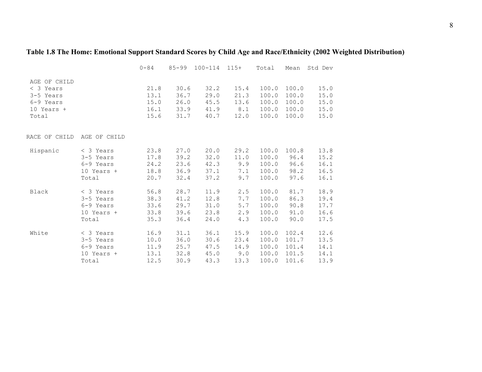### <span id="page-15-0"></span>**Table 1.8 The Home: Emotional Support Standard Scores by Child Age and Race/Ethnicity (2002 Weighted Distribution)**

|                                                                                  |              | $0 - 84$                             | $85 - 99$                            | 100-114 115+                         |                                     | Total                                     | Mean                                      | Std Dev                              |
|----------------------------------------------------------------------------------|--------------|--------------------------------------|--------------------------------------|--------------------------------------|-------------------------------------|-------------------------------------------|-------------------------------------------|--------------------------------------|
| AGE OF CHILD<br>$<$ 3 Years<br>3-5 Years<br>6-9 Years<br>$10$ Years $+$<br>Total |              | 21.8<br>13.1<br>15.0<br>16.1<br>15.6 | 30.6<br>36.7<br>26.0<br>33.9<br>31.7 | 32.2<br>29.0<br>45.5<br>41.9<br>40.7 | 15.4<br>21.3<br>13.6<br>8.1<br>12.0 | 100.0<br>100.0<br>100.0<br>100.0<br>100.0 | 100.0<br>100.0<br>100.0<br>100.0<br>100.0 | 15.0<br>15.0<br>15.0<br>15.0<br>15.0 |
| RACE OF CHILD                                                                    | AGE OF CHILD |                                      |                                      |                                      |                                     |                                           |                                           |                                      |
| Hispanic                                                                         | $<$ 3 Years  | 23.8                                 | 27.0                                 | 20.0                                 | 29.2                                | 100.0                                     | 100.8                                     | 13.8                                 |
|                                                                                  | 3-5 Years    | 17.8                                 | 39.2                                 | 32.0                                 | 11.0                                | 100.0                                     | 96.4                                      | 15.2                                 |
|                                                                                  | 6-9 Years    | 24.2                                 | 23.6                                 | 42.3                                 | 9.9                                 | 100.0                                     | 96.6                                      | 16.1                                 |
|                                                                                  | 10 Years +   | 18.8                                 | 36.9                                 | 37.1                                 | 7.1                                 | 100.0                                     | 98.2                                      | 16.5                                 |
|                                                                                  | Total        | 20.7                                 | 32.4                                 | 37.2                                 | 9.7                                 | 100.0                                     | 97.6                                      | 16.1                                 |
| Black                                                                            | $<$ 3 Years  | 56.8                                 | 28.7                                 | 11.9                                 | 2.5                                 | 100.0                                     | 81.7                                      | 18.9                                 |
|                                                                                  | 3-5 Years    | 38.3                                 | 41.2                                 | 12.8                                 | 7.7                                 | 100.0                                     | 86.3                                      | 19.4                                 |
|                                                                                  | 6-9 Years    | 33.6                                 | 29.7                                 | 31.0                                 | 5.7                                 | 100.0                                     | 90.8                                      | 17.7                                 |
|                                                                                  | $10$ Years + | 33.8                                 | 39.6                                 | 23.8                                 | 2.9                                 | 100.0                                     | 91.0                                      | 16.6                                 |
|                                                                                  | Total        | 35.3                                 | 36.4                                 | 24.0                                 | 4.3                                 | 100.0                                     | 90.0                                      | 17.5                                 |
| White                                                                            | $<$ 3 Years  | 16.9                                 | 31.1                                 | 36.1                                 | 15.9                                | 100.0                                     | 102.4                                     | 12.6                                 |
|                                                                                  | 3-5 Years    | 10.0                                 | 36.0                                 | 30.6                                 | 23.4                                | 100.0                                     | 101.7                                     | 13.5                                 |
|                                                                                  | 6-9 Years    | 11.9                                 | 25.7                                 | 47.5                                 | 14.9                                | 100.0                                     | 101.4                                     | 14.1                                 |
|                                                                                  | 10 Years +   | 13.1                                 | 32.8                                 | 45.0                                 | 9.0                                 | 100.0                                     | 101.5                                     | 14.1                                 |
|                                                                                  | Total        | 12.5                                 | 30.9                                 | 43.3                                 | 13.3                                | 100.0                                     | 101.6                                     | 13.9                                 |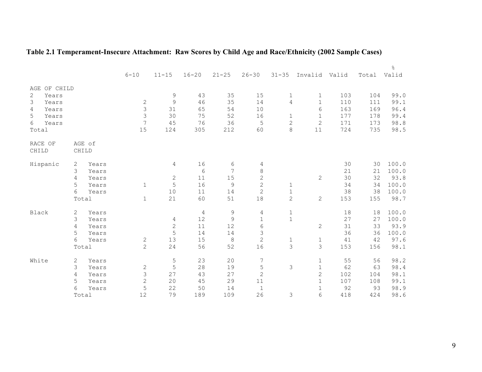<span id="page-16-0"></span>

|  | Table 2.1 Temperament-Insecure Attachment: Raw Scores by Child Age and Race/Ethnicity (2002 Sample Cases) |  |  |  |  |
|--|-----------------------------------------------------------------------------------------------------------|--|--|--|--|
|  |                                                                                                           |  |  |  |  |

|                          |            |                | $6 - 10$       | $11 - 15$    | $16 - 20$  | $21 - 25$        | $26 - 30$      | $31 - 35$      | Invalid Valid  |     | Total | ိဝ<br>Valid |
|--------------------------|------------|----------------|----------------|--------------|------------|------------------|----------------|----------------|----------------|-----|-------|-------------|
|                          |            |                |                |              |            |                  |                |                |                |     |       |             |
| OF CHILD<br>AGE<br>Years |            |                |                | $\mathsf 9$  | 43         | 35               | 15             | $\mathbf{1}$   | $\mathbf 1$    | 103 | 104   | 99.0        |
| 2<br>3<br>Years          |            |                | $\sqrt{2}$     | 9            | 46         | 35               | 14             | $\overline{4}$ | $\mathbf{1}$   | 110 | 111   | 99.1        |
| Years<br>4               |            |                | 3              | 31           | 65         | 54               | 10             |                | 6              | 163 | 169   | 96.4        |
| 5<br>Years               |            |                | 3              | 30           | 75         | 52               | 16             | $\mathbf{1}$   | $\mathbf{1}$   | 177 | 178   | 99.4        |
| 6<br>Years               |            |                | $\overline{7}$ | 45           | 76         | 36               | $\mathsf S$    | $\overline{c}$ | $\overline{2}$ | 171 | 173   | 98.8        |
| Total                    |            |                | 15             | 124          | 305        | 212              | 60             | 8              | 11             | 724 | 735   | 98.5        |
|                          |            |                |                |              |            |                  |                |                |                |     |       |             |
| RACE OF                  |            | AGE of         |                |              |            |                  |                |                |                |     |       |             |
| CHILD                    | CHILD      |                |                |              |            |                  |                |                |                |     |       |             |
| Hispanic                 | 2          | Years          |                | 4            | 16         | $\sqrt{6}$       | $\sqrt{4}$     |                |                | 30  | 30    | 100.0       |
|                          | 3          | Years          |                |              | $\sqrt{6}$ | $\boldsymbol{7}$ | $\,8\,$        |                |                | 21  | 21    | 100.0       |
|                          | 4          | Years          |                | $\mathbf{2}$ | 11         | 15               | $\overline{c}$ |                | $\mathbf{2}$   | 30  | 32    | 93.8        |
|                          | 5          | Years          | $\mathbf 1$    | 5            | 16         | $\mathsf{S}$     | $\overline{c}$ | 1              |                | 34  | 34    | 100.0       |
|                          | 6          | Years          |                | $10$         | 11         | 14               | $\mathbf{2}$   | $\mathbf 1$    |                | 38  | 38    | 100.0       |
|                          | Total      |                | $\mathbf{1}$   | 21           | 60         | 51               | $18\,$         | $\overline{c}$ | $\overline{2}$ | 153 | 155   | 98.7        |
| Black                    |            |                |                |              | $\sqrt{4}$ | $\mathsf 9$      | $\overline{4}$ | $\mathbf 1$    |                | 18  | 18    | 100.0       |
|                          | 2<br>3     | Years<br>Years |                | 4            | 12         | $\mathsf{S}$     | $\mathbf 1$    | $\mathbf{1}$   |                | 27  | 27    | 100.0       |
|                          | 4          | Years          |                | $\mathbf{2}$ | 11         | 12               | $\epsilon$     |                | $\mathbf{2}$   | 31  | 33    | 93.9        |
|                          | 5          | Years          |                | 5            | 14         | 14               | 3              |                |                | 36  | 36    | 100.0       |
|                          | $\epsilon$ | Years          | $\mathbf{2}$   | 13           | 15         | $\,8\,$          | $\mathbf{2}$   | 1              | $1\,$          | 41  | 42    | 97.6        |
|                          | Total      |                | $\overline{2}$ | 24           | 56         | 52               | 16             | 3              | 3              | 153 | 156   | 98.1        |
|                          |            |                |                |              |            |                  |                |                |                |     |       |             |
| White                    | 2          | Years          |                | $\mathsf S$  | 23         | 20               | 7              |                | 1              | 55  | 56    | 98.2        |
|                          | 3          | Years          | $\sqrt{2}$     | 5            | 28         | 19               | 5              | $\mathsf 3$    | $\,1\,$        | 62  | 63    | 98.4        |
|                          | 4          | Years          | 3              | 27           | 43         | 27               | $\mathbf{2}$   |                | $\overline{c}$ | 102 | 104   | 98.1        |
|                          | 5          | Years          | $\overline{2}$ | 20           | 45         | 29               | 11             |                | $\mathbf{1}$   | 107 | 108   | 99.1        |
|                          | 6          | Years          | 5              | 22           | 50         | 14               | $1\,$          |                | 1              | 92  | 93    | 98.9        |
|                          | Total      |                | 12             | 79           | 189        | 109              | 26             | 3              | 6              | 418 | 424   | 98.6        |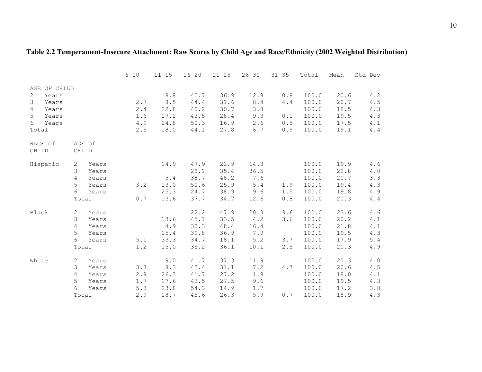|                       |                |        | $6 - 10$ | $11 - 15$ | $16 - 20$ | $21 - 25$ | $26 - 30$ | $31 - 35$ | Total | Mean | Std Dev |
|-----------------------|----------------|--------|----------|-----------|-----------|-----------|-----------|-----------|-------|------|---------|
| AGE OF CHILD          |                |        |          |           |           |           |           |           |       |      |         |
| $\mathbf{2}$<br>Years |                |        |          | 8.8       | 40.7      | 36.9      | 12.8      | 0.8       | 100.0 | 20.6 | 4.2     |
| 3<br>Years            |                |        | 2.7      | 8.5       | 44.4      | 31.6      | $8.4$     | 4.4       | 100.0 | 20.7 | 4.5     |
| 4<br>Years            |                |        | 2.4      | 22.8      | 40.2      | 30.7      | 3.8       |           | 100.0 | 18.5 | 4.3     |
| 5<br>Years            |                |        | 1.6      | 17.2      | 43.5      | 28.4      | 9.3       | 0.1       | 100.0 | 19.5 | 4.3     |
| 6<br>Years            |                |        | 4.9      | 24.8      | 50.3      | 16.9      | 2.6       | 0.5       | 100.0 | 17.5 | 4.1     |
| Total                 |                |        | 2.5      | 18.0      | 44.1      | 27.8      | $6.7\,$   | 0.9       | 100.0 | 19.1 | 4.4     |
|                       |                |        |          |           |           |           |           |           |       |      |         |
| RACE of               |                | AGE of |          |           |           |           |           |           |       |      |         |
| CHILD                 | CHILD          |        |          |           |           |           |           |           |       |      |         |
| Hispanic              | 2              | Years  |          | 14.9      | 47.9      | 22.9      | 14.3      |           | 100.0 | 19.9 | $4.6$   |
|                       | 3              | Years  |          |           | 28.1      | 35.4      | 36.5      |           | 100.0 | 22.8 | 4.0     |
|                       | $\overline{4}$ | Years  |          | 5.4       | 38.7      | 48.2      | 7.6       |           | 100.0 | 20.7 | 3.3     |
|                       | 5              | Years  | 3.2      | 13.0      | 50.6      | 25.9      | 5.4       | 1.9       | 100.0 | 19.4 | 4.3     |
|                       | 6              | Years  |          | 25.3      | 24.7      | 38.9      | 9.6       | 1.5       | 100.0 | 19.8 | 4.9     |
|                       |                | Total  | 0.7      | 13.6      | 37.7      | 34.7      | 12.6      | 0.8       | 100.0 | 20.3 | 4.4     |
|                       |                |        |          |           |           |           |           |           |       |      |         |
| Black                 | 2              | Years  |          |           | 22.2      | 47.9      | 20.3      | 9.6       | 100.0 | 23.6 | 4.6     |
|                       | 3              | Years  |          | 13.6      | 45.1      | 33.5      | 4.2       | 3.6       | 100.0 | 20.2 | 4.1     |
|                       | 4              | Years  |          | 4.9       | 30.3      | 48.4      | 16.4      |           | 100.0 | 21.8 | 4.1     |
|                       | 5              | Years  |          | 15.4      | 39.8      | 36.9      | 7.9       |           | 100.0 | 19.5 | 4.3     |
|                       | 6              | Years  | 5.1      | 33.3      | 34.7      | 18.1      | 5.2       | 3.7       | 100.0 | 17.9 | $5.4$   |
|                       |                | Total  | 1.2      | 15.0      | 35.2      | 36.1      | 10.1      | 2.5       | 100.0 | 20.3 | 4.9     |
| White                 | 2              | Years  |          | 9.0       | 41.7      | 37.3      | 11.9      |           | 100.0 | 20.3 | 4.0     |
|                       | 3              | Years  | 3.3      | 8.3       | 45.4      | 31.1      | 7.2       | 4.7       | 100.0 | 20.6 | 4.5     |
|                       | 4              | Years  | 2.9      | 26.3      | 41.7      | 27.2      | 1.9       |           | 100.0 | 18.0 | $4.1\,$ |
|                       | 5              | Years  | 1.7      | 17.6      | 43.5      | 27.5      | 9.6       |           | 100.0 | 19.5 | 4.3     |
|                       | 6              | Years  | 5.3      | 23.8      | 54.3      | 14.9      | 1.7       |           | 100.0 | 17.2 | 3.8     |
|                       |                | Total  | 2.9      | 18.7      | 45.6      | 26.3      | 5.9       | 0.7       | 100.0 | 18.9 | 4.3     |

### <span id="page-17-0"></span>**Table 2.2 Temperament-Insecure Attachment: Raw Scores by Child Age and Race/Ethnicity (2002 Weighted Distribution)**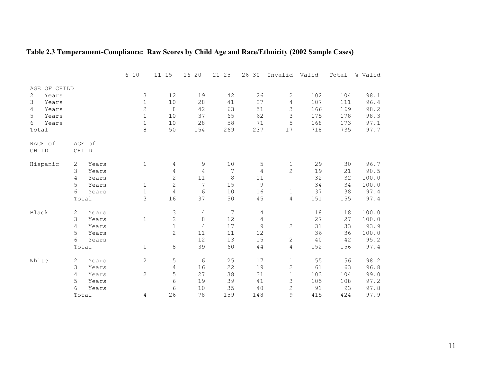<span id="page-18-0"></span>

| Table 2.3 Temperament-Compliance: Raw Scores by Child Age and Race/Ethnicity (2002 Sample Cases) |  |
|--------------------------------------------------------------------------------------------------|--|
|                                                                                                  |  |

|              |        |                | $6 - 10$     | $11 - 15$                   | $16 - 20$ | $21 - 25$ | $26 - 30$           | Invalid Valid |          | Total    | % Valid       |
|--------------|--------|----------------|--------------|-----------------------------|-----------|-----------|---------------------|---------------|----------|----------|---------------|
| AGE OF CHILD |        |                |              |                             |           |           |                     |               |          |          |               |
| 2<br>Years   |        |                | $\mathsf 3$  | 12                          | 19        | 42        | 26                  | 2             | 102      | 104      | 98.1          |
| 3<br>Years   |        |                | $\mathbf{1}$ | 10                          | 28        | 41        | 27                  | 4             | 107      | 111      | 96.4          |
| 4<br>Years   |        |                | $\mathbf{2}$ | 8                           | 42        | 63        | 51                  | 3             | 166      | 169      | 98.2          |
| 5<br>Years   |        |                | $\mathbf{1}$ | 10                          | 37        | 65        | 62                  | 3             | 175      | 178      | 98.3          |
| 6<br>Years   |        |                | $\mathbf{1}$ | 10                          | 28        | 58        | 71                  | 5             | 168      | 173      | 97.1          |
| Total        |        |                | 8            | 50                          | 154       | 269       | 237                 | 17            | 718      | 735      | 97.7          |
|              |        |                |              |                             |           |           |                     |               |          |          |               |
| RACE of      |        | AGE of         |              |                             |           |           |                     |               |          |          |               |
| CHILD        |        | CHILD          |              |                             |           |           |                     |               |          |          |               |
| Hispanic     | 2      | Years          | $\mathbf{1}$ | 4                           | 9         | 10        | 5                   | $\mathbf{1}$  | 29       | 30       | 96.7          |
|              | 3      | Years          |              | 4                           | 4         | 7         | 4                   | 2             | 19       | 21       | 90.5          |
|              | 4      | Years          |              | $\mathbf{2}$                | 11        | 8         | 11                  |               | 32       | 32       | 100.0         |
|              | 5      | Years          | 1            | $\mathbf{2}$                | 7         | 15        | 9                   |               | 34       | 34       | 100.0         |
|              | 6      | Years          | $1\,$        | $\overline{4}$              | 6         | 10        | 16                  | $\mathbf{1}$  | 37       | 38       | 97.4          |
|              |        | Total          | 3            | 16                          | 37        | 50        | 45                  | 4             | 151      | 155      | 97.4          |
|              |        |                |              |                             |           |           |                     |               |          |          |               |
| Black        | 2      | Years          |              | 3                           | 4         | 7         | 4                   |               | 18       | 18<br>27 | 100.0         |
|              | 3      | Years          | $\mathbf 1$  | $\mathbf{2}$<br>$\mathbf 1$ | 8<br>4    | 12<br>17  | $\overline{4}$<br>9 | $\mathbf{2}$  | 27<br>31 | 33       | 100.0<br>93.9 |
|              | 4<br>5 | Years<br>Years |              | $\overline{c}$              | 11        | 11        | 12                  |               | 36       | 36       | 100.0         |
|              | 6      | Years          |              |                             | 12        | 13        | 15                  | $\mathbf{2}$  | 40       | 42       | 95.2          |
|              |        | Total          | $\mathbf{1}$ | 8                           | 39        | 60        | 44                  | 4             | 152      | 156      | 97.4          |
|              |        |                |              |                             |           |           |                     |               |          |          |               |
| White        | 2      | Years          | $\mathbf{2}$ | 5                           | 6         | 25        | 17                  | $\mathbf{1}$  | 55       | 56       | 98.2          |
|              | 3      | Years          |              | 4                           | 16        | 22        | 19                  | $\mathbf{2}$  | 61       | 63       | 96.8          |
|              | 4      | Years          | $\mathbf{2}$ | 5                           | 27        | 38        | 31                  | $\mathbf{1}$  | 103      | 104      | 99.0          |
|              | 5      | Years          |              | 6                           | 19        | 39        | 41                  | 3             | 105      | 108      | 97.2          |
|              | 6      | Years          |              | 6                           | 10        | 35        | 40                  | 2             | 91       | 93       | 97.8          |
|              |        | Total          | 4            | 26                          | 78        | 159       | 148                 | 9             | 415      | 424      | 97.9          |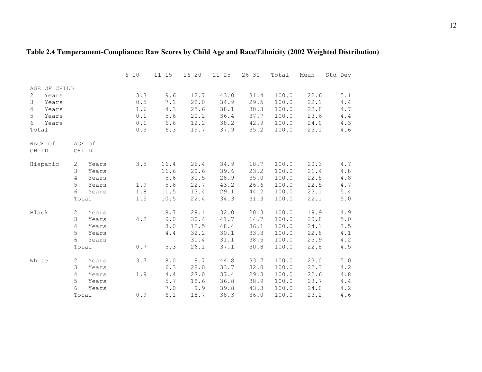### <span id="page-19-0"></span>**Table 2.4 Temperament-Compliance: Raw Scores by Child Age and Race/Ethnicity (2002 Weighted Distribution)**

|                       |                |        | $6 - 10$ | $11 - 15$ | $16 - 20$ | $21 - 25$ | $26 - 30$ | Total | Mean | Std Dev      |
|-----------------------|----------------|--------|----------|-----------|-----------|-----------|-----------|-------|------|--------------|
| AGE OF CHILD          |                |        |          |           |           |           |           |       |      |              |
| $\mathbf{2}$<br>Years |                |        | 3.3      | 9.6       | 12.7      | 43.0      | 31.4      | 100.0 | 22.6 | 5.1          |
| 3<br>Years            |                |        | $0.5\,$  | 7.1       | 28.0      | 34.9      | 29.5      | 100.0 | 22.1 | $4\,\ldotp4$ |
| 4<br>Years            |                |        | 1.6      | 4.3       | 25.6      | 38.1      | 30.3      | 100.0 | 22.8 | 4.7          |
| 5<br>Years            |                |        | 0.1      | 5.6       | 20.2      | 36.4      | 37.7      | 100.0 | 23.6 | 4.4          |
| 6<br>Years            |                |        | 0.1      | 6.6       | 12.2      | 38.2      | 42.9      | 100.0 | 24.0 | 4.3          |
| Total                 |                |        | 0.9      | 6.3       | 19.7      | 37.9      | 35.2      | 100.0 | 23.1 | 4.6          |
| RACE of               |                | AGE of |          |           |           |           |           |       |      |              |
| CHILD                 | CHILD          |        |          |           |           |           |           |       |      |              |
| Hispanic              | 2              | Years  | 3.5      | 16.4      | 26.4      | 34.9      | 18.7      | 100.0 | 20.3 | 4.7          |
|                       | 3              | Years  |          | 16.6      | 20.6      | 39.6      | 23.2      | 100.0 | 21.4 | $4.8$        |
|                       | $\overline{4}$ | Years  |          | 5.6       | 30.5      | 28.9      | 35.0      | 100.0 | 22.5 | $4.8$        |
|                       | 5              | Years  | 1.9      | 5.6       | 22.7      | 43.2      | 26.6      | 100.0 | 22.5 | 4.7          |
|                       | 6              | Years  | 1.8      | 11.5      | 13.4      | 29.1      | 44.2      | 100.0 | 23.1 | 5.4          |
|                       | Total          |        | 1.5      | 10.5      | 22.4      | 34.3      | 31.3      | 100.0 | 22.1 | $5.0$        |
| Black                 | 2              | Years  |          | 18.7      | 29.1      | 32.0      | 20.3      | 100.0 | 19.9 | 4.9          |
|                       | 3              | Years  | 4.2      | 9.0       | 30.4      | 41.7      | 14.7      | 100.0 | 20.8 | $5.0$        |
|                       | $\overline{4}$ | Years  |          | 3.0       | 12.5      | 48.4      | 36.1      | 100.0 | 24.1 | 3.5          |
|                       | 5              | Years  |          | 4.4       | 32.2      | 30.1      | 33.3      | 100.0 | 22.8 | 4.1          |
|                       | 6              | Years  |          |           | 30.4      | 31.1      | 38.5      | 100.0 | 23.9 | 4.2          |
|                       |                | Total  | 0.7      | 5.3       | 26.1      | 37.1      | 30.8      | 100.0 | 22.8 | $4\,.5$      |
| White                 | 2              | Years  | 3.7      | 8.0       | 9.7       | 44.8      | 33.7      | 100.0 | 23.0 | 5.0          |
|                       | 3              | Years  |          | 6.3       | 28.0      | 33.7      | 32.0      | 100.0 | 22.3 | 4.2          |
|                       | $\overline{4}$ | Years  | 1.9      | 4.4       | 27.0      | 37.4      | 29.3      | 100.0 | 22.6 | $4.8$        |
|                       | 5              | Years  |          | 5.7       | 18.6      | 36.8      | 38.9      | 100.0 | 23.7 | $4\,\ldotp4$ |
|                       | 6              | Years  |          | 7.0       | 9.9       | 39.8      | 43.3      | 100.0 | 24.0 | 4.2          |
|                       | Total          |        | 0.9      | 6.1       | 18.7      | 38.3      | 36.0      | 100.0 | 23.2 | $4.6$        |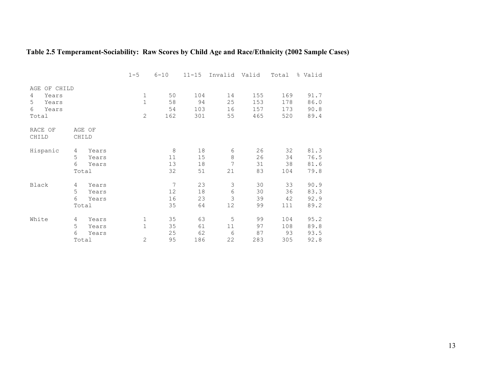### <span id="page-20-0"></span>**Table 2.5 Temperament-Sociability: Raw Scores by Child Age and Race/Ethnicity (2002 Sample Cases)**

|                                                                 |                      |                         | $1 - 5$                                     | $6 - 10$              | $11 - 15$               | Invalid              | Valid                    | Total                    | % Valid                      |
|-----------------------------------------------------------------|----------------------|-------------------------|---------------------------------------------|-----------------------|-------------------------|----------------------|--------------------------|--------------------------|------------------------------|
| AGE OF CHILD<br>4<br>Years<br>5<br>Years<br>6<br>Years<br>Total |                      |                         | 1<br>$\mathbf 1$<br>$\mathbf{2}$            | 50<br>58<br>54<br>162 | 104<br>94<br>103<br>301 | 14<br>25<br>16<br>55 | 155<br>153<br>157<br>465 | 169<br>178<br>173<br>520 | 91.7<br>86.0<br>90.8<br>89.4 |
| RACE OF<br>CHILD                                                | CHILD                | AGE OF                  |                                             |                       |                         |                      |                          |                          |                              |
| Hispanic                                                        | 4<br>5<br>6<br>Total | Years<br>Years<br>Years |                                             | 8<br>11<br>13<br>32   | 18<br>15<br>18<br>51    | 6<br>8<br>7<br>21    | 26<br>26<br>31<br>83     | 32<br>34<br>38<br>104    | 81.3<br>76.5<br>81.6<br>79.8 |
| Black                                                           | 4<br>5<br>6<br>Total | Years<br>Years<br>Years |                                             | 7<br>12<br>16<br>35   | 23<br>18<br>23<br>64    | 3<br>6<br>3<br>12    | 30<br>30<br>39<br>99     | 33<br>36<br>42<br>111    | 90.9<br>83.3<br>92.9<br>89.2 |
| White                                                           | 4<br>5<br>6<br>Total | Years<br>Years<br>Years | $\mathbf 1$<br>$\mathbf{1}$<br>$\mathbf{2}$ | 35<br>35<br>25<br>95  | 63<br>61<br>62<br>186   | 5<br>11<br>6<br>22   | 99<br>97<br>87<br>283    | 104<br>108<br>93<br>305  | 95.2<br>89.8<br>93.5<br>92.8 |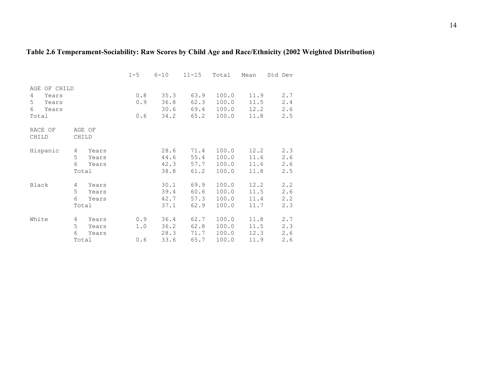### <span id="page-21-0"></span>**Table 2.6 Temperament-Sociability: Raw Scores by Child Age and Race/Ethnicity (2002 Weighted Distribution)**

|                                                                 |                      |                         | $1 - 5$           | $6 - 10$                     | $11 - 15$                    | Total                            | Mean                         | Std Dev                          |
|-----------------------------------------------------------------|----------------------|-------------------------|-------------------|------------------------------|------------------------------|----------------------------------|------------------------------|----------------------------------|
| AGE OF CHILD<br>4<br>Years<br>5<br>Years<br>6<br>Years<br>Total |                      |                         | 0.8<br>0.9<br>0.6 | 35.3<br>36.8<br>30.6<br>34.2 | 63.9<br>62.3<br>69.4<br>65.2 | 100.0<br>100.0<br>100.0<br>100.0 | 11.9<br>11.5<br>12.2<br>11.8 | 2.7<br>2.4<br>2.6<br>2.5         |
| RACE OF<br>CHILD                                                | AGE OF<br>CHILD      |                         |                   |                              |                              |                                  |                              |                                  |
| Hispanic                                                        | 4<br>5<br>6<br>Total | Years<br>Years<br>Years |                   | 28.6<br>44.6<br>42.3<br>38.8 | 71.4<br>55.4<br>57.7<br>61.2 | 100.0<br>100.0<br>100.0<br>100.0 | 12.2<br>11.6<br>11.6<br>11.8 | 2.3<br>2.6<br>2.6<br>2.5         |
| Black                                                           | 4<br>5<br>6<br>Total | Years<br>Years<br>Years |                   | 30.1<br>39.4<br>42.7<br>37.1 | 69.9<br>60.6<br>57.3<br>62.9 | 100.0<br>100.0<br>100.0<br>100.0 | 12.2<br>11.5<br>11.4<br>11.7 | 2.2<br>2.6<br>$2 \cdot 2$<br>2.3 |
| White                                                           | 4<br>5<br>6<br>Total | Years<br>Years<br>Years | 0.9<br>1.0<br>0.6 | 36.4<br>36.2<br>28.3<br>33.6 | 62.7<br>62.8<br>71.7<br>65.7 | 100.0<br>100.0<br>100.0<br>100.0 | 11.8<br>11.5<br>12.3<br>11.9 | 2.7<br>2.3<br>2.6<br>2.6         |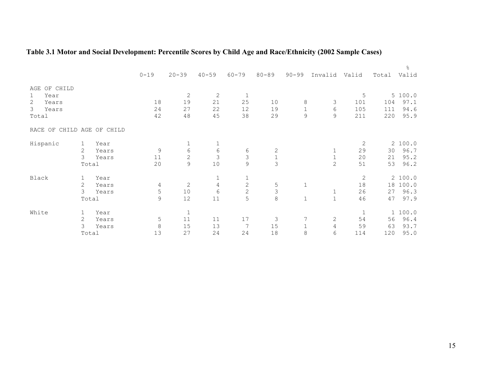### <span id="page-22-0"></span>**Table 3.1 Motor and Social Development: Percentile Scores by Child Age and Race/Ethnicity (2002 Sample Cases)**

|                                                                                           |                                   |                        | $0 - 19$                | $20 - 39$                                         | $40 - 59$                                  | $60 - 79$                                          | $80 - 89$                        | $90 - 99$                       | Invalid                         | Valid                          | Total             | ိဝ<br>Valid                     |
|-------------------------------------------------------------------------------------------|-----------------------------------|------------------------|-------------------------|---------------------------------------------------|--------------------------------------------|----------------------------------------------------|----------------------------------|---------------------------------|---------------------------------|--------------------------------|-------------------|---------------------------------|
| OF CHILD<br>AGE<br>Year<br>$\mathbf{1}$<br>$\overline{2}$<br>Years<br>3<br>Years<br>Total |                                   |                        | 18<br>24<br>42          | 2<br>19<br>27<br>48                               | $\mathbf{2}$<br>21<br>22<br>45             | $\mathbf 1$<br>25<br>12<br>38                      | 10<br>19<br>29                   | 8<br>$\mathbf 1$<br>$\mathsf 9$ | 3<br>6<br>$\mathsf 9$           | 5<br>101<br>105<br>211         | 104<br>111<br>220 | 5100.0<br>97.1<br>94.6<br>95.9  |
| RACE OF CHILD AGE OF CHILD                                                                |                                   |                        |                         |                                                   |                                            |                                                    |                                  |                                 |                                 |                                |                   |                                 |
| Hispanic                                                                                  | 1<br>$\overline{2}$<br>3<br>Total | Year<br>Years<br>Years | $\mathsf 9$<br>11<br>20 | $\mathbf{1}$<br>$\sqrt{6}$<br>$\overline{c}$<br>9 | $1\,$<br>$\epsilon$<br>$\mathcal{S}$<br>10 | 6<br>3<br>9                                        | $\mathbf{2}$<br>$\mathbf 1$<br>3 |                                 | $\mathbf 1$<br>$\mathbf 1$<br>2 | $\mathbf 2$<br>29<br>20<br>51  | 30<br>21<br>53    | 2100.0<br>96.7<br>95.2<br>96.2  |
| Black                                                                                     | $\mathbf{1}$<br>2<br>3<br>Total   | Year<br>Years<br>Years | 4<br>5<br>$\mathsf 9$   | $\mathbf{2}$<br>10<br>12                          | $\mathbf 1$<br>$\sqrt{4}$<br>6<br>$11$     | $\mathbf 1$<br>$\mathbf{2}$<br>$\overline{c}$<br>5 | 5<br>3<br>8                      | $\mathbf 1$<br>$1\,$            | $\mathbf 1$<br>$1\,$            | $\mathbf{2}$<br>18<br>26<br>46 | 18<br>27<br>47    | 2100.0<br>100.0<br>96.3<br>97.9 |
| White                                                                                     | 1<br>2<br>3<br>Total              | Year<br>Years<br>Years | 5<br>$\,8\,$<br>13      | $\mathbf{1}$<br>11<br>15<br>27                    | 11<br>13<br>24                             | 17<br>7<br>24                                      | 3<br>15<br>18                    | 7<br>$1\,$<br>8                 | $\sqrt{2}$<br>4<br>6            | $1\,$<br>54<br>59<br>114       | 56<br>63<br>120   | 1 100.0<br>96.4<br>93.7<br>95.0 |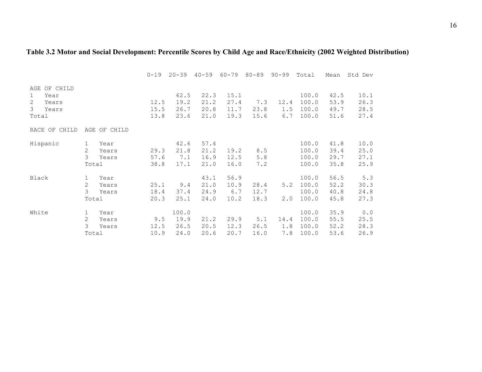### <span id="page-23-0"></span>**Table 3.2 Motor and Social Development: Percentile Scores by Child Age and Race/Ethnicity (2002 Weighted Distribution)**

|                                                                           |                      |                        | $0 - 19$             | $20 - 39$                     | $40 - 59$                    | 60-79                        | $80 - 89$            | $90 - 99$          | Total                            | Mean                         | Std Dev                      |
|---------------------------------------------------------------------------|----------------------|------------------------|----------------------|-------------------------------|------------------------------|------------------------------|----------------------|--------------------|----------------------------------|------------------------------|------------------------------|
| AGE OF CHILD<br>$\mathbf{1}$<br>Year<br>2<br>Years<br>3<br>Years<br>Total |                      |                        | 12.5<br>15.5<br>13.8 | 62.5<br>19.2<br>26.7<br>23.6  | 22.3<br>21.2<br>20.8<br>21.0 | 15.1<br>27.4<br>11.7<br>19.3 | 7.3<br>23.8<br>15.6  | 12.4<br>1.5<br>6.7 | 100.0<br>100.0<br>100.0<br>100.0 | 42.5<br>53.9<br>49.7<br>51.6 | 10.1<br>26.3<br>28.5<br>27.4 |
| CHILD<br>OF<br>RACE                                                       | AGE                  | OF CHILD               |                      |                               |                              |                              |                      |                    |                                  |                              |                              |
| Hispanic                                                                  | 1<br>2<br>3<br>Total | Year<br>Years<br>Years | 29.3<br>57.6<br>38.8 | 42.6<br>21.8<br>7.1<br>17.1   | 57.4<br>21.2<br>16.9<br>21.0 | 19.2<br>12.5<br>16.0         | 8.5<br>5.8<br>7.2    |                    | 100.0<br>100.0<br>100.0<br>100.0 | 41.8<br>39.4<br>29.7<br>35.8 | 10.0<br>25.0<br>27.1<br>25.9 |
| Black                                                                     | 1<br>2<br>3<br>Total | Year<br>Years<br>Years | 25.1<br>18.4<br>20.3 | 9.4<br>37.4<br>25.1           | 43.1<br>21.0<br>24.9<br>24.0 | 56.9<br>10.9<br>6.7<br>10.2  | 28.4<br>12.7<br>18.3 | 5.2<br>$2 \cdot 0$ | 100.0<br>100.0<br>100.0<br>100.0 | 56.5<br>52.2<br>40.8<br>45.8 | 5.3<br>30.3<br>24.8<br>27.3  |
| White                                                                     | 1<br>2<br>3<br>Total | Year<br>Years<br>Years | 9.5<br>12.5<br>10.9  | 100.0<br>19.9<br>26.5<br>24.0 | 21.2<br>20.5<br>20.6         | 29.9<br>12.3<br>20.7         | 5.1<br>26.5<br>16.0  | 14.4<br>1.8<br>7.8 | 100.0<br>100.0<br>100.0<br>100.0 | 35.9<br>55.5<br>52.2<br>53.6 | 0.0<br>25.5<br>28.3<br>26.9  |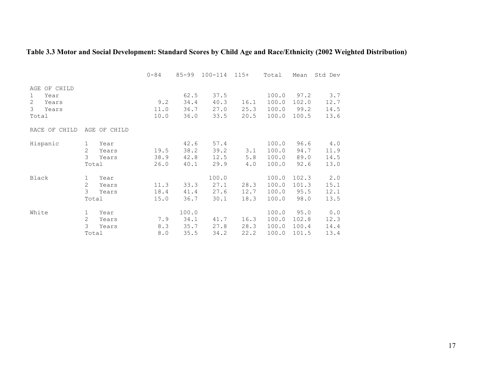### <span id="page-24-0"></span>**Table 3.3 Motor and Social Development: Standard Scores by Child Age and Race/Ethnicity (2002 Weighted Distribution)**

|                      |                |          | $0 - 84$ | $85 - 99$ | $100 - 114$ | $115+$ | Total | Mean  | Std Dev |
|----------------------|----------------|----------|----------|-----------|-------------|--------|-------|-------|---------|
| AGE OF CHILD         |                |          |          |           |             |        |       |       |         |
| Year<br>$\mathbf{1}$ |                |          |          | 62.5      | 37.5        |        | 100.0 | 97.2  | 3.7     |
| 2<br>Years           |                |          | 9.2      | 34.4      | 40.3        | 16.1   | 100.0 | 102.0 | 12.7    |
| 3<br>Years           |                |          | 11.0     | 36.7      | 27.0        | 25.3   | 100.0 | 99.2  | 14.5    |
| Total                |                |          | 10.0     | 36.0      | 33.5        | 20.5   | 100.0 | 100.5 | 13.6    |
| OF CHILD<br>RACE     | AGE            | OF CHILD |          |           |             |        |       |       |         |
| Hispanic             | $\mathbf 1$    | Year     |          | 42.6      | 57.4        |        | 100.0 | 96.6  | 4.0     |
|                      | $\overline{2}$ | Years    | 19.5     | 38.2      | 39.2        | 3.1    | 100.0 | 94.7  | 11.9    |
|                      | 3              | Years    | 38.9     | 42.8      | 12.5        | 5.8    | 100.0 | 89.0  | 14.5    |
|                      | Total          |          | 26.0     | 40.1      | 29.9        | 4.0    | 100.0 | 92.6  | 13.0    |
| Black                | 1              | Year     |          |           | 100.0       |        | 100.0 | 102.3 | 2.0     |
|                      | $\mathbf{2}$   | Years    | 11.3     | 33.3      | 27.1        | 28.3   | 100.0 | 101.3 | 15.1    |
|                      | 3              | Years    | 18.4     | 41.4      | 27.6        | 12.7   | 100.0 | 95.5  | 12.1    |
|                      | Total          |          | 15.0     | 36.7      | 30.1        | 18.3   | 100.0 | 98.0  | 13.5    |
| White                | $\mathbf{1}$   | Year     |          | 100.0     |             |        | 100.0 | 95.0  | 0.0     |
|                      | $\overline{2}$ | Years    | 7.9      | 34.1      | 41.7        | 16.3   | 100.0 | 102.8 | 12.3    |
|                      | 3              | Years    | 8.3      | 35.7      | 27.8        | 28.3   | 100.0 | 100.4 | 14.4    |
|                      | Total          |          | 8.0      | 35.5      | 34.2        | 22.2   | 100.0 | 101.5 | 13.4    |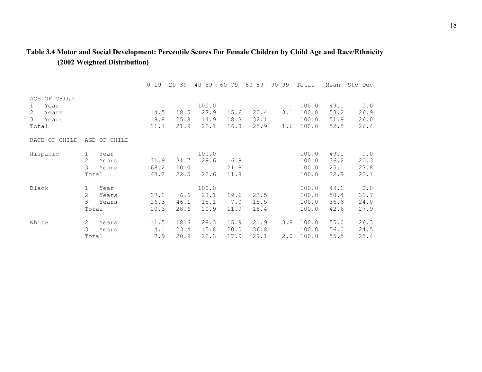#### <span id="page-25-0"></span>**Table 3.4 Motor and Social Development: Percentile Scores For Female Children by Child Age and Race/Ethnicity (2002 Weighted Distribution)**

|                      |       |              | $0 - 19$ | $20 - 39$ | $40 - 59$ | 60-79 | $80 - 89$ | $90 - 99$ | Total | Mean | Std Dev |
|----------------------|-------|--------------|----------|-----------|-----------|-------|-----------|-----------|-------|------|---------|
|                      |       |              |          |           |           |       |           |           |       |      |         |
| AGE OF CHILD         |       |              |          |           |           |       |           |           |       |      |         |
| Year<br>$\mathbf{1}$ |       |              |          |           | 100.0     |       |           |           | 100.0 | 49.1 | 0.0     |
| 2<br>Years           |       |              | 14.5     | 18.5      | 27.9      | 15.6  | 20.4      | 3.1       | 100.0 | 53.2 | 26.9    |
| 3<br>Years           |       |              | 8.8      | 25.8      | 14.9      | 18.3  | 32.1      |           | 100.0 | 51.9 | 26.0    |
| Total                |       |              | 11.7     | 21.9      | 22.1      | 16.8  | 25.9      | 1.6       | 100.0 | 52.5 | 26.4    |
| RACE OF CHILD        |       | AGE OF CHILD |          |           |           |       |           |           |       |      |         |
| Hispanic             | 1     | Year         |          |           | 100.0     |       |           |           | 100.0 | 49.1 | 0.0     |
|                      | 2     | Years        | 31.9     | 31.7      | 29.6      | 6.8   |           |           | 100.0 | 36.2 | 20.3    |
|                      | 3     | Years        | 68.2     | 10.0      |           | 21.8  |           |           | 100.0 | 25.1 | 23.8    |
|                      | Total |              | 43.2     | 22.5      | 22.6      | 11.8  |           |           | 100.0 | 32.9 | 22.1    |
|                      |       |              |          |           |           |       |           |           |       |      |         |
| Black                | 1     | Year         |          |           | 100.0     |       |           |           | 100.0 | 49.1 | 0.0     |
|                      | 2     | Years        | 27.1     | 6.6       | 23.1      | 19.6  | 23.5      |           | 100.0 | 50.4 | 31.7    |
|                      | 3     | Years        | 16.3     | 46.1      | 15.1      | 7.0   | 15.5      |           | 100.0 | 36.6 | 24.0    |
|                      | Total |              | 20.3     | 28.6      | 20.9      | 11.9  | 18.4      |           | 100.0 | 42.6 | 27.9    |
|                      |       |              |          |           |           |       |           |           |       |      |         |
| White                | 2     | Years        | 11.5     | 18.6      | 28.3      | 15.9  | 21.9      | 3.8       | 100.0 | 55.0 | 26.3    |
|                      | 3     | Years        | 4.1      | 23.4      | 15.8      | 20.0  | 36.8      |           | 100.0 | 56.0 | 24.5    |
|                      | Total |              | 7.9      | 20.9      | 22.3      | 17.9  | 29.1      | 2.0       | 100.0 | 55.5 | 25.4    |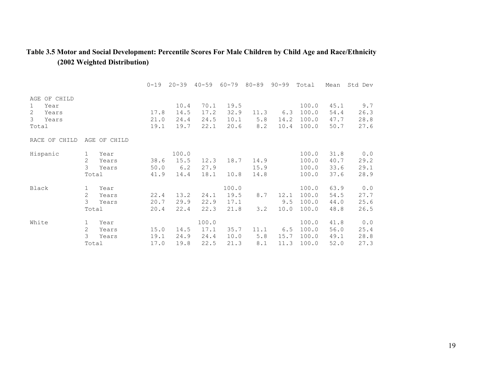#### <span id="page-26-0"></span>**Table 3.5 Motor and Social Development: Percentile Scores For Male Children by Child Age and Race/Ethnicity (2002 Weighted Distribution)**

|                                         |       |          | $0 - 19$ | $20 - 39$ | $40 - 59$ | 60-79 | $80 - 89$ | $90 - 99$ | Total | Mean | Std Dev |
|-----------------------------------------|-------|----------|----------|-----------|-----------|-------|-----------|-----------|-------|------|---------|
|                                         |       |          |          |           |           |       |           |           |       |      |         |
| OF CHILD<br>AGE<br>Year<br>$\mathbf{1}$ |       |          |          | 10.4      | 70.1      | 19.5  |           |           | 100.0 | 45.1 | 9.7     |
| 2<br>Years                              |       |          | 17.8     | 14.5      | 17.2      | 32.9  | 11.3      | 6.3       | 100.0 | 54.4 | 26.3    |
| 3<br>Years                              |       |          | 21.0     | 24.4      | 24.5      | 10.1  | 5.8       | 14.2      | 100.0 | 47.7 | 28.8    |
| Total                                   |       |          | 19.1     | 19.7      | 22.1      | 20.6  | 8.2       | 10.4      | 100.0 | 50.7 | 27.6    |
| RACE OF<br>CHILD                        | AGE   | OF CHILD |          |           |           |       |           |           |       |      |         |
| Hispanic                                | 1     | Year     |          | 100.0     |           |       |           |           | 100.0 | 31.8 | 0.0     |
|                                         | 2     | Years    | 38.6     | 15.5      | 12.3      | 18.7  | 14.9      |           | 100.0 | 40.7 | 29.2    |
|                                         | 3     | Years    | 50.0     | 6.2       | 27.9      |       | 15.9      |           | 100.0 | 33.6 | 29.1    |
|                                         | Total |          | 41.9     | 14.4      | 18.1      | 10.8  | 14.8      |           | 100.0 | 37.6 | 28.9    |
| Black                                   | 1     | Year     |          |           |           | 100.0 |           |           | 100.0 | 63.9 | 0.0     |
|                                         | 2     | Years    | 22.4     | 13.2      | 24.1      | 19.5  | 8.7       | 12.1      | 100.0 | 54.5 | 27.7    |
|                                         | 3     | Years    | 20.7     | 29.9      | 22.9      | 17.1  |           | 9.5       | 100.0 | 44.0 | 25.6    |
|                                         | Total |          | 20.4     | 22.4      | 22.3      | 21.8  | 3.2       | 10.0      | 100.0 | 48.8 | 26.5    |
| White                                   | 1     | Year     |          |           | 100.0     |       |           |           | 100.0 | 41.8 | 0.0     |
|                                         | 2     | Years    | 15.0     | 14.5      | 17.1      | 35.7  | 11.1      | 6.5       | 100.0 | 56.0 | 25.4    |
|                                         | 3     | Years    | 19.1     | 24.9      | 24.4      | 10.0  | 5.8       | 15.7      | 100.0 | 49.1 | 28.8    |
|                                         | Total |          | 17.0     | 19.8      | 22.5      | 21.3  | 8.1       | 11.3      | 100.0 | 52.0 | 27.3    |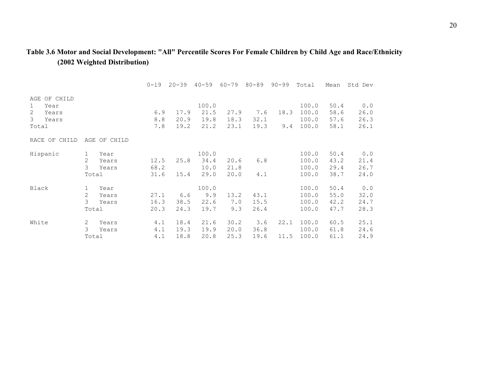#### <span id="page-27-0"></span>**Table 3.6 Motor and Social Development: "All" Percentile Scores For Female Children by Child Age and Race/Ethnicity (2002 Weighted Distribution)**

|                      |              |              | $0 - 19$ | $20 - 39$ | $40 - 59$ | $60 - 79$ | $80 - 89$ | $90 - 99$ | Total | Mean | Std Dev |
|----------------------|--------------|--------------|----------|-----------|-----------|-----------|-----------|-----------|-------|------|---------|
|                      |              |              |          |           |           |           |           |           |       |      |         |
| OF CHILD<br>AGE      |              |              |          |           |           |           |           |           |       |      |         |
| Year<br>$\mathbf{1}$ |              |              |          |           | 100.0     |           |           |           | 100.0 | 50.4 | 0.0     |
| 2<br>Years           |              |              | 6.9      | 17.9      | 21.5      | 27.9      | 7.6       | 18.3      | 100.0 | 58.6 | 26.0    |
| 3<br>Years           |              |              | 8.8      | 20.9      | 19.8      | 18.3      | 32.1      |           | 100.0 | 57.6 | 26.3    |
| Total                |              |              | 7.8      | 19.2      | 21.2      | 23.1      | 19.3      | 9.4       | 100.0 | 58.1 | 26.1    |
| RACE OF CHILD        |              | AGE OF CHILD |          |           |           |           |           |           |       |      |         |
| Hispanic             | $\mathbf{1}$ | Year         |          |           | 100.0     |           |           |           | 100.0 | 50.4 | 0.0     |
|                      | 2            | Years        | 12.5     | 25.8      | 34.4      | 20.6      | 6.8       |           | 100.0 | 43.2 | 21.4    |
|                      | 3            | Years        | 68.2     |           | 10.0      | 21.8      |           |           | 100.0 | 29.4 | 26.7    |
|                      | Total        |              | 31.6     | 15.4      | 29.0      | 20.0      | 4.1       |           | 100.0 | 38.7 | 24.0    |
|                      |              |              |          |           |           |           |           |           |       |      |         |
| Black                | 1            | Year         |          |           | 100.0     |           |           |           | 100.0 | 50.4 | 0.0     |
|                      | 2            | Years        | 27.1     | 6.6       | 9.9       | 13.2      | 43.1      |           | 100.0 | 55.0 | 32.0    |
|                      | 3            | Years        | 16.3     | 38.5      | 22.6      | 7.0       | 15.5      |           | 100.0 | 42.2 | 24.7    |
|                      | Total        |              | 20.3     | 24.3      | 19.7      | 9.3       | 26.4      |           | 100.0 | 47.7 | 28.3    |
| White                | 2            | Years        | 4.1      | 18.4      | 21.6      | 30.2      | 3.6       | 22.1      | 100.0 | 60.5 | 25.1    |
|                      | 3            |              |          |           |           |           |           |           |       |      |         |
|                      |              | Years        | 4.1      | 19.3      | 19.9      | 20.0      | 36.8      |           | 100.0 | 61.8 | 24.6    |
|                      | Total        |              | 4.1      | 18.8      | 20.8      | 25.3      | 19.6      | 11.5      | 100.0 | 61.1 | 24.9    |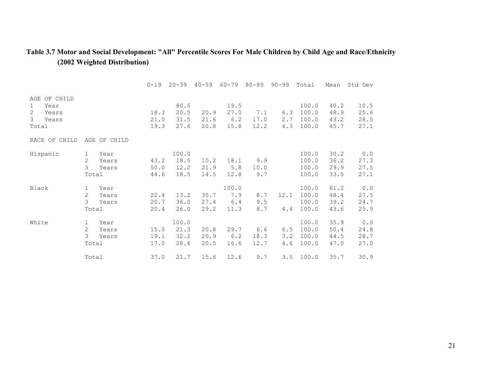#### <span id="page-28-0"></span>**Table 3.7 Motor and Social Development: "All" Percentile Scores For Male Children by Child Age and Race/Ethnicity (2002 Weighted Distribution)**

|                                                                           |                                 |                        | $0 - 19$             | $20 - 39$                     | $40 - 59$            | $60 - 79$                   | $80 - 89$           | $90 - 99$         | Total                            | Mean                         | Std Dev                       |
|---------------------------------------------------------------------------|---------------------------------|------------------------|----------------------|-------------------------------|----------------------|-----------------------------|---------------------|-------------------|----------------------------------|------------------------------|-------------------------------|
| AGE OF CHILD<br>Year<br>$\mathbf{1}$<br>2<br>Years<br>3<br>Years<br>Total |                                 |                        | 18.3<br>21.0<br>19.3 | 80.5<br>20.5<br>31.5<br>27.6  | 20.9<br>21.6<br>20.8 | 19.5<br>27.0<br>6.2<br>15.8 | 7.1<br>17.0<br>12.2 | 6.3<br>2.7<br>4.3 | 100.0<br>100.0<br>100.0<br>100.0 | 40.2<br>48.9<br>43.2<br>45.7 | 10.5<br>25.6<br>28.5<br>27.1  |
| RACE OF<br>CHILD                                                          | AGE                             | OF CHILD               |                      |                               |                      |                             |                     |                   |                                  |                              |                               |
| Hispanic                                                                  | 1<br>2<br>3<br>Total            | Year<br>Years<br>Years | 43.2<br>50.0<br>44.6 | 100.0<br>18.5<br>12.2<br>18.5 | 10.2<br>21.9<br>14.5 | 18.1<br>5.8<br>12.8         | 9.9<br>10.0<br>9.7  |                   | 100.0<br>100.0<br>100.0<br>100.0 | 30.2<br>36.2<br>29.9<br>33.5 | 0.0<br>27.3<br>27.5<br>27.1   |
| Black                                                                     | $\mathbf{1}$<br>2<br>3<br>Total | Year<br>Years<br>Years | 22.4<br>20.7<br>20.4 | 13.2<br>36.0<br>26.0          | 35.7<br>27.4<br>29.2 | 100.0<br>7.9<br>6.4<br>11.3 | 8.7<br>9.5<br>8.7   | 12.1<br>4.4       | 100.0<br>100.0<br>100.0<br>100.0 | 61.2<br>48.4<br>39.2<br>43.6 | 0.0<br>27.5<br>24.7<br>25.9   |
| White                                                                     | 1<br>2<br>3<br>Total            | Year<br>Years<br>Years | 15.0<br>19.1<br>17.0 | 100.0<br>21.3<br>32.2<br>28.6 | 20.8<br>20.9<br>20.5 | 29.7<br>6.2<br>16.6         | 6.6<br>18.3<br>12.7 | 6.5<br>3.2<br>4.6 | 100.0<br>100.0<br>100.0<br>100.0 | 35.9<br>50.4<br>44.5<br>47.0 | $0.0$<br>24.8<br>28.7<br>27.0 |
|                                                                           | Total                           |                        | 37.0                 | 21.7                          | 15.6                 | 12.6                        | 9.7                 | 3.5               | 100.0                            | 35.7                         | 30.9                          |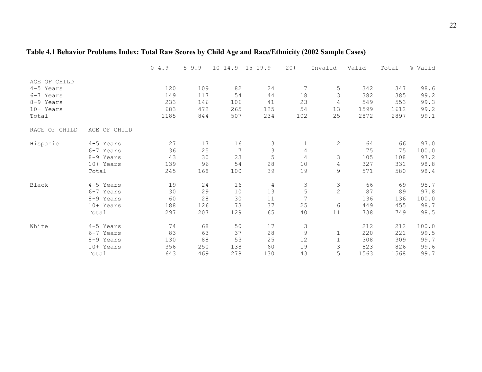### <span id="page-29-0"></span>**Table 4.1 Behavior Problems Index: Total Raw Scores by Child Age and Race/Ethnicity (2002 Sample Cases)**

|               |              | $0 - 4.9$ | $5 - 9.9$ | $10 - 14.9$ | $15 - 19.9$               | $20+$          | Invalid        | Valid | Total | % Valid |
|---------------|--------------|-----------|-----------|-------------|---------------------------|----------------|----------------|-------|-------|---------|
| AGE OF CHILD  |              |           |           |             |                           |                |                |       |       |         |
| 4-5 Years     |              | 120       | 109       | 82          | 24                        | 7              | 5              | 342   | 347   | 98.6    |
| 6-7 Years     |              | 149       | 117       | 54          | 44                        | 18             | 3              | 382   | 385   | 99.2    |
| 8-9 Years     |              | 233       | 146       | 106         | 41                        | 23             | 4              | 549   | 553   | 99.3    |
| 10+ Years     |              | 683       | 472       | 265         | 125                       | 54             | 13             | 1599  | 1612  | 99.2    |
| Total         |              | 1185      | 844       | 507         | 234                       | 102            | 25             | 2872  | 2897  | 99.1    |
| RACE OF CHILD | AGE OF CHILD |           |           |             |                           |                |                |       |       |         |
| Hispanic      | 4-5 Years    | 27        | 17        | 16          | $\ensuremath{\mathsf{3}}$ | $\mathbf 1$    | $\sqrt{2}$     | 64    | 66    | 97.0    |
|               | 6-7 Years    | 36        | 25        | 7           | 3                         | $\sqrt{4}$     |                | 75    | 75    | 100.0   |
|               | 8-9 Years    | 43        | 30        | 23          | 5                         | $\overline{4}$ | 3              | 105   | 108   | 97.2    |
|               | 10+ Years    | 139       | 96        | 54          | 28                        | 10             | 4              | 327   | 331   | 98.8    |
|               | Total        | 245       | 168       | 100         | 39                        | 19             | 9              | 571   | 580   | 98.4    |
| Black         | 4-5 Years    | 19        | 24        | 16          | 4                         | 3              | $\mathsf 3$    | 66    | 69    | 95.7    |
|               | 6-7 Years    | 30        | 29        | 10          | 13                        | 5              | $\overline{c}$ | 87    | 89    | 97.8    |
|               | 8-9 Years    | 60        | 28        | 30          | 11                        | $\overline{7}$ |                | 136   | 136   | 100.0   |
|               | 10+ Years    | 188       | 126       | 73          | 37                        | 25             | 6              | 449   | 455   | 98.7    |
|               | Total        | 297       | 207       | 129         | 65                        | 40             | 11             | 738   | 749   | 98.5    |
| White         | 4-5 Years    | 74        | 68        | 50          | 17                        | 3              |                | 212   | 212   | 100.0   |
|               | 6-7 Years    | 83        | 63        | 37          | 28                        | $\mathcal{G}$  | 1              | 220   | 221   | 99.5    |
|               | 8-9 Years    | 130       | 88        | 53          | 25                        | 12             | $\mathbf 1$    | 308   | 309   | 99.7    |
|               | 10+ Years    | 356       | 250       | 138         | 60                        | 19             | 3              | 823   | 826   | 99.6    |
|               | Total        | 643       | 469       | 278         | 130                       | 43             | 5              | 1563  | 1568  | 99.7    |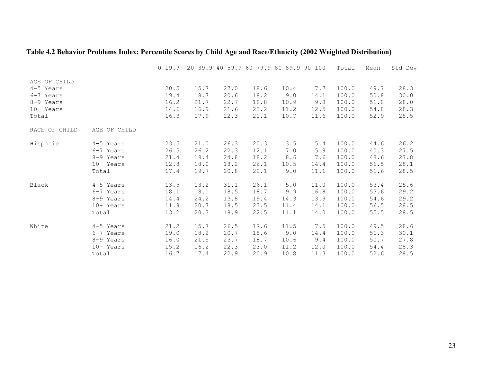### <span id="page-30-0"></span>**Table 4.2 Behavior Problems Index: Percentile Scores by Child Age and Race/Ethnicity (2002 Weighted Distribution)**

|               |              | $0 - 19.9$ |      | $20-39.9$ $40-59.9$ $60-79.9$ $80-89.9$ $90-100$ |      |      |      | Total | Mean | Std Dev |
|---------------|--------------|------------|------|--------------------------------------------------|------|------|------|-------|------|---------|
| AGE OF CHILD  |              |            |      |                                                  |      |      |      |       |      |         |
| 4-5 Years     |              | 20.5       | 15.7 | 27.0                                             | 18.6 | 10.4 | 7.7  | 100.0 | 49.7 | 28.3    |
| 6-7 Years     |              | 19.4       | 18.7 | 20.6                                             | 18.2 | 9.0  | 14.1 | 100.0 | 50.8 | 30.0    |
| 8-9 Years     |              | 16.2       | 21.7 | 22.7                                             | 18.8 | 10.9 | 9.8  | 100.0 | 51.0 | 28.0    |
| 10+ Years     |              | 14.6       | 16.9 | 21.6                                             | 23.2 | 11.2 | 12.5 | 100.0 | 54.8 | 28.3    |
| Total         |              | 16.3       | 17.9 | 22.3                                             | 21.1 | 10.7 | 11.6 | 100.0 | 52.9 | 28.5    |
| RACE OF CHILD | AGE OF CHILD |            |      |                                                  |      |      |      |       |      |         |
| Hispanic      | 4-5 Years    | 23.5       | 21.0 | 26.3                                             | 20.3 | 3.5  | 5.4  | 100.0 | 44.6 | 26.2    |
|               | 6-7 Years    | 26.5       | 26.2 | 22.3                                             | 12.1 | 7.0  | 5.9  | 100.0 | 40.3 | 27.5    |
|               | 8-9 Years    | 21.4       | 19.4 | 24.8                                             | 18.2 | 8.6  | 7.6  | 100.0 | 48.6 | 27.8    |
|               | 10+ Years    | 12.8       | 18.0 | 18.2                                             | 26.1 | 10.5 | 14.4 | 100.0 | 56.5 | 28.1    |
|               | Total        | 17.4       | 19.7 | 20.8                                             | 22.1 | 9.0  | 11.1 | 100.0 | 51.6 | 28.5    |
| Black         | 4-5 Years    | 13.5       | 13.2 | 31.1                                             | 26.1 | 5.0  | 11.0 | 100.0 | 53.4 | 25.6    |
|               | 6-7 Years    | 18.1       | 18.1 | 18.5                                             | 18.7 | 9.9  | 16.8 | 100.0 | 53.6 | 29.2    |
|               | 8-9 Years    | 14.4       | 24.2 | 13.8                                             | 19.4 | 14.3 | 13.9 | 100.0 | 54.6 | 29.2    |
|               | 10+ Years    | 11.8       | 20.7 | 18.5                                             | 23.5 | 11.4 | 14.1 | 100.0 | 56.5 | 28.5    |
|               | Total        | 13.2       | 20.3 | 18.9                                             | 22.5 | 11.1 | 14.0 | 100.0 | 55.5 | 28.5    |
| White         | 4-5 Years    | 21.2       | 15.7 | 26.5                                             | 17.6 | 11.5 | 7.5  | 100.0 | 49.5 | 28.6    |
|               | 6-7 Years    | 19.0       | 18.2 | 20.7                                             | 18.6 | 9.0  | 14.4 | 100.0 | 51.3 | 30.1    |
|               | 8-9 Years    | 16.0       | 21.5 | 23.7                                             | 18.7 | 10.6 | 9.4  | 100.0 | 50.7 | 27.8    |
|               | 10+ Years    | 15.2       | 16.2 | 22.3                                             | 23.0 | 11.2 | 12.0 | 100.0 | 54.4 | 28.3    |
|               | Total        | 16.7       | 17.4 | 22.9                                             | 20.9 | 10.8 | 11.3 | 100.0 | 52.6 | 28.5    |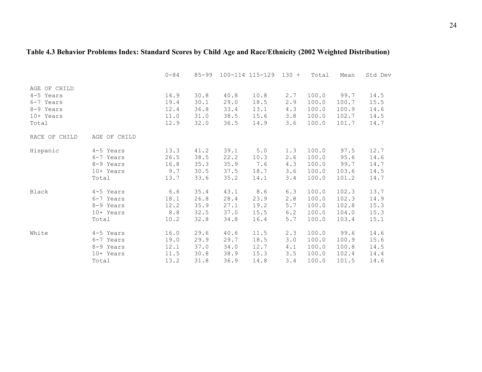### <span id="page-31-0"></span>**Table 4.3 Behavior Problems Index: Standard Scores by Child Age and Race/Ethnicity (2002 Weighted Distribution)**

|                                                                           |              | $0 - 84$                             | $85 - 99$                            |                                      | 100-114 115-129                      | $130 +$                         | Total                                     | Mean                                     | Std Dev                              |
|---------------------------------------------------------------------------|--------------|--------------------------------------|--------------------------------------|--------------------------------------|--------------------------------------|---------------------------------|-------------------------------------------|------------------------------------------|--------------------------------------|
| AGE OF CHILD<br>4-5 Years<br>6-7 Years<br>8-9 Years<br>10+ Years<br>Total |              | 14.9<br>19.4<br>12.4<br>11.0<br>12.9 | 30.8<br>30.1<br>36.8<br>31.0<br>32.0 | 40.8<br>29.0<br>33.4<br>38.5<br>36.5 | 10.8<br>18.5<br>13.1<br>15.6<br>14.9 | 2.7<br>2.9<br>4.3<br>3.8<br>3.6 | 100.0<br>100.0<br>100.0<br>100.0<br>100.0 | 99.7<br>100.7<br>100.9<br>102.7<br>101.7 | 14.5<br>15.5<br>14.6<br>14.5<br>14.7 |
| RACE OF CHILD                                                             | AGE OF CHILD |                                      |                                      |                                      |                                      |                                 |                                           |                                          |                                      |
| Hispanic                                                                  | 4-5 Years    | 13.3                                 | 41.2                                 | 39.1                                 | 5.0                                  | 1.3                             | 100.0                                     | 97.5                                     | 12.7                                 |
|                                                                           | 6-7 Years    | 26.5                                 | 38.5                                 | 22.2                                 | 10.3                                 | 2.6                             | 100.0                                     | 95.6                                     | 14.6                                 |
|                                                                           | 8-9 Years    | 16.8                                 | 35.3                                 | 35.9                                 | 7.6                                  | 4.3                             | 100.0                                     | 99.7                                     | 14.7                                 |
|                                                                           | 10+ Years    | 9.7                                  | 30.5                                 | 37.5                                 | 18.7                                 | 3.6                             | 100.0                                     | 103.6                                    | 14.5                                 |
|                                                                           | Total        | 13.7                                 | 33.6                                 | 35.2                                 | 14.1                                 | 3.4                             | 100.0                                     | 101.2                                    | 14.7                                 |
| Black                                                                     | 4-5 Years    | 6.6                                  | 35.4                                 | 43.1                                 | 8.6                                  | 6.3                             | 100.0                                     | 102.3                                    | 13.7                                 |
|                                                                           | 6-7 Years    | 18.1                                 | 26.8                                 | 28.4                                 | 23.9                                 | 2.8                             | 100.0                                     | 102.3                                    | 14.9                                 |
|                                                                           | 8-9 Years    | 12.2                                 | 35.9                                 | 27.1                                 | 19.2                                 | 5.7                             | 100.0                                     | 102.8                                    | 15.3                                 |
|                                                                           | 10+ Years    | 8.8                                  | 32.5                                 | 37.0                                 | 15.5                                 | 6.2                             | 100.0                                     | 104.0                                    | 15.3                                 |
|                                                                           | Total        | 10.2                                 | 32.8                                 | 34.8                                 | 16.4                                 | 5.7                             | 100.0                                     | 103.4                                    | 15.1                                 |
| White                                                                     | 4-5 Years    | 16.0                                 | 29.6                                 | 40.6                                 | 11.5                                 | 2.3                             | 100.0                                     | 99.6                                     | 14.6                                 |
|                                                                           | 6-7 Years    | 19.0                                 | 29.9                                 | 29.7                                 | 18.5                                 | 3.0                             | 100.0                                     | 100.9                                    | 15.6                                 |
|                                                                           | 8-9 Years    | 12.1                                 | 37.0                                 | 34.0                                 | 12.7                                 | 4.1                             | 100.0                                     | 100.8                                    | 14.5                                 |
|                                                                           | 10+ Years    | 11.5                                 | 30.8                                 | 38.9                                 | 15.3                                 | 3.5                             | 100.0                                     | 102.4                                    | 14.4                                 |
|                                                                           | Total        | 13.2                                 | 31.8                                 | 36.9                                 | 14.8                                 | 3.4                             | 100.0                                     | 101.5                                    | 14.6                                 |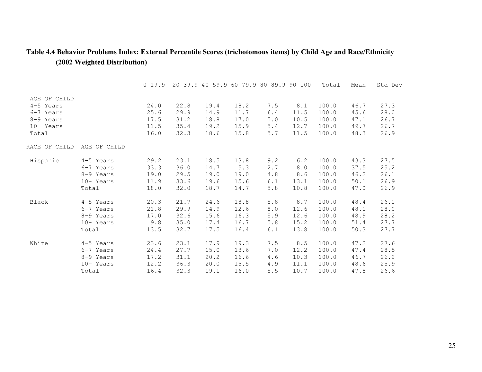#### <span id="page-32-0"></span>**Table 4.4 Behavior Problems Index: External Percentile Scores (trichotomous items) by Child Age and Race/Ethnicity (2002 Weighted Distribution)**

|               |              | $0 - 19.9$ |      |      | $20-39.9$ $40-59.9$ $60-79.9$ $80-89.9$ $90-100$ |       |       | Total | Mean | Std Dev |
|---------------|--------------|------------|------|------|--------------------------------------------------|-------|-------|-------|------|---------|
| AGE OF CHILD  |              |            |      |      |                                                  |       |       |       |      |         |
| 4-5 Years     |              | 24.0       | 22.8 | 19.4 | 18.2                                             | 7.5   | 8.1   | 100.0 | 46.7 | 27.3    |
| 6-7 Years     |              | 25.6       | 29.9 | 14.9 | 11.7                                             | 6.4   | 11.5  | 100.0 | 45.6 | 28.0    |
| 8-9 Years     |              | 17.5       | 31.2 | 18.8 | 17.0                                             | $5.0$ | 10.5  | 100.0 | 47.1 | 26.7    |
| 10+ Years     |              | 11.5       | 35.4 | 19.2 | 15.9                                             | $5.4$ | 12.7  | 100.0 | 49.7 | 26.7    |
| Total         |              | 16.0       | 32.3 | 18.6 | 15.8                                             | 5.7   | 11.5  | 100.0 | 48.3 | 26.9    |
| RACE OF CHILD | AGE OF CHILD |            |      |      |                                                  |       |       |       |      |         |
| Hispanic      | 4-5 Years    | 29.2       | 23.1 | 18.5 | 13.8                                             | 9.2   | 6.2   | 100.0 | 43.3 | 27.5    |
|               | 6-7 Years    | 33.3       | 36.0 | 14.7 | 5.3                                              | 2.7   | $8.0$ | 100.0 | 37.5 | 25.2    |
|               | 8-9 Years    | 19.0       | 29.5 | 19.0 | 19.0                                             | 4.8   | 8.6   | 100.0 | 46.2 | 26.1    |
|               | 10+ Years    | 11.9       | 33.6 | 19.6 | 15.6                                             | 6.1   | 13.1  | 100.0 | 50.1 | 26.9    |
|               | Total        | 18.0       | 32.0 | 18.7 | 14.7                                             | 5.8   | 10.8  | 100.0 | 47.0 | 26.9    |
| Black         | 4-5 Years    | 20.3       | 21.7 | 24.6 | 18.8                                             | 5.8   | 8.7   | 100.0 | 48.4 | 26.1    |
|               | 6-7 Years    | 21.8       | 29.9 | 14.9 | 12.6                                             | 8.0   | 12.6  | 100.0 | 48.1 | 28.0    |
|               | 8-9 Years    | 17.0       | 32.6 | 15.6 | 16.3                                             | 5.9   | 12.6  | 100.0 | 48.9 | 28.2    |
|               | 10+ Years    | 9.8        | 35.0 | 17.4 | 16.7                                             | $5.8$ | 15.2  | 100.0 | 51.4 | 27.7    |
|               | Total        | 13.5       | 32.7 | 17.5 | 16.4                                             | 6.1   | 13.8  | 100.0 | 50.3 | 27.7    |
| White         | 4-5 Years    | 23.6       | 23.1 | 17.9 | 19.3                                             | 7.5   | 8.5   | 100.0 | 47.2 | 27.6    |
|               | 6-7 Years    | 24.4       | 27.7 | 15.0 | 13.6                                             | 7.0   | 12.2  | 100.0 | 47.4 | 28.5    |
|               | 8-9 Years    | 17.2       | 31.1 | 20.2 | 16.6                                             | 4.6   | 10.3  | 100.0 | 46.7 | 26.2    |
|               | 10+ Years    | 12.2       | 36.3 | 20.0 | 15.5                                             | 4.9   | 11.1  | 100.0 | 48.6 | 25.9    |
|               | Total        | 16.4       | 32.3 | 19.1 | 16.0                                             | $5.5$ | 10.7  | 100.0 | 47.8 | 26.6    |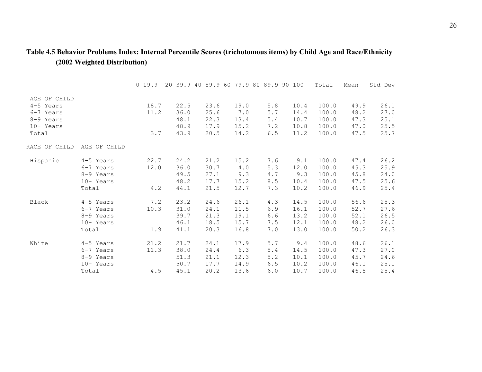#### <span id="page-33-0"></span>**Table 4.5 Behavior Problems Index: Internal Percentile Scores (trichotomous items) by Child Age and Race/Ethnicity (2002 Weighted Distribution)**

|               |              | $0 - 19.9$ |      |      |      | $20-39.9$ $40-59.9$ $60-79.9$ $80-89.9$ $90-100$ |      | Total | Mean | Std Dev |
|---------------|--------------|------------|------|------|------|--------------------------------------------------|------|-------|------|---------|
| AGE OF CHILD  |              |            |      |      |      |                                                  |      |       |      |         |
| 4-5 Years     |              | 18.7       | 22.5 | 23.6 | 19.0 | $5.8$                                            | 10.4 | 100.0 | 49.9 | 26.1    |
| 6-7 Years     |              | 11.2       | 36.0 | 25.6 | 7.0  | 5.7                                              | 14.4 | 100.0 | 48.2 | 27.0    |
| 8-9 Years     |              |            | 48.1 | 22.3 | 13.4 | $5.4$                                            | 10.7 | 100.0 | 47.3 | 25.1    |
| 10+ Years     |              |            | 48.9 | 17.9 | 15.2 | 7.2                                              | 10.8 | 100.0 | 47.0 | 25.5    |
| Total         |              | 3.7        | 43.9 | 20.5 | 14.2 | 6.5                                              | 11.2 | 100.0 | 47.5 | 25.7    |
| RACE OF CHILD | AGE OF CHILD |            |      |      |      |                                                  |      |       |      |         |
| Hispanic      | 4-5 Years    | 22.7       | 24.2 | 21.2 | 15.2 | 7.6                                              | 9.1  | 100.0 | 47.4 | 26.2    |
|               | 6-7 Years    | 12.0       | 36.0 | 30.7 | 4.0  | 5.3                                              | 12.0 | 100.0 | 45.3 | 25.9    |
|               | 8-9 Years    |            | 49.5 | 27.1 | 9.3  | 4.7                                              | 9.3  | 100.0 | 45.8 | 24.0    |
|               | 10+ Years    |            | 48.2 | 17.7 | 15.2 | 8.5                                              | 10.4 | 100.0 | 47.5 | 25.6    |
|               | Total        | 4.2        | 44.1 | 21.5 | 12.7 | 7.3                                              | 10.2 | 100.0 | 46.9 | 25.4    |
| Black         | 4-5 Years    | 7.2        | 23.2 | 24.6 | 26.1 | 4.3                                              | 14.5 | 100.0 | 56.6 | 25.3    |
|               | 6-7 Years    | 10.3       | 31.0 | 24.1 | 11.5 | 6.9                                              | 16.1 | 100.0 | 52.7 | 27.6    |
|               | 8-9 Years    |            | 39.7 | 21.3 | 19.1 | 6.6                                              | 13.2 | 100.0 | 52.1 | 26.5    |
|               | 10+ Years    |            | 46.1 | 18.5 | 15.7 | 7.5                                              | 12.1 | 100.0 | 48.2 | 26.0    |
|               | Total        | 1.9        | 41.1 | 20.3 | 16.8 | 7.0                                              | 13.0 | 100.0 | 50.2 | 26.3    |
| White         | 4-5 Years    | 21.2       | 21.7 | 24.1 | 17.9 | 5.7                                              | 9.4  | 100.0 | 48.6 | 26.1    |
|               | 6-7 Years    | 11.3       | 38.0 | 24.4 | 6.3  | $5.4$                                            | 14.5 | 100.0 | 47.3 | 27.0    |
|               | 8-9 Years    |            | 51.3 | 21.1 | 12.3 | 5.2                                              | 10.1 | 100.0 | 45.7 | 24.6    |
|               | 10+ Years    |            | 50.7 | 17.7 | 14.9 | 6.5                                              | 10.2 | 100.0 | 46.1 | 25.1    |
|               | Total        | 4.5        | 45.1 | 20.2 | 13.6 | 6.0                                              | 10.7 | 100.0 | 46.5 | 25.4    |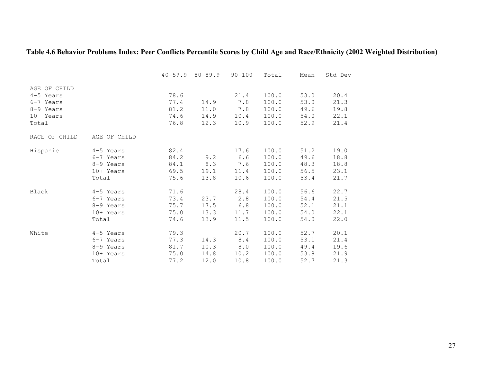### <span id="page-34-0"></span>**Table 4.6 Behavior Problems Index: Peer Conflicts Percentile Scores by Child Age and Race/Ethnicity (2002 Weighted Distribution)**

|               |              |      | $40 - 59.9$ $80 - 89.9$ | $90 - 100$ | Total | Mean | Std Dev |
|---------------|--------------|------|-------------------------|------------|-------|------|---------|
| AGE OF CHILD  |              |      |                         |            |       |      |         |
| 4-5 Years     |              | 78.6 |                         | 21.4       | 100.0 | 53.0 | 20.4    |
| 6-7 Years     |              | 77.4 | 14.9                    | 7.8        | 100.0 | 53.0 | 21.3    |
| 8-9 Years     |              | 81.2 | 11.0                    | 7.8        | 100.0 | 49.6 | 19.8    |
| 10+ Years     |              | 74.6 | 14.9                    | 10.4       | 100.0 | 54.0 | 22.1    |
| Total         |              | 76.8 | 12.3                    | 10.9       | 100.0 | 52.9 | 21.4    |
| RACE OF CHILD | AGE OF CHILD |      |                         |            |       |      |         |
| Hispanic      | 4-5 Years    | 82.4 |                         | 17.6       | 100.0 | 51.2 | 19.0    |
|               | 6-7 Years    | 84.2 | 9.2                     | 6.6        | 100.0 | 49.6 | 18.8    |
|               | 8-9 Years    | 84.1 | 8.3                     | 7.6        | 100.0 | 48.3 | 18.8    |
|               | 10+ Years    | 69.5 | 19.1                    | 11.4       | 100.0 | 56.5 | 23.1    |
|               | Total        | 75.6 | 13.8                    | 10.6       | 100.0 | 53.4 | 21.7    |
| Black         | 4-5 Years    | 71.6 |                         | 28.4       | 100.0 | 56.6 | 22.7    |
|               | 6-7 Years    | 73.4 | 23.7                    | 2.8        | 100.0 | 54.4 | 21.5    |
|               | 8-9 Years    | 75.7 | 17.5                    | 6.8        | 100.0 | 52.1 | 21.1    |
|               | 10+ Years    | 75.0 | 13.3                    | 11.7       | 100.0 | 54.0 | 22.1    |
|               | Total        | 74.6 | 13.9                    | 11.5       | 100.0 | 54.0 | 22.0    |
| White         | 4-5 Years    | 79.3 |                         | 20.7       | 100.0 | 52.7 | 20.1    |
|               | 6-7 Years    | 77.3 | 14.3                    | 8.4        | 100.0 | 53.1 | 21.4    |
|               | 8-9 Years    | 81.7 | 10.3                    | 8.0        | 100.0 | 49.4 | 19.6    |
|               | 10+ Years    | 75.0 | 14.8                    | 10.2       | 100.0 | 53.8 | 21.9    |
|               | Total        | 77.2 | 12.0                    | 10.8       | 100.0 | 52.7 | 21.3    |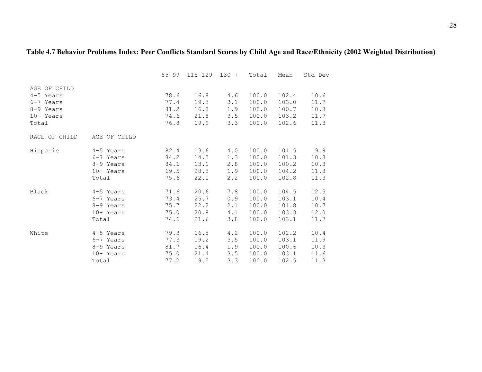### <span id="page-35-0"></span>**Table 4.7 Behavior Problems Index: Peer Conflicts Standard Scores by Child Age and Race/Ethnicity (2002 Weighted Distribution)**

|                                                                           |              | $85 - 99$                            | $115 - 129$ 130 +                    |                                 | Total                                     | Mean                                      | Std Dev                              |
|---------------------------------------------------------------------------|--------------|--------------------------------------|--------------------------------------|---------------------------------|-------------------------------------------|-------------------------------------------|--------------------------------------|
| AGE OF CHILD<br>4-5 Years<br>6-7 Years<br>8-9 Years<br>10+ Years<br>Total |              | 78.6<br>77.4<br>81.2<br>74.6<br>76.8 | 16.8<br>19.5<br>16.8<br>21.8<br>19.9 | 4.6<br>3.1<br>1.9<br>3.5<br>3.3 | 100.0<br>100.0<br>100.0<br>100.0<br>100.0 | 102.4<br>103.0<br>100.7<br>103.2<br>102.6 | 10.6<br>11.7<br>10.3<br>11.7<br>11.3 |
| RACE OF CHILD                                                             | AGE OF CHILD |                                      |                                      |                                 |                                           |                                           |                                      |
| Hispanic                                                                  | 4-5 Years    | 82.4                                 | 13.6                                 | 4.0                             | 100.0                                     | 101.5                                     | 9.9                                  |
|                                                                           | 6-7 Years    | 84.2                                 | 14.5                                 | 1.3                             | 100.0                                     | 101.3                                     | 10.3                                 |
|                                                                           | 8-9 Years    | 84.1                                 | 13.1                                 | 2.8                             | 100.0                                     | 100.2                                     | 10.3                                 |
|                                                                           | 10+ Years    | 69.5                                 | 28.5                                 | 1.9                             | 100.0                                     | 104.2                                     | 11.8                                 |
|                                                                           | Total        | 75.6                                 | 22.1                                 | 2, 2                            | 100.0                                     | 102.8                                     | 11.3                                 |
| Black                                                                     | 4-5 Years    | 71.6                                 | 20.6                                 | 7.8                             | 100.0                                     | 104.5                                     | 12.5                                 |
|                                                                           | 6-7 Years    | 73.4                                 | 25.7                                 | 0.9                             | 100.0                                     | 103.1                                     | 10.4                                 |
|                                                                           | 8-9 Years    | 75.7                                 | 22.2                                 | 2.1                             | 100.0                                     | 101.8                                     | 10.7                                 |
|                                                                           | 10+ Years    | 75.0                                 | 20.8                                 | 4.1                             | 100.0                                     | 103.3                                     | 12.0                                 |
|                                                                           | Total        | 74.6                                 | 21.6                                 | 3.8                             | 100.0                                     | 103.1                                     | 11.7                                 |
| White                                                                     | 4-5 Years    | 79.3                                 | 16.5                                 | 4.2                             | 100.0                                     | 102.2                                     | 10.4                                 |
|                                                                           | 6-7 Years    | 77.3                                 | 19.2                                 | 3.5                             | 100.0                                     | 103.1                                     | 11.9                                 |
|                                                                           | 8-9 Years    | 81.7                                 | 16.4                                 | 1.9                             | 100.0                                     | 100.6                                     | 10.3                                 |
|                                                                           | 10+ Years    | 75.0                                 | 21.4                                 | 3.5                             | 100.0                                     | 103.1                                     | 11.6                                 |
|                                                                           | Total        | 77.2                                 | 19.5                                 | 3.3                             | 100.0                                     | 102.5                                     | 11.3                                 |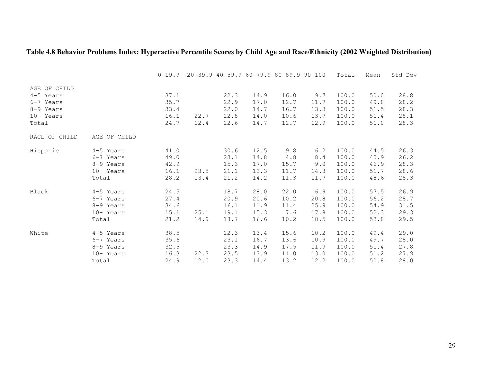## **Table 4.8 Behavior Problems Index: Hyperactive Percentile Scores by Child Age and Race/Ethnicity (2002 Weighted Distribution)**

|                           |              | $0 - 19.9$ |      | $20-39.9$ $40-59.9$ $60-79.9$ $80-89.9$ $90-100$ |      |       |      | Total | Mean | Std Dev |
|---------------------------|--------------|------------|------|--------------------------------------------------|------|-------|------|-------|------|---------|
| AGE OF CHILD<br>4-5 Years |              | 37.1       |      | 22.3                                             | 14.9 | 16.0  | 9.7  | 100.0 | 50.0 | 28.8    |
| 6-7 Years                 |              | 35.7       |      | 22.9                                             | 17.0 | 12.7  | 11.7 | 100.0 | 49.8 | 28.2    |
| 8-9 Years                 |              | 33.4       |      | 22.0                                             | 14.7 | 16.7  | 13.3 | 100.0 | 51.5 | 28.3    |
| 10+ Years                 |              | 16.1       | 22.7 | 22.8                                             | 14.0 | 10.6  | 13.7 | 100.0 | 51.4 | 28.1    |
| Total                     |              | 24.7       | 12.4 | 22.6                                             | 14.7 | 12.7  | 12.9 | 100.0 | 51.0 | 28.3    |
| RACE OF CHILD             | AGE OF CHILD |            |      |                                                  |      |       |      |       |      |         |
| Hispanic                  | 4-5 Years    | 41.0       |      | 30.6                                             | 12.5 | 9.8   | 6.2  | 100.0 | 44.5 | 26.3    |
|                           | 6-7 Years    | 49.0       |      | 23.1                                             | 14.8 | $4.8$ | 8.4  | 100.0 | 40.9 | 26.2    |
|                           | 8-9 Years    | 42.9       |      | 15.3                                             | 17.0 | 15.7  | 9.0  | 100.0 | 46.9 | 28.3    |
|                           | 10+ Years    | 16.1       | 23.5 | 21.1                                             | 13.3 | 11.7  | 14.3 | 100.0 | 51.7 | 28.6    |
|                           | Total        | 28.2       | 13.4 | 21.2                                             | 14.2 | 11.3  | 11.7 | 100.0 | 48.6 | 28.3    |
| Black                     | 4-5 Years    | 24.5       |      | 18.7                                             | 28.0 | 22.0  | 6.9  | 100.0 | 57.5 | 26.9    |
|                           | 6-7 Years    | 27.4       |      | 20.9                                             | 20.6 | 10.2  | 20.8 | 100.0 | 56.2 | 28.7    |
|                           | 8-9 Years    | 34.6       |      | 16.1                                             | 11.9 | 11.4  | 25.9 | 100.0 | 54.9 | 31.5    |
|                           | 10+ Years    | 15.1       | 25.1 | 19.1                                             | 15.3 | 7.6   | 17.8 | 100.0 | 52.3 | 29.3    |
|                           | Total        | 21.2       | 14.9 | 18.7                                             | 16.6 | 10.2  | 18.5 | 100.0 | 53.8 | 29.5    |
| White                     | 4-5 Years    | 38.5       |      | 22.3                                             | 13.4 | 15.6  | 10.2 | 100.0 | 49.4 | 29.0    |
|                           | 6-7 Years    | 35.6       |      | 23.1                                             | 16.7 | 13.6  | 10.9 | 100.0 | 49.7 | 28.0    |
|                           | 8-9 Years    | 32.5       |      | 23.3                                             | 14.9 | 17.5  | 11.9 | 100.0 | 51.4 | 27.8    |
|                           | 10+ Years    | 16.3       | 22.3 | 23.5                                             | 13.9 | 11.0  | 13.0 | 100.0 | 51.2 | 27.9    |
|                           | Total        | 24.9       | 12.0 | 23.3                                             | 14.4 | 13.2  | 12.2 | 100.0 | 50.8 | 28.0    |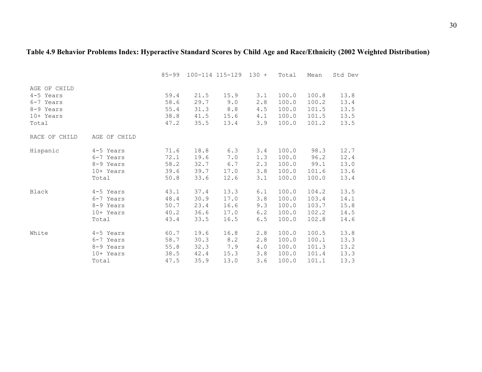## **Table 4.9 Behavior Problems Index: Hyperactive Standard Scores by Child Age and Race/Ethnicity (2002 Weighted Distribution)**

|                                                                           |                                                           | $85 - 99$                            |                                      | $100 - 114$ $115 - 129$ $130 +$      |                                 | Total                                     | Mean                                      | Std Dev                              |
|---------------------------------------------------------------------------|-----------------------------------------------------------|--------------------------------------|--------------------------------------|--------------------------------------|---------------------------------|-------------------------------------------|-------------------------------------------|--------------------------------------|
| AGE OF CHILD<br>4-5 Years<br>6-7 Years<br>8-9 Years<br>10+ Years<br>Total |                                                           | 59.4<br>58.6<br>55.4<br>38.8<br>47.2 | 21.5<br>29.7<br>31.3<br>41.5<br>35.5 | 15.9<br>9.0<br>8.8<br>15.6<br>13.4   | 3.1<br>2.8<br>4.5<br>4.1<br>3.9 | 100.0<br>100.0<br>100.0<br>100.0<br>100.0 | 100.8<br>100.2<br>101.5<br>101.5<br>101.2 | 13.8<br>13.4<br>13.5<br>13.5<br>13.5 |
|                                                                           |                                                           |                                      |                                      |                                      |                                 |                                           |                                           |                                      |
| RACE OF CHILD                                                             | AGE OF CHILD                                              |                                      |                                      |                                      |                                 |                                           |                                           |                                      |
| Hispanic                                                                  | 4-5 Years<br>6-7 Years<br>8-9 Years<br>10+ Years<br>Total | 71.6<br>72.1<br>58.2<br>39.6<br>50.8 | 18.8<br>19.6<br>32.7<br>39.7<br>33.6 | 6.3<br>7.0<br>6.7<br>17.0<br>12.6    | 3.4<br>1.3<br>2.3<br>3.8<br>3.1 | 100.0<br>100.0<br>100.0<br>100.0<br>100.0 | 98.3<br>96.2<br>99.1<br>101.6<br>100.0    | 12.7<br>12.4<br>13.0<br>13.6<br>13.4 |
| Black                                                                     | 4-5 Years<br>6-7 Years<br>8-9 Years<br>10+ Years<br>Total | 43.1<br>48.4<br>50.7<br>40.2<br>43.4 | 37.4<br>30.9<br>23.4<br>36.6<br>33.5 | 13.3<br>17.0<br>16.6<br>17.0<br>16.5 | 6.1<br>3.8<br>9.3<br>6.2<br>6.5 | 100.0<br>100.0<br>100.0<br>100.0<br>100.0 | 104.2<br>103.4<br>103.7<br>102.2<br>102.8 | 13.5<br>14.1<br>15.8<br>14.5<br>14.6 |
| White                                                                     | 4-5 Years<br>6-7 Years<br>8-9 Years<br>10+ Years<br>Total | 60.7<br>58.7<br>55.8<br>38.5<br>47.5 | 19.6<br>30.3<br>32.3<br>42.4<br>35.9 | 16.8<br>8.2<br>7.9<br>15.3<br>13.0   | 2.8<br>2.8<br>4.0<br>3.8<br>3.6 | 100.0<br>100.0<br>100.0<br>100.0<br>100.0 | 100.5<br>100.1<br>101.3<br>101.4<br>101.1 | 13.8<br>13.3<br>13.2<br>13.3<br>13.3 |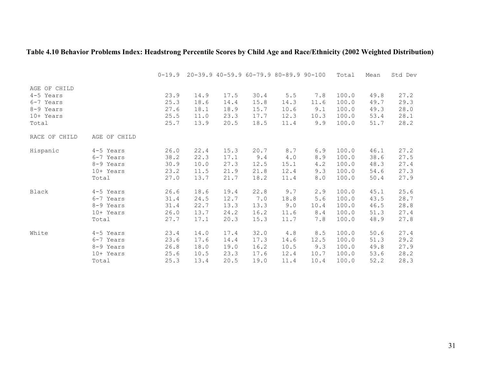## **Table 4.10 Behavior Problems Index: Headstrong Percentile Scores by Child Age and Race/Ethnicity (2002 Weighted Distribution)**

|                                                                           |              | $0 - 19.9$                           |                                      |                                      | $20-39.9$ $40-59.9$ $60-79.9$ $80-89.9$ $90-100$ |                                     |                                   | Total                                     | Mean                                 | Std Dev                              |
|---------------------------------------------------------------------------|--------------|--------------------------------------|--------------------------------------|--------------------------------------|--------------------------------------------------|-------------------------------------|-----------------------------------|-------------------------------------------|--------------------------------------|--------------------------------------|
| AGE OF CHILD<br>4-5 Years<br>6-7 Years<br>8-9 Years<br>10+ Years<br>Total |              | 23.9<br>25.3<br>27.6<br>25.5<br>25.7 | 14.9<br>18.6<br>18.1<br>11.0<br>13.9 | 17.5<br>14.4<br>18.9<br>23.3<br>20.5 | 30.4<br>15.8<br>15.7<br>17.7<br>18.5             | 5.5<br>14.3<br>10.6<br>12.3<br>11.4 | 7.8<br>11.6<br>9.1<br>10.3<br>9.9 | 100.0<br>100.0<br>100.0<br>100.0<br>100.0 | 49.8<br>49.7<br>49.3<br>53.4<br>51.7 | 27.2<br>29.3<br>28.0<br>28.1<br>28.2 |
| RACE OF CHILD                                                             | AGE OF CHILD |                                      |                                      |                                      |                                                  |                                     |                                   |                                           |                                      |                                      |
| Hispanic                                                                  | 4-5 Years    | 26.0                                 | 22.4                                 | 15.3                                 | 20.7                                             | 8.7                                 | 6.9                               | 100.0                                     | 46.1                                 | 27.2                                 |
|                                                                           | 6-7 Years    | 38.2                                 | 22.3                                 | 17.1                                 | 9.4                                              | 4.0                                 | 8.9                               | 100.0                                     | 38.6                                 | 27.5                                 |
|                                                                           | 8-9 Years    | 30.9                                 | 10.0                                 | 27.3                                 | 12.5                                             | 15.1                                | 4.2                               | 100.0                                     | 48.3                                 | 27.4                                 |
|                                                                           | 10+ Years    | 23.2                                 | 11.5                                 | 21.9                                 | 21.8                                             | 12.4                                | 9.3                               | 100.0                                     | 54.6                                 | 27.3                                 |
|                                                                           | Total        | 27.0                                 | 13.7                                 | 21.7                                 | 18.2                                             | 11.4                                | 8.0                               | 100.0                                     | 50.4                                 | 27.9                                 |
| Black                                                                     | 4-5 Years    | 26.6                                 | 18.6                                 | 19.4                                 | 22.8                                             | 9.7                                 | 2.9                               | 100.0                                     | 45.1                                 | 25.6                                 |
|                                                                           | 6-7 Years    | 31.4                                 | 24.5                                 | 12.7                                 | 7.0                                              | 18.8                                | $5.6$                             | 100.0                                     | 43.5                                 | 28.7                                 |
|                                                                           | 8-9 Years    | 31.4                                 | 22.7                                 | 13.3                                 | 13.3                                             | 9.0                                 | 10.4                              | 100.0                                     | 46.5                                 | 28.8                                 |
|                                                                           | 10+ Years    | 26.0                                 | 13.7                                 | 24.2                                 | 16.2                                             | 11.6                                | 8.4                               | 100.0                                     | 51.3                                 | 27.4                                 |
|                                                                           | Total        | 27.7                                 | 17.1                                 | 20.3                                 | 15.3                                             | 11.7                                | 7.8                               | 100.0                                     | 48.9                                 | 27.8                                 |
| White                                                                     | 4-5 Years    | 23.4                                 | 14.0                                 | 17.4                                 | 32.0                                             | 4.8                                 | 8.5                               | 100.0                                     | 50.6                                 | 27.4                                 |
|                                                                           | 6-7 Years    | 23.6                                 | 17.6                                 | 14.4                                 | 17.3                                             | 14.6                                | 12.5                              | 100.0                                     | 51.3                                 | 29.2                                 |
|                                                                           | 8-9 Years    | 26.8                                 | 18.0                                 | 19.0                                 | 16.2                                             | 10.5                                | 9.3                               | 100.0                                     | 49.8                                 | 27.9                                 |
|                                                                           | 10+ Years    | 25.6                                 | 10.5                                 | 23.3                                 | 17.6                                             | 12.4                                | 10.7                              | 100.0                                     | 53.6                                 | 28.2                                 |
|                                                                           | Total        | 25.3                                 | 13.4                                 | 20.5                                 | 19.0                                             | 11.4                                | 10.4                              | 100.0                                     | 52.2                                 | 28.3                                 |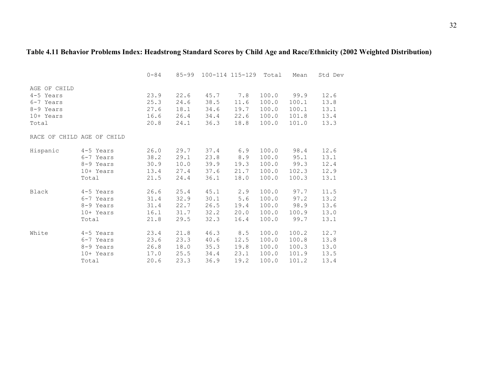## **Table 4.11 Behavior Problems Index: Headstrong Standard Scores by Child Age and Race/Ethnicity (2002 Weighted Distribution)**

|                                                                           |           | $0 - 84$                             | $85 - 99$                            | 100-114 115-129 Total                |                                     |                                           | Mean                                     | Std Dev                              |
|---------------------------------------------------------------------------|-----------|--------------------------------------|--------------------------------------|--------------------------------------|-------------------------------------|-------------------------------------------|------------------------------------------|--------------------------------------|
| AGE OF CHILD<br>4-5 Years<br>6-7 Years<br>8-9 Years<br>10+ Years<br>Total |           | 23.9<br>25.3<br>27.6<br>16.6<br>20.8 | 22.6<br>24.6<br>18.1<br>26.4<br>24.1 | 45.7<br>38.5<br>34.6<br>34.4<br>36.3 | 7.8<br>11.6<br>19.7<br>22.6<br>18.8 | 100.0<br>100.0<br>100.0<br>100.0<br>100.0 | 99.9<br>100.1<br>100.1<br>101.8<br>101.0 | 12.6<br>13.8<br>13.1<br>13.4<br>13.3 |
| RACE OF CHILD AGE OF CHILD                                                |           |                                      |                                      |                                      |                                     |                                           |                                          |                                      |
| Hispanic                                                                  | 4-5 Years | 26.0                                 | 29.7                                 | 37.4                                 | 6.9                                 | 100.0                                     | 98.4                                     | 12.6                                 |
|                                                                           | 6-7 Years | 38.2                                 | 29.1                                 | 23.8                                 | 8.9                                 | 100.0                                     | 95.1                                     | 13.1                                 |
|                                                                           | 8-9 Years | 30.9                                 | 10.0                                 | 39.9                                 | 19.3                                | 100.0                                     | 99.3                                     | 12.4                                 |
|                                                                           | 10+ Years | 13.4                                 | 27.4                                 | 37.6                                 | 21.7                                | 100.0                                     | 102.3                                    | 12.9                                 |
|                                                                           | Total     | 21.5                                 | 24.4                                 | 36.1                                 | 18.0                                | 100.0                                     | 100.3                                    | 13.1                                 |
| Black                                                                     | 4-5 Years | 26.6                                 | 25.4                                 | 45.1                                 | 2.9                                 | 100.0                                     | 97.7                                     | 11.5                                 |
|                                                                           | 6-7 Years | 31.4                                 | 32.9                                 | 30.1                                 | 5.6                                 | 100.0                                     | 97.2                                     | 13.2                                 |
|                                                                           | 8-9 Years | 31.4                                 | 22.7                                 | 26.5                                 | 19.4                                | 100.0                                     | 98.9                                     | 13.6                                 |
|                                                                           | 10+ Years | 16.1                                 | 31.7                                 | 32.2                                 | 20.0                                | 100.0                                     | 100.9                                    | 13.0                                 |
|                                                                           | Total     | 21.8                                 | 29.5                                 | 32.3                                 | 16.4                                | 100.0                                     | 99.7                                     | 13.1                                 |
| White                                                                     | 4-5 Years | 23.4                                 | 21.8                                 | 46.3                                 | 8.5                                 | 100.0                                     | 100.2                                    | 12.7                                 |
|                                                                           | 6-7 Years | 23.6                                 | 23.3                                 | 40.6                                 | 12.5                                | 100.0                                     | 100.8                                    | 13.8                                 |
|                                                                           | 8-9 Years | 26.8                                 | 18.0                                 | 35.3                                 | 19.8                                | 100.0                                     | 100.3                                    | 13.0                                 |
|                                                                           | 10+ Years | 17.0                                 | 25.5                                 | 34.4                                 | 23.1                                | 100.0                                     | 101.9                                    | 13.5                                 |
|                                                                           | Total     | 20.6                                 | 23.3                                 | 36.9                                 | 19.2                                | 100.0                                     | 101.2                                    | 13.4                                 |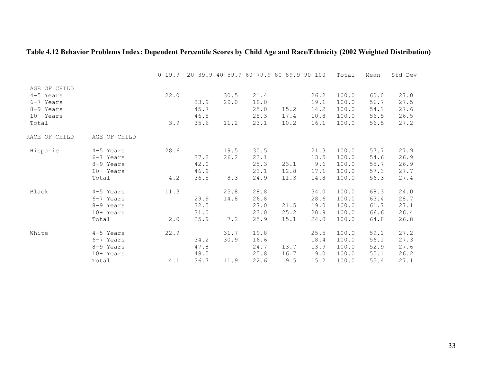## **Table 4.12 Behavior Problems Index: Dependent Percentile Scores by Child Age and Race/Ethnicity (2002 Weighted Distribution)**

|               |              | $0 - 19.9$ |      |      | $20 - 39.9$ $40 - 59.9$ $60 - 79.9$ $80 - 89.9$ $90 - 100$ |      |      | Total | Mean | Std Dev |
|---------------|--------------|------------|------|------|------------------------------------------------------------|------|------|-------|------|---------|
| AGE OF CHILD  |              |            |      |      |                                                            |      |      |       |      |         |
| 4-5 Years     |              | 22.0       |      | 30.5 | 21.4                                                       |      | 26.2 | 100.0 | 60.0 | 27.0    |
| 6-7 Years     |              |            | 33.9 | 29.0 | 18.0                                                       |      | 19.1 | 100.0 | 56.7 | 27.5    |
| 8-9 Years     |              |            | 45.7 |      | 25.0                                                       | 15.2 | 14.2 | 100.0 | 54.1 | 27.6    |
| 10+ Years     |              |            | 46.5 |      | 25.3                                                       | 17.4 | 10.8 | 100.0 | 56.5 | 26.5    |
| Total         |              | 3.9        | 35.6 | 11.2 | 23.1                                                       | 10.2 | 16.1 | 100.0 | 56.5 | 27.2    |
| RACE OF CHILD | AGE OF CHILD |            |      |      |                                                            |      |      |       |      |         |
| Hispanic      | 4-5 Years    | 28.6       |      | 19.5 | 30.5                                                       |      | 21.3 | 100.0 | 57.7 | 27.9    |
|               | 6-7 Years    |            | 37.2 | 26.2 | 23.1                                                       |      | 13.5 | 100.0 | 54.6 | 26.9    |
|               | 8-9 Years    |            | 42.0 |      | 25.3                                                       | 23.1 | 9.6  | 100.0 | 55.7 | 26.9    |
|               | 10+ Years    |            | 46.9 |      | 23.1                                                       | 12.8 | 17.1 | 100.0 | 57.3 | 27.7    |
|               | Total        | 4.2        | 36.5 | 8.3  | 24.9                                                       | 11.3 | 14.8 | 100.0 | 56.3 | 27.4    |
| Black         | 4-5 Years    | 11.3       |      | 25.8 | 28.8                                                       |      | 34.0 | 100.0 | 68.3 | 24.0    |
|               | 6-7 Years    |            | 29.9 | 14.8 | 26.8                                                       |      | 28.6 | 100.0 | 63.4 | 28.7    |
|               | 8-9 Years    |            | 32.5 |      | 27.0                                                       | 21.5 | 19.0 | 100.0 | 61.7 | 27.1    |
|               | 10+ Years    |            | 31.0 |      | 23.0                                                       | 25.2 | 20.9 | 100.0 | 66.6 | 26.4    |
|               | Total        | 2.0        | 25.9 | 7.2  | 25.9                                                       | 15.1 | 24.0 | 100.0 | 64.8 | 26.8    |
| White         | 4-5 Years    | 22.9       |      | 31.7 | 19.8                                                       |      | 25.5 | 100.0 | 59.1 | 27.2    |
|               | 6-7 Years    |            | 34.2 | 30.9 | 16.6                                                       |      | 18.4 | 100.0 | 56.1 | 27.3    |
|               | 8-9 Years    |            | 47.8 |      | 24.7                                                       | 13.7 | 13.9 | 100.0 | 52.9 | 27.6    |
|               | 10+ Years    |            | 48.5 |      | 25.8                                                       | 16.7 | 9.0  | 100.0 | 55.1 | 26.2    |
|               | Total        | 4.1        | 36.7 | 11.9 | 22.6                                                       | 9.5  | 15.2 | 100.0 | 55.4 | 27.1    |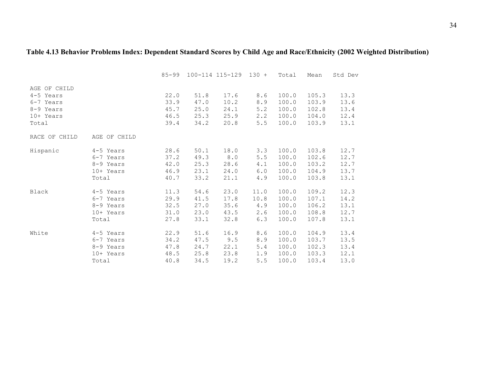## **Table 4.13 Behavior Problems Index: Dependent Standard Scores by Child Age and Race/Ethnicity (2002 Weighted Distribution)**

|                        |              | $85 - 99$    |              | $100 - 114$ 115-129 130 + |            | Total          | Mean           | Std Dev      |
|------------------------|--------------|--------------|--------------|---------------------------|------------|----------------|----------------|--------------|
| AGE OF CHILD           |              |              |              |                           |            |                |                |              |
| 4-5 Years<br>6-7 Years |              | 22.0<br>33.9 | 51.8<br>47.0 | 17.6<br>10.2              | 8.6<br>8.9 | 100.0<br>100.0 | 105.3<br>103.9 | 13.3<br>13.6 |
| 8-9 Years              |              | 45.7         | 25.0         | 24.1                      | 5.2        | 100.0          | 102.8          | 13.4         |
| 10+ Years              |              | 46.5         | 25.3         | 25.9                      | 2.2        | 100.0          | 104.0          | 12.4         |
| Total                  |              | 39.4         | 34.2         | 20.8                      | 5.5        | 100.0          | 103.9          | 13.1         |
| RACE OF CHILD          | AGE OF CHILD |              |              |                           |            |                |                |              |
| Hispanic               | 4-5 Years    | 28.6         | 50.1         | 18.0                      | 3.3        | 100.0          | 103.8          | 12.7         |
|                        | 6-7 Years    | 37.2         | 49.3         | 8.0                       | 5.5        | 100.0          | 102.6          | 12.7         |
|                        | 8-9 Years    | 42.0         | 25.3         | 28.6                      | 4.1        | 100.0          | 103.2          | 12.7         |
|                        | 10+ Years    | 46.9         | 23.1         | 24.0                      | 6.0        | 100.0          | 104.9          | 13.7         |
|                        | Total        | 40.7         | 33.2         | 21.1                      | 4.9        | 100.0          | 103.8          | 13.1         |
| Black                  | 4-5 Years    | 11.3         | 54.6         | 23.0                      | 11.0       | 100.0          | 109.2          | 12.3         |
|                        | 6-7 Years    | 29.9         | 41.5         | 17.8                      | 10.8       | 100.0          | 107.1          | 14.2         |
|                        | 8-9 Years    | 32.5         | 27.0         | 35.6                      | 4.9        | 100.0          | 106.2          | 13.1         |
|                        | 10+ Years    | 31.0         | 23.0         | 43.5                      | 2.6        | 100.0          | 108.8          | 12.7         |
|                        | Total        | 27.8         | 33.1         | 32.8                      | 6.3        | 100.0          | 107.8          | 13.1         |
| White                  | 4-5 Years    | 22.9         | 51.6         | 16.9                      | 8.6        | 100.0          | 104.9          | 13.4         |
|                        | 6-7 Years    | 34.2         | 47.5         | 9.5                       | 8.9        | 100.0          | 103.7          | 13.5         |
|                        | 8-9 Years    | 47.8         | 24.7         | 22.1                      | 5.4        | 100.0          | 102.3          | 13.4         |
|                        | 10+ Years    | 48.5         | 25.8         | 23.8                      | 1.9        | 100.0          | 103.3          | 12.1         |
|                        | Total        | 40.8         | 34.5         | 19.2                      | 5.5        | 100.0          | 103.4          | 13.0         |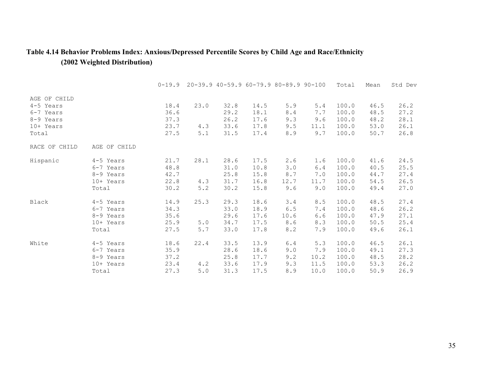### **Table 4.14 Behavior Problems Index: Anxious/Depressed Percentile Scores by Child Age and Race/Ethnicity (2002 Weighted Distribution)**

|               |              | $0 - 19.9$ |       |      |      | $20-39.9$ $40-59.9$ $60-79.9$ $80-89.9$ $90-100$ |      | Total | Mean | Std Dev |
|---------------|--------------|------------|-------|------|------|--------------------------------------------------|------|-------|------|---------|
| AGE OF CHILD  |              |            |       |      |      |                                                  |      |       |      |         |
| 4-5 Years     |              | 18.4       | 23.0  | 32.8 | 14.5 | 5.9                                              | 5.4  | 100.0 | 46.5 | 26.2    |
| 6-7 Years     |              | 36.6       |       | 29.2 | 18.1 | 8.4                                              | 7.7  | 100.0 | 48.5 | 27.2    |
| 8-9 Years     |              | 37.3       |       | 26.2 | 17.6 | 9.3                                              | 9.6  | 100.0 | 48.2 | 28.1    |
| 10+ Years     |              | 23.7       | 4.3   | 33.6 | 17.8 | 9.5                                              | 11.1 | 100.0 | 53.0 | 26.1    |
| Total         |              | 27.5       | $5.1$ | 31.5 | 17.4 | 8.9                                              | 9.7  | 100.0 | 50.7 | 26.8    |
| RACE OF CHILD | AGE OF CHILD |            |       |      |      |                                                  |      |       |      |         |
| Hispanic      | 4-5 Years    | 21.7       | 28.1  | 28.6 | 17.5 | 2.6                                              | 1.6  | 100.0 | 41.6 | 24.5    |
|               | 6-7 Years    | 48.8       |       | 31.0 | 10.8 | 3.0                                              | 6.4  | 100.0 | 40.5 | 25.5    |
|               | 8-9 Years    | 42.7       |       | 25.8 | 15.8 | 8.7                                              | 7.0  | 100.0 | 44.7 | 27.4    |
|               | 10+ Years    | 22.8       | 4.3   | 31.7 | 16.8 | 12.7                                             | 11.7 | 100.0 | 54.5 | 26.5    |
|               | Total        | 30.2       | 5.2   | 30.2 | 15.8 | 9.6                                              | 9.0  | 100.0 | 49.4 | 27.0    |
| Black         | 4-5 Years    | 14.9       | 25.3  | 29.3 | 18.6 | 3.4                                              | 8.5  | 100.0 | 48.5 | 27.4    |
|               | 6-7 Years    | 34.3       |       | 33.0 | 18.9 | 6.5                                              | 7.4  | 100.0 | 48.6 | 26.2    |
|               | 8-9 Years    | 35.6       |       | 29.6 | 17.6 | 10.6                                             | 6.6  | 100.0 | 47.9 | 27.1    |
|               | 10+ Years    | 25.9       | $5.0$ | 34.7 | 17.5 | 8.6                                              | 8.3  | 100.0 | 50.5 | 25.4    |
|               | Total        | 27.5       | 5.7   | 33.0 | 17.8 | 8.2                                              | 7.9  | 100.0 | 49.6 | 26.1    |
| White         | 4-5 Years    | 18.6       | 22.4  | 33.5 | 13.9 | 6.4                                              | 5.3  | 100.0 | 46.5 | 26.1    |
|               | 6-7 Years    | 35.9       |       | 28.6 | 18.6 | 9.0                                              | 7.9  | 100.0 | 49.1 | 27.3    |
|               | 8-9 Years    | 37.2       |       | 25.8 | 17.7 | 9.2                                              | 10.2 | 100.0 | 48.5 | 28.2    |
|               | 10+ Years    | 23.4       | 4.2   | 33.6 | 17.9 | 9.3                                              | 11.5 | 100.0 | 53.3 | 26.2    |
|               | Total        | 27.3       | $5.0$ | 31.3 | 17.5 | 8.9                                              | 10.0 | 100.0 | 50.9 | 26.9    |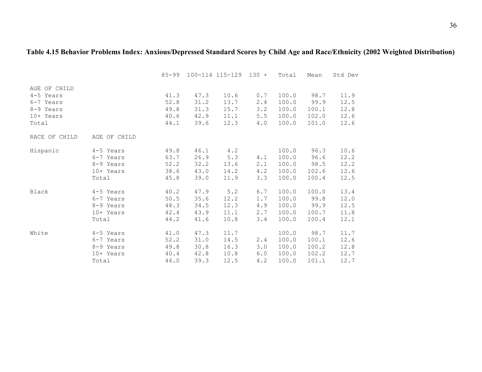## **Table 4.15 Behavior Problems Index: Anxious/Depressed Standard Scores by Child Age and Race/Ethnicity (2002 Weighted Distribution)**

|               |              | $85 - 99$ |      | $100 - 114$ $115 - 129$ $130 +$ |            | Total | Mean  | Std Dev |
|---------------|--------------|-----------|------|---------------------------------|------------|-------|-------|---------|
| AGE OF CHILD  |              |           |      |                                 |            |       |       |         |
| 4-5 Years     |              | 41.3      | 47.3 | 10.6                            | 0.7        | 100.0 | 98.7  | 11.9    |
| 6-7 Years     |              | 52.8      | 31.2 | 13.7                            | 2.4        | 100.0 | 99.9  | 12.5    |
| 8-9 Years     |              | 49.8      | 31.3 | 15.7                            | 3.2        | 100.0 | 100.1 | 12.8    |
| 10+ Years     |              | 40.6      | 42.9 | 11.1                            | 5.5        | 100.0 | 102.0 | 12.6    |
| Total         |              | 44.1      | 39.6 | 12.3                            | $4\cdot 0$ | 100.0 | 101.0 | 12.6    |
| RACE OF CHILD | AGE OF CHILD |           |      |                                 |            |       |       |         |
| Hispanic      | 4-5 Years    | 49.8      | 46.1 | 4.2                             |            | 100.0 | 96.3  | 10.6    |
|               | 6-7 Years    | 63.7      | 26.9 | 5.3                             | 4.1        | 100.0 | 96.6  | 12.2    |
|               | 8-9 Years    | 52.2      | 32.2 | 13.6                            | 2.1        | 100.0 | 98.5  | 12.2    |
|               | 10+ Years    | 38.6      | 43.0 | 14.2                            | 4.2        | 100.0 | 102.6 | 12.6    |
|               | Total        | 45.8      | 39.0 | 11.9                            | 3.3        | 100.0 | 100.4 | 12.5    |
| Black         | 4-5 Years    | 40.2      | 47.9 | 5.2                             | 6.7        | 100.0 | 100.0 | 13.4    |
|               | 6-7 Years    | 50.5      | 35.6 | 12.2                            | 1.7        | 100.0 | 99.8  | 12.0    |
|               | 8-9 Years    | 48.3      | 34.5 | 12.3                            | 4.9        | 100.0 | 99.9  | 12.5    |
|               | 10+ Years    | 42.4      | 43.9 | 11.1                            | 2.7        | 100.0 | 100.7 | 11.8    |
|               | Total        | 44.2      | 41.6 | 10.8                            | 3.4        | 100.0 | 100.4 | 12.1    |
| White         | 4-5 Years    | 41.0      | 47.3 | 11.7                            |            | 100.0 | 98.7  | 11.7    |
|               | 6-7 Years    | 52.2      | 31.0 | 14.5                            | 2.4        | 100.0 | 100.1 | 12.6    |
|               | 8-9 Years    | 49.8      | 30.8 | 16.3                            | 3.0        | 100.0 | 100.2 | 12.8    |
|               | 10+ Years    | 40.4      | 42.8 | 10.8                            | 6.0        | 100.0 | 102.2 | 12.7    |
|               | Total        | 44.0      | 39.3 | 12.5                            | 4.2        | 100.0 | 101.1 | 12.7    |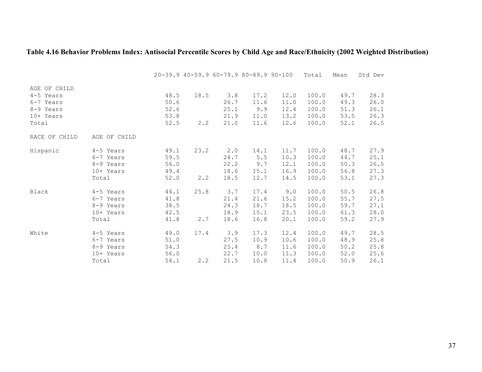## **Table 4.16 Behavior Problems Index: Antisocial Percentile Scores by Child Age and Race/Ethnicity (2002 Weighted Distribution)**

|                                                                           |                                                           |                                      |             |                                     |                                      | 20-39.9 40-59.9 60-79.9 80-89.9 90-100 | Total                                     | Mean                                 | Std Dev                              |
|---------------------------------------------------------------------------|-----------------------------------------------------------|--------------------------------------|-------------|-------------------------------------|--------------------------------------|----------------------------------------|-------------------------------------------|--------------------------------------|--------------------------------------|
| AGE OF CHILD<br>4-5 Years<br>6-7 Years<br>8-9 Years<br>10+ Years<br>Total |                                                           | 48.5<br>50.6<br>52.6<br>53.8<br>52.5 | 18.5<br>2.2 | 3.8<br>26.7<br>25.1<br>21.9<br>21.0 | 17.2<br>11.6<br>9.9<br>11.0<br>11.6  | 12.0<br>11.0<br>12.4<br>13.2<br>12.6   | 100.0<br>100.0<br>100.0<br>100.0<br>100.0 | 49.7<br>49.3<br>51.3<br>53.5<br>52.1 | 28.3<br>26.0<br>26.1<br>26.3<br>26.5 |
| RACE OF CHILD                                                             | AGE OF CHILD                                              |                                      |             |                                     |                                      |                                        |                                           |                                      |                                      |
| Hispanic                                                                  | 4-5 Years<br>6-7 Years<br>8-9 Years<br>10+ Years<br>Total | 49.1<br>59.5<br>56.0<br>49.4<br>52.0 | 23.2<br>2.2 | 2.0<br>24.7<br>22.2<br>18.6<br>18.5 | 14.1<br>5.5<br>9.7<br>15.1<br>12.7   | 11.7<br>10.3<br>12.1<br>16.9<br>14.5   | 100.0<br>100.0<br>100.0<br>100.0<br>100.0 | 48.7<br>44.7<br>50.3<br>56.8<br>53.1 | 27.9<br>25.1<br>26.5<br>27.3<br>27.3 |
| Black                                                                     | 4-5 Years<br>6-7 Years<br>8-9 Years<br>10+ Years<br>Total | 44.1<br>41.8<br>38.5<br>42.5<br>41.8 | 25.8<br>2.7 | 3.7<br>21.4<br>24.3<br>18.9<br>18.6 | 17.4<br>21.6<br>18.7<br>15.1<br>16.8 | 9.0<br>15.2<br>18.5<br>23.5<br>20.1    | 100.0<br>100.0<br>100.0<br>100.0<br>100.0 | 50.5<br>55.7<br>59.7<br>61.3<br>59.2 | 26.8<br>27.5<br>27.1<br>28.0<br>27.9 |
| White                                                                     | 4-5 Years<br>6-7 Years<br>8-9 Years<br>10+ Years<br>Total | 49.0<br>51.0<br>54.3<br>56.0<br>54.1 | 17.4<br>2.2 | 3.9<br>27.5<br>25.4<br>22.7<br>21.5 | 17.3<br>10.9<br>8.7<br>10.0<br>10.8  | 12.4<br>10.6<br>11.6<br>11.3<br>11.4   | 100.0<br>100.0<br>100.0<br>100.0<br>100.0 | 49.7<br>48.9<br>50.2<br>52.0<br>50.9 | 28.5<br>25.8<br>25.8<br>25.6<br>26.1 |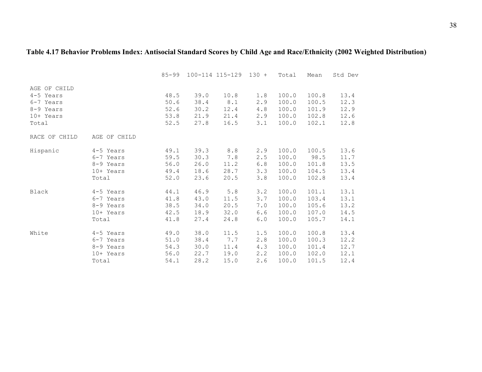## **Table 4.17 Behavior Problems Index: Antisocial Standard Scores by Child Age and Race/Ethnicity (2002 Weighted Distribution)**

|                                        |              | $85 - 99$    |              | $100 - 114$ $115 - 129$ $130 +$ |            | Total          | Mean           | Std Dev      |
|----------------------------------------|--------------|--------------|--------------|---------------------------------|------------|----------------|----------------|--------------|
| AGE OF CHILD<br>4-5 Years<br>6-7 Years |              | 48.5<br>50.6 | 39.0<br>38.4 | 10.8<br>$8.1\,$                 | 1.8<br>2.9 | 100.0<br>100.0 | 100.8<br>100.5 | 13.4<br>12.3 |
| 8-9 Years                              |              | 52.6         | 30.2         | 12.4                            | 4.8        | 100.0          | 101.9          | 12.9         |
| 10+ Years                              |              | 53.8         | 21.9         | 21.4                            | 2.9        | 100.0          | 102.8          | 12.6         |
| Total                                  |              | 52.5         | 27.8         | 16.5                            | 3.1        | 100.0          | 102.1          | 12.8         |
| RACE OF CHILD                          | AGE OF CHILD |              |              |                                 |            |                |                |              |
| Hispanic                               | 4-5 Years    | 49.1         | 39.3         | 8.8                             | 2.9        | 100.0          | 100.5          | 13.6         |
|                                        | 6-7 Years    | 59.5         | 30.3         | 7.8                             | 2.5        | 100.0          | 98.5           | 11.7         |
|                                        | 8-9 Years    | 56.0         | 26.0         | 11.2                            | 6.8        | 100.0          | 101.8          | 13.5         |
|                                        | 10+ Years    | 49.4         | 18.6         | 28.7                            | 3.3        | 100.0          | 104.5          | 13.4         |
|                                        | Total        | 52.0         | 23.6         | 20.5                            | 3.8        | 100.0          | 102.8          | 13.4         |
| Black                                  | 4-5 Years    | 44.1         | 46.9         | 5.8                             | 3.2        | 100.0          | 101.1          | 13.1         |
|                                        | 6-7 Years    | 41.8         | 43.0         | 11.5                            | 3.7        | 100.0          | 103.4          | 13.1         |
|                                        | 8-9 Years    | 38.5         | 34.0         | 20.5                            | 7.0        | 100.0          | 105.6          | 13.2         |
|                                        | 10+ Years    | 42.5         | 18.9         | 32.0                            | 6.6        | 100.0          | 107.0          | 14.5         |
|                                        | Total        | 41.8         | 27.4         | 24.8                            | 6.0        | 100.0          | 105.7          | 14.1         |
| White                                  | 4-5 Years    | 49.0         | 38.0         | 11.5                            | 1.5        | 100.0          | 100.8          | 13.4         |
|                                        | 6-7 Years    | 51.0         | 38.4         | 7.7                             | 2.8        | 100.0          | 100.3          | 12.2         |
|                                        | 8-9 Years    | 54.3         | 30.0         | 11.4                            | 4.3        | 100.0          | 101.4          | 12.7         |
|                                        | 10+ Years    | 56.0         | 22.7         | 19.0                            | 2.2        | 100.0          | 102.0          | 12.1         |
|                                        | Total        | 54.1         | 28.2         | 15.0                            | 2.6        | 100.0          | 101.5          | 12.4         |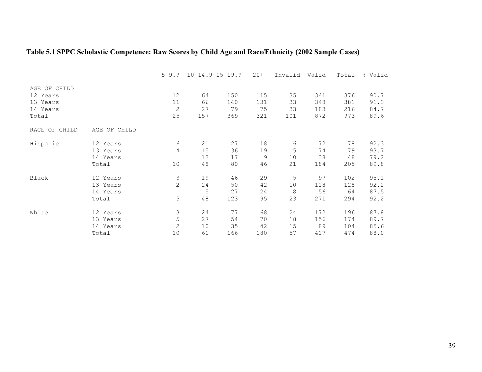## **Table 5.1 SPPC Scholastic Competence: Raw Scores by Child Age and Race/Ethnicity (2002 Sample Cases)**

|                                                           |                                           | $5 - 9.9$                      |                       | $10 - 14.9$ $15 - 19.9$ | $20+$                   | Invalid               | Valid                    | Total                    | % Valid                      |
|-----------------------------------------------------------|-------------------------------------------|--------------------------------|-----------------------|-------------------------|-------------------------|-----------------------|--------------------------|--------------------------|------------------------------|
| AGE OF CHILD<br>12 Years<br>13 Years<br>14 Years<br>Total |                                           | 12<br>11<br>$\sqrt{2}$<br>25   | 64<br>66<br>27<br>157 | 150<br>140<br>79<br>369 | 115<br>131<br>75<br>321 | 35<br>33<br>33<br>101 | 341<br>348<br>183<br>872 | 376<br>381<br>216<br>973 | 90.7<br>91.3<br>84.7<br>89.6 |
| RACE OF CHILD                                             | AGE OF CHILD                              |                                |                       |                         |                         |                       |                          |                          |                              |
| Hispanic                                                  | 12 Years<br>13 Years<br>14 Years<br>Total | 6<br>4<br>10                   | 21<br>15<br>12<br>48  | 27<br>36<br>17<br>80    | 18<br>19<br>9<br>46     | 6<br>5<br>10<br>21    | 72<br>74<br>38<br>184    | 78<br>79<br>48<br>205    | 92.3<br>93.7<br>79.2<br>89.8 |
| Black                                                     | 12 Years<br>13 Years<br>14 Years<br>Total | 3<br>$\overline{c}$<br>5       | 19<br>24<br>5<br>48   | 46<br>50<br>27<br>123   | 29<br>42<br>24<br>95    | 5<br>10<br>8<br>23    | 97<br>118<br>56<br>271   | 102<br>128<br>64<br>294  | 95.1<br>92.2<br>87.5<br>92.2 |
| White                                                     | 12 Years<br>13 Years<br>14 Years<br>Total | 3<br>5<br>$\overline{c}$<br>10 | 24<br>27<br>10<br>61  | 77<br>54<br>35<br>166   | 68<br>70<br>42<br>180   | 24<br>18<br>15<br>57  | 172<br>156<br>89<br>417  | 196<br>174<br>104<br>474 | 87.8<br>89.7<br>85.6<br>88.0 |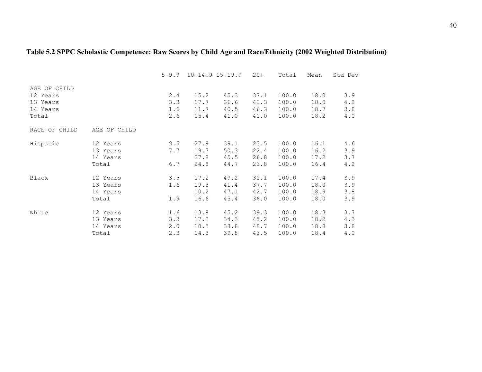## **Table 5.2 SPPC Scholastic Competence: Raw Scores by Child Age and Race/Ethnicity (2002 Weighted Distribution)**

|                                                           |                                           | $5 - 9.9$                | $10 - 14.9$ $15 - 19.9$      |                              | $20+$                        | Total                            | Mean                         | Std Dev                  |
|-----------------------------------------------------------|-------------------------------------------|--------------------------|------------------------------|------------------------------|------------------------------|----------------------------------|------------------------------|--------------------------|
| AGE OF CHILD<br>12 Years<br>13 Years<br>14 Years<br>Total |                                           | 2.4<br>3.3<br>1.6<br>2.6 | 15.2<br>17.7<br>11.7<br>15.4 | 45.3<br>36.6<br>40.5<br>41.0 | 37.1<br>42.3<br>46.3<br>41.0 | 100.0<br>100.0<br>100.0<br>100.0 | 18.0<br>18.0<br>18.7<br>18.2 | 3.9<br>4.2<br>3.8<br>4.0 |
| RACE OF CHILD                                             | AGE OF CHILD                              |                          |                              |                              |                              |                                  |                              |                          |
| Hispanic                                                  | 12 Years<br>13 Years<br>14 Years<br>Total | 9.5<br>7.7<br>6.7        | 27.9<br>19.7<br>27.8<br>24.8 | 39.1<br>50.3<br>45.5<br>44.7 | 23.5<br>22.4<br>26.8<br>23.8 | 100.0<br>100.0<br>100.0<br>100.0 | 16.1<br>16.2<br>17.2<br>16.4 | 4.6<br>3.9<br>3.7<br>4.2 |
| Black                                                     | 12 Years<br>13 Years<br>14 Years<br>Total | 3.5<br>1.6<br>1.9        | 17.2<br>19.3<br>10.2<br>16.6 | 49.2<br>41.4<br>47.1<br>45.4 | 30.1<br>37.7<br>42.7<br>36.0 | 100.0<br>100.0<br>100.0<br>100.0 | 17.4<br>18.0<br>18.9<br>18.0 | 3.9<br>3.9<br>3.8<br>3.9 |
| White                                                     | 12 Years<br>13 Years<br>14 Years<br>Total | 1.6<br>3.3<br>2.0<br>2.3 | 13.8<br>17.2<br>10.5<br>14.3 | 45.2<br>34.3<br>38.8<br>39.8 | 39.3<br>45.2<br>48.7<br>43.5 | 100.0<br>100.0<br>100.0<br>100.0 | 18.3<br>18.2<br>18.8<br>18.4 | 3.7<br>4.3<br>3.8<br>4.0 |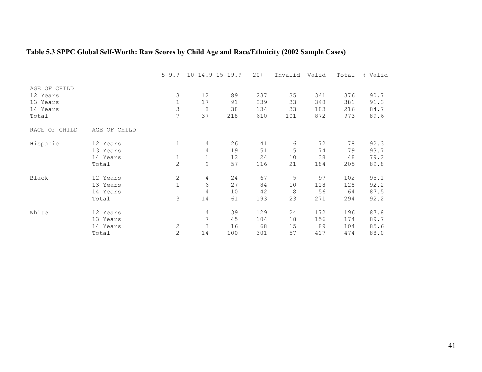## **Table 5.3 SPPC Global Self-Worth: Raw Scores by Child Age and Race/Ethnicity (2002 Sample Cases)**

|                                                           |                                           | $5 - 9.9$                              | $10 - 14.9$ $15 - 19.9$               |                       | $20+$                    | Invalid               | Valid                    | Total                    | % Valid                      |
|-----------------------------------------------------------|-------------------------------------------|----------------------------------------|---------------------------------------|-----------------------|--------------------------|-----------------------|--------------------------|--------------------------|------------------------------|
| AGE OF CHILD<br>12 Years<br>13 Years<br>14 Years<br>Total |                                           | 3<br>$\mathbf 1$<br>3<br>7             | 12<br>17<br>8<br>37                   | 89<br>91<br>38<br>218 | 237<br>239<br>134<br>610 | 35<br>33<br>33<br>101 | 341<br>348<br>183<br>872 | 376<br>381<br>216<br>973 | 90.7<br>91.3<br>84.7<br>89.6 |
| RACE OF CHILD                                             | AGE OF CHILD                              |                                        |                                       |                       |                          |                       |                          |                          |                              |
| Hispanic                                                  | 12 Years<br>13 Years<br>14 Years<br>Total | $\mathbf 1$<br>$1\,$<br>$\overline{c}$ | 4<br>4<br>$\mathbf{1}$<br>$\mathsf 9$ | 26<br>19<br>12<br>57  | 41<br>51<br>24<br>116    | 6<br>5<br>10<br>21    | 72<br>74<br>38<br>184    | 78<br>79<br>48<br>205    | 92.3<br>93.7<br>79.2<br>89.8 |
| Black                                                     | 12 Years<br>13 Years<br>14 Years<br>Total | $\mathbf{2}$<br>$\mathbf{1}$<br>3      | 4<br>6<br>4<br>14                     | 24<br>27<br>10<br>61  | 67<br>84<br>42<br>193    | 5<br>10<br>8<br>23    | 97<br>118<br>56<br>271   | 102<br>128<br>64<br>294  | 95.1<br>92.2<br>87.5<br>92.2 |
| White                                                     | 12 Years<br>13 Years<br>14 Years<br>Total | $\sqrt{2}$<br>$\overline{2}$           | 4<br>7<br>$\mathfrak{Z}$<br>14        | 39<br>45<br>16<br>100 | 129<br>104<br>68<br>301  | 24<br>18<br>15<br>57  | 172<br>156<br>89<br>417  | 196<br>174<br>104<br>474 | 87.8<br>89.7<br>85.6<br>88.0 |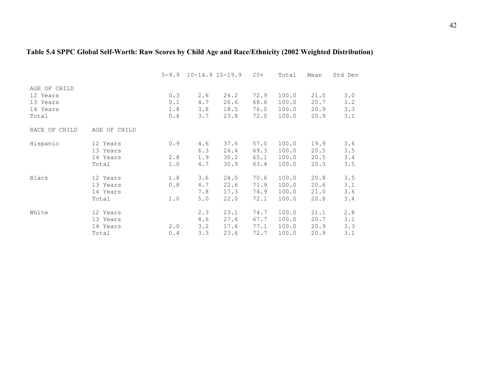## **Table 5.4 SPPC Global Self-Worth: Raw Scores by Child Age and Race/Ethnicity (2002 Weighted Distribution)**

|                                                           |                                           | $5 - 9.9$                | $10 - 14.9$ $15 - 19.9$  |                              | $20+$                        | Total                            | Mean                         | Std Dev                  |
|-----------------------------------------------------------|-------------------------------------------|--------------------------|--------------------------|------------------------------|------------------------------|----------------------------------|------------------------------|--------------------------|
| AGE OF CHILD<br>12 Years<br>13 Years<br>14 Years<br>Total |                                           | 0.3<br>0.1<br>1.8<br>0.6 | 2.6<br>4.7<br>3.8<br>3.7 | 24.2<br>26.6<br>18.5<br>23.8 | 72.9<br>68.6<br>76.0<br>72.0 | 100.0<br>100.0<br>100.0<br>100.0 | 21.0<br>20.7<br>20.9<br>20.9 | 3.0<br>3.2<br>3.3<br>3.1 |
| RACE OF CHILD                                             | AGE OF CHILD                              |                          |                          |                              |                              |                                  |                              |                          |
| Hispanic                                                  | 12 Years<br>13 Years<br>14 Years<br>Total | 0.9<br>2.8<br>1.0        | 4.6<br>6.3<br>1.9<br>4.7 | 37.6<br>24.4<br>30.2<br>30.9 | 57.0<br>69.3<br>65.1<br>63.4 | 100.0<br>100.0<br>100.0<br>100.0 | 19.9<br>20.5<br>20.5<br>20.3 | 3.6<br>3.5<br>3.4<br>3.5 |
| Black                                                     | 12 Years<br>13 Years<br>14 Years<br>Total | 1.8<br>0.8<br>1.0        | 3.6<br>4.7<br>7.8<br>5.0 | 24.0<br>22.6<br>17.3<br>22.0 | 70.6<br>71.9<br>74.9<br>72.1 | 100.0<br>100.0<br>100.0<br>100.0 | 20.8<br>20.6<br>21.0<br>20.8 | 3.5<br>3.1<br>3.6<br>3.4 |
| White                                                     | 12 Years<br>13 Years<br>14 Years<br>Total | 2.0<br>0.4               | 2.3<br>4.6<br>3.2<br>3.3 | 23.1<br>27.6<br>17.6<br>23.6 | 74.7<br>67.7<br>77.1<br>72.7 | 100.0<br>100.0<br>100.0<br>100.0 | 21.1<br>20.7<br>20.9<br>20.9 | 2.8<br>3.1<br>3.3<br>3.1 |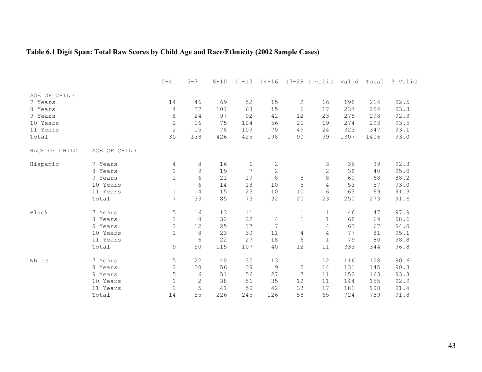## **Table 6.1 Digit Span: Total Raw Scores by Child Age and Race/Ethnicity (2002 Sample Cases)**

|               |              | $0 - 4$        | $5 - 7$       | $8 - 10$ | $11 - 13$ | $14 - 16$      |              | 17-28 Invalid Valid |      | Total | % Valid |
|---------------|--------------|----------------|---------------|----------|-----------|----------------|--------------|---------------------|------|-------|---------|
| AGE OF CHILD  |              |                |               |          |           |                |              |                     |      |       |         |
| 7 Years       |              | 14             | 46            | 69       | 52        | 15             | 2            | 16                  | 198  | 214   | 92.5    |
| 8 Years       |              | 4              | 37            | 107      | 68        | 15             | 6            | 17                  | 237  | 254   | 93.3    |
| 9 Years       |              | $\,8\,$        | 24            | 97       | 92        | 42             | 12           | 23                  | 275  | 298   | 92.3    |
| 10 Years      |              | $\overline{2}$ | 16            | 75       | 104       | 56             | 21           | 19                  | 274  | 293   | 93.5    |
| 11 Years      |              | $\overline{2}$ | 15            | 78       | 109       | 70             | 49           | 24                  | 323  | 347   | 93.1    |
| Total         |              | 30             | 138           | 426      | 425       | 198            | 90           | 99                  | 1307 | 1406  | 93.0    |
| RACE OF CHILD | AGE OF CHILD |                |               |          |           |                |              |                     |      |       |         |
| Hispanic      | 7 Years      | 4              | 8             | 16       | 6         | $\mathbf{2}$   |              | 3                   | 36   | 39    | 92.3    |
|               | 8 Years      | $\mathbf{1}$   | $\mathcal{G}$ | 19       | 7         | $\overline{c}$ |              | $\overline{2}$      | 38   | 40    | 95.0    |
|               | 9 Years      | $\mathbf{1}$   | 6             | 21       | 19        | 8              | $\mathbf 5$  | 8                   | 60   | 68    | 88.2    |
|               | 10 Years     |                | 6             | 14       | 18        | 10             | 5            | 4                   | 53   | 57    | 93.0    |
|               | 11 Years     | $\mathbf{1}$   | 4             | 15       | 23        | 10             | 10           | 6                   | 63   | 69    | 91.3    |
|               | Total        | $\overline{7}$ | 33            | 85       | 73        | 32             | 20           | 23                  | 250  | 273   | 91.6    |
| Black         | 7 Years      | 5              | 16            | 13       | 11        |                | $\mathbf 1$  | $\mathbf 1$         | 46   | 47    | 97.9    |
|               | 8 Years      | $1\,$          | 8             | 32       | 22        | 4              | $\mathbf{1}$ | $\mathbf{1}$        | 68   | 69    | 98.6    |
|               | 9 Years      | $\overline{c}$ | 12            | 25       | 17        | 7              |              | 4                   | 63   | 67    | 94.0    |
|               | 10 Years     | $\mathbf{1}$   | 8             | 23       | 30        | 11             | 4            | 4                   | 77   | 81    | 95.1    |
|               | 11 Years     |                | 6             | 22       | 27        | 18             | $\epsilon$   | $\mathbf 1$         | 79   | 80    | 98.8    |
|               | Total        | 9              | 50            | 115      | 107       | 40             | 12           | 11                  | 333  | 344   | 96.8    |
| White         | 7 Years      | 5              | 22            | 40       | 35        | 13             | $\mathbf 1$  | 12                  | 116  | 128   | 90.6    |
|               | 8 Years      | $\overline{c}$ | 20            | 56       | 39        | 9              | 5            | 14                  | 131  | 145   | 90.3    |
|               | 9 Years      | 5              | 6             | 51       | 56        | 27             | 7            | 11                  | 152  | 163   | 93.3    |
|               | 10 Years     | $\mathbf{1}$   | $\mathbf{2}$  | 38       | 56        | 35             | 12           | 11                  | 144  | 155   | 92.9    |
|               | 11 Years     | $\mathbf{1}$   | 5             | 41       | 59        | 42             | 33           | 17                  | 181  | 198   | 91.4    |
|               | Total        | 14             | 55            | 226      | 245       | 126            | 58           | 65                  | 724  | 789   | 91.8    |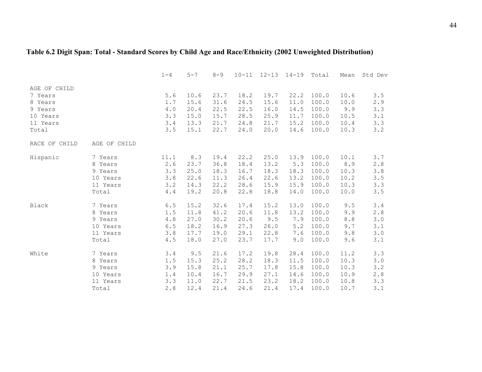## **Table 6.2 Digit Span: Total - Standard Scores by Child Age and Race/Ethnicity (2002 Unweighted Distribution)**

|               |              | $1 - 4$ | $5 - 7$ | $8 - 9$ | $10 - 11$ | $12 - 13$ | $14 - 19$ | Total | Mean | Std Dev       |
|---------------|--------------|---------|---------|---------|-----------|-----------|-----------|-------|------|---------------|
| AGE OF CHILD  |              |         |         |         |           |           |           |       |      |               |
| 7 Years       |              | 5.6     | 10.6    | 23.7    | 18.2      | 19.7      | 22.2      | 100.0 | 10.6 | 3.5           |
| 8 Years       |              | 1.7     | 15.6    | 31.6    | 24.5      | 15.6      | 11.0      | 100.0 | 10.0 | 2.9           |
| 9 Years       |              | 4.0     | 20.4    | 22.5    | 22.5      | 16.0      | 14.5      | 100.0 | 9.9  | 3.3           |
| 10 Years      |              | 3.3     | 15.0    | 15.7    | 28.5      | 25.9      | 11.7      | 100.0 | 10.5 | 3.1           |
| 11 Years      |              | 3.4     | 13.3    | 21.7    | 24.8      | 21.7      | 15.2      | 100.0 | 10.4 | 3.3           |
| Total         |              | 3.5     | 15.1    | 22.7    | 24.0      | 20.0      | 14.6      | 100.0 | 10.3 | 3.2           |
| RACE OF CHILD | AGE OF CHILD |         |         |         |           |           |           |       |      |               |
| Hispanic      | 7 Years      | 11.1    | 8.3     | 19.4    | 22.2      | 25.0      | 13.9      | 100.0 | 10.1 | 3.7           |
|               | 8 Years      | 2.6     | 23.7    | 36.8    | 18.4      | 13.2      | 5.3       | 100.0 | 8.9  | 2.8           |
|               | 9 Years      | 3.3     | 25.0    | 18.3    | 16.7      | 18.3      | 18.3      | 100.0 | 10.3 | 3.8           |
|               | 10 Years     | 3.8     | 22.6    | 11.3    | 26.4      | 22.6      | 13.2      | 100.0 | 10.2 | 3.5           |
|               | 11 Years     | 3.2     | 14.3    | 22.2    | 28.6      | 15.9      | 15.9      | 100.0 | 10.3 | 3.3           |
|               | Total        | 4.4     | 19.2    | 20.8    | 22.8      | 18.8      | 14.0      | 100.0 | 10.0 | 3.5           |
| Black         | 7 Years      | $6.5$   | 15.2    | 32.6    | 17.4      | 15.2      | 13.0      | 100.0 | 9.5  | 3.4           |
|               | 8 Years      | 1.5     | 11.8    | 41.2    | 20.6      | 11.8      | 13.2      | 100.0 | 9.9  | 2.8           |
|               | 9 Years      | 4.8     | 27.0    | 30.2    | 20.6      | 9.5       | 7.9       | 100.0 | 8.8  | 3.0           |
|               | 10 Years     | 6.5     | 18.2    | 16.9    | 27.3      | 26.0      | 5.2       | 100.0 | 9.7  | 3.1           |
|               | 11 Years     | 3.8     | 17.7    | 19.0    | 29.1      | 22.8      | 7.6       | 100.0 | 9.8  | 3.0           |
|               | Total        | 4.5     | 18.0    | 27.0    | 23.7      | 17.7      | 9.0       | 100.0 | 9.6  | 3.1           |
| White         | 7 Years      | 3.4     | 9.5     | 21.6    | 17.2      | 19.8      | 28.4      | 100.0 | 11.2 | 3.3           |
|               | 8 Years      | 1.5     | 15.3    | 25.2    | 28.2      | 18.3      | 11.5      | 100.0 | 10.3 | 3.0           |
|               | 9 Years      | 3.9     | 15.8    | 21.1    | 25.7      | 17.8      | 15.8      | 100.0 | 10.3 | 3.2           |
|               | 10 Years     | 1.4     | 10.4    | 16.7    | 29.9      | 27.1      | 14.6      | 100.0 | 10.9 | $2 \; . \; 8$ |
|               | 11 Years     | 3.3     | 11.0    | 22.7    | 21.5      | 23.2      | 18.2      | 100.0 | 10.8 | 3.3           |
|               | Total        | 2.8     | 12.4    | 21.4    | 24.6      | 21.4      | 17.4      | 100.0 | 10.7 | 3.1           |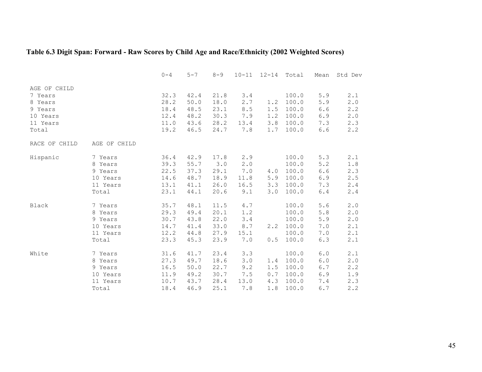## **Table 6.3 Digit Span: Forward - Raw Scores by Child Age and Race/Ethnicity (2002 Weighted Scores)**

|               |              | $0 - 4$ | $5 - 7$ | $8 - 9$ | $10 - 11$ | $12 - 14$ | Total | Mean  | Std Dev |
|---------------|--------------|---------|---------|---------|-----------|-----------|-------|-------|---------|
| AGE OF CHILD  |              |         |         |         |           |           |       |       |         |
| 7 Years       |              | 32.3    | 42.4    | 21.8    | 3.4       |           | 100.0 | 5.9   | 2.1     |
| 8 Years       |              | 28.2    | 50.0    | 18.0    | 2.7       | 1.2       | 100.0 | 5.9   | 2.0     |
| 9 Years       |              | 18.4    | 48.5    | 23.1    | 8.5       | 1.5       | 100.0 | 6.6   | 2.2     |
| 10 Years      |              | 12.4    | 48.2    | 30.3    | 7.9       | 1.2       | 100.0 | 6.9   | 2.0     |
| 11 Years      |              | 11.0    | 43.6    | 28.2    | 13.4      | 3.8       | 100.0 | 7.3   | 2.3     |
| Total         |              | 19.2    | 46.5    | 24.7    | 7.8       | 1.7       | 100.0 | 6.6   | 2.2     |
| RACE OF CHILD | AGE OF CHILD |         |         |         |           |           |       |       |         |
| Hispanic      | 7 Years      | 36.4    | 42.9    | 17.8    | 2.9       |           | 100.0 | 5.3   | 2.1     |
|               | 8 Years      | 39.3    | 55.7    | 3.0     | 2.0       |           | 100.0 | 5.2   | $1.8$   |
|               | 9 Years      | 22.5    | 37.3    | 29.1    | 7.0       | 4.0       | 100.0 | 6.6   | 2.3     |
|               | 10 Years     | 14.6    | 48.7    | 18.9    | 11.8      | 5.9       | 100.0 | 6.9   | 2.5     |
|               | 11 Years     | 13.1    | 41.1    | 26.0    | 16.5      | 3.3       | 100.0 | 7.3   | 2.4     |
|               | Total        | 23.1    | 44.1    | 20.6    | 9.1       | 3.0       | 100.0 | $6.4$ | 2.4     |
| Black         | 7 Years      | 35.7    | 48.1    | 11.5    | 4.7       |           | 100.0 | 5.6   | 2.0     |
|               | 8 Years      | 29.3    | 49.4    | 20.1    | 1.2       |           | 100.0 | 5.8   | 2.0     |
|               | 9 Years      | 30.7    | 43.8    | 22.0    | 3.4       |           | 100.0 | 5.9   | 2.0     |
|               | 10 Years     | 14.7    | 41.4    | 33.0    | 8.7       | 2.2       | 100.0 | 7.0   | 2.1     |
|               | 11 Years     | 12.2    | 44.8    | 27.9    | 15.1      |           | 100.0 | 7.0   | 2.1     |
|               | Total        | 23.3    | 45.3    | 23.9    | 7.0       | 0.5       | 100.0 | 6.3   | 2.1     |
| White         | 7 Years      | 31.6    | 41.7    | 23.4    | 3.3       |           | 100.0 | 6.0   | 2.1     |
|               | 8 Years      | 27.3    | 49.7    | 18.6    | 3.0       | 1.4       | 100.0 | 6.0   | 2.0     |
|               | 9 Years      | 16.5    | 50.0    | 22.7    | 9.2       | 1.5       | 100.0 | 6.7   | 2.2     |
|               | 10 Years     | 11.9    | 49.2    | 30.7    | 7.5       | 0.7       | 100.0 | 6.9   | 1.9     |
|               | 11 Years     | 10.7    | 43.7    | 28.4    | 13.0      | 4.3       | 100.0 | 7.4   | 2.3     |
|               | Total        | 18.4    | 46.9    | 25.1    | 7.8       | 1.8       | 100.0 | 6.7   | 2.2     |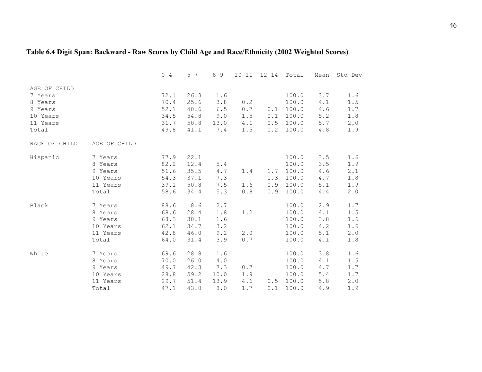## **Table 6.4 Digit Span: Backward - Raw Scores by Child Age and Race/Ethnicity (2002 Weighted Scores)**

|               |              | $0 - 4$ | $5 - 7$ | $8 - 9$     | $10 - 11$ | $12 - 14$ | Total | Mean    | Std Dev |
|---------------|--------------|---------|---------|-------------|-----------|-----------|-------|---------|---------|
| AGE OF CHILD  |              |         |         |             |           |           |       |         |         |
| 7 Years       |              | 72.1    | 26.3    | 1.6         |           |           | 100.0 | 3.7     | 1.6     |
| 8 Years       |              | 70.4    | 25.6    | 3.8         | 0.2       |           | 100.0 | 4.1     | 1.5     |
| 9 Years       |              | 52.1    | 40.6    | $6.5$       | $0.7$     | 0.1       | 100.0 | $4.6$   | $1.7$   |
| 10 Years      |              | 34.5    | 54.8    | 9.0         | 1.5       | 0.1       | 100.0 | 5.2     | $1.8$   |
| 11 Years      |              | 31.7    | 50.8    | 13.0        | 4.1       | 0.5       | 100.0 | $5.7$   | 2.0     |
| Total         |              | 49.8    | 41.1    | 7.4         | $1.5$     | 0.2       | 100.0 | $4.8\,$ | 1.9     |
| RACE OF CHILD | AGE OF CHILD |         |         |             |           |           |       |         |         |
| Hispanic      | 7 Years      | 77.9    | 22.1    |             |           |           | 100.0 | 3.5     | 1.6     |
|               | 8 Years      | 82.2    | 12.4    | 5.4         |           |           | 100.0 | 3.5     | 1.9     |
|               | 9 Years      | 56.6    | 35.5    | 4.7         | 1.4       | 1.7       | 100.0 | 4.6     | 2.1     |
|               | 10 Years     | 54.3    | 37.1    | 7.3         |           | 1.3       | 100.0 | 4.7     | 1.8     |
|               | 11 Years     | 39.1    | 50.8    | 7.5         | 1.6       | 0.9       | 100.0 | 5.1     | 1.9     |
|               | Total        | 58.6    | 34.4    | 5.3         | 0.8       | 0.9       | 100.0 | 4.4     | 2.0     |
|               |              |         |         |             |           |           |       |         |         |
| Black         | 7 Years      | 88.6    | 8.6     | 2.7         |           |           | 100.0 | 2.9     | 1.7     |
|               | 8 Years      | 68.6    | 28.4    | 1.8         | 1.2       |           | 100.0 | 4.1     | 1.5     |
|               | 9 Years      | 68.3    | 30.1    | 1.6         |           |           | 100.0 | 3.8     | 1.6     |
|               | 10 Years     | 62.1    | 34.7    | 3.2         |           |           | 100.0 | 4.2     | 1.6     |
|               | 11 Years     | 42.8    | 46.0    | 9.2         | 2.0       |           | 100.0 | 5.1     | 2.0     |
|               | Total        | 64.0    | 31.4    | 3.9         | 0.7       |           | 100.0 | $4.1\,$ | $1.8$   |
| White         | 7 Years      | 69.6    | 28.8    | 1.6         |           |           | 100.0 | 3.8     | 1.6     |
|               |              |         |         |             |           |           |       |         |         |
|               | 8 Years      | 70.0    | 26.0    | $4\cdot 0$  |           |           | 100.0 | $4\,.1$ | $1.5$   |
|               | 9 Years      | 49.7    | 42.3    | 7.3         | 0.7       |           | 100.0 | 4.7     | 1.7     |
|               | 10 Years     | 28.8    | 59.2    | 10.0        | 1.9       |           | 100.0 | $5.4$   | $1.7$   |
|               | 11 Years     | 29.7    | 51.4    | 13.9        | 4.6       | 0.5       | 100.0 | 5.8     | 2.0     |
|               | Total        | 47.1    | 43.0    | $\,8$ . $0$ | 1.7       | 0.1       | 100.0 | 4.9     | 1.9     |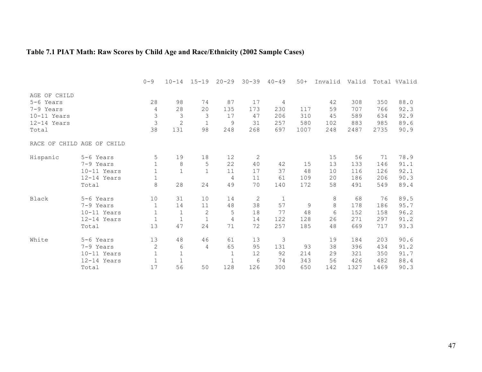## **Table 7.1 PIAT Math: Raw Scores by Child Age and Race/Ethnicity (2002 Sample Cases)**

| AGE OF CHILD<br>98<br>28<br>87<br>17<br>308<br>350<br>5-6 Years<br>74<br>42<br>4<br>28<br>20<br>135<br>59<br>707<br>7-9 Years<br>173<br>230<br>117<br>766<br>4<br>3<br>3<br>3<br>10-11 Years<br>17<br>47<br>206<br>310<br>45<br>589<br>634 | 88.0<br>92.3<br>92.9<br>89.6<br>90.9 |
|--------------------------------------------------------------------------------------------------------------------------------------------------------------------------------------------------------------------------------------------|--------------------------------------|
|                                                                                                                                                                                                                                            |                                      |
|                                                                                                                                                                                                                                            |                                      |
|                                                                                                                                                                                                                                            |                                      |
|                                                                                                                                                                                                                                            |                                      |
| $\mathfrak{Z}$<br>$\overline{2}$<br>$1\,$<br>9<br>257<br>883<br>985<br>12-14 Years<br>31<br>580<br>102                                                                                                                                     |                                      |
| 38<br>98<br>131<br>248<br>697<br>268<br>1007<br>248<br>2487<br>2735<br>Total                                                                                                                                                               |                                      |
| RACE OF CHILD AGE OF CHILD                                                                                                                                                                                                                 |                                      |
| 5<br>12<br>19<br>18<br>2<br>15<br>56<br>Hispanic<br>71<br>5-6 Years                                                                                                                                                                        | 78.9                                 |
| $\,8\,$<br>5<br>22<br>40<br>42<br>133<br>7-9 Years<br>13<br>146<br>15                                                                                                                                                                      | 91.1                                 |
| $\mathbf{1}$<br>$\mathbf 1$<br>$\mathbf{1}$<br>11<br>17<br>37<br>10-11 Years<br>48<br>116<br>126<br>10                                                                                                                                     | 92.1                                 |
| $\mathbf 1$<br>11<br>61<br>20<br>186<br>$12-14$ Years<br>4<br>109<br>206                                                                                                                                                                   | 90.3                                 |
| 8<br>28<br>24<br>49<br>70<br>140<br>172<br>58<br>549<br>491<br>Total                                                                                                                                                                       | 89.4                                 |
| 31<br>2<br>Black<br>10<br>10<br>14<br>$\mathbf{1}$<br>8<br>68<br>76<br>5-6 Years                                                                                                                                                           | 89.5                                 |
| 38<br>48<br>8<br>14<br>11<br>57<br>178<br>7-9 Years<br>1<br>9<br>186                                                                                                                                                                       | 95.7                                 |
| $\sqrt{2}$<br>5<br>18<br>6<br>$\mathbf 1$<br>1<br>77<br>48<br>158<br>$10-11$ Years<br>152                                                                                                                                                  | 96.2                                 |
| $\mathbf 1$<br>$\mathbf{1}$<br>$\mathbf{1}$<br>122<br>271<br>$12-14$ Years<br>4<br>14<br>128<br>26<br>297                                                                                                                                  | 91.2                                 |
| 47<br>71<br>13<br>24<br>72<br>257<br>717<br>Total<br>185<br>48<br>669                                                                                                                                                                      | 93.3                                 |
| White<br>48<br>61<br>3<br>13<br>46<br>13<br>19<br>184<br>203<br>5-6 Years                                                                                                                                                                  | 90.6                                 |
| $\sqrt{2}$<br>6<br>65<br>95<br>131<br>38<br>396<br>7-9 Years<br>4<br>93<br>434                                                                                                                                                             | 91.2                                 |
| 12<br>92<br>29<br>$\mathbf 1$<br>$\mathbf{1}$<br>$\mathbf{1}$<br>214<br>321<br>350<br>$10-11$ Years                                                                                                                                        | 91.7                                 |
| $\mathbf{1}$<br>12-14 Years<br>$\mathbf{1}$<br>1<br>74<br>56<br>426<br>482<br>6<br>343                                                                                                                                                     | 88.4                                 |
| 17<br>56<br>128<br>126<br>300<br>142<br>1327<br>Total<br>50<br>650<br>1469                                                                                                                                                                 | 90.3                                 |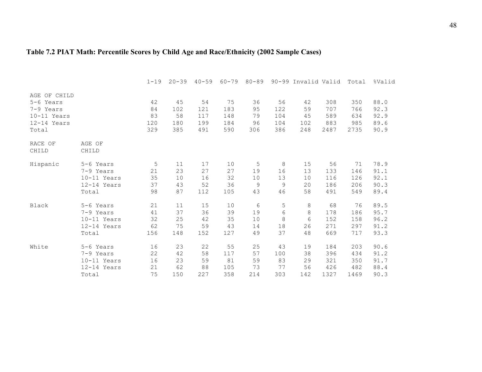## **Table 7.2 PIAT Math: Percentile Scores by Child Age and Race/Ethnicity (2002 Sample Cases)**

|                                                                               |                 | $1 - 19$                     | $20 - 39$                     | $40 - 59$                      | $60 - 79$                      | $80 - 89$                   |                                | 90-99 Invalid Valid          |                                  | Total                            | %Valid                               |
|-------------------------------------------------------------------------------|-----------------|------------------------------|-------------------------------|--------------------------------|--------------------------------|-----------------------------|--------------------------------|------------------------------|----------------------------------|----------------------------------|--------------------------------------|
| AGE OF CHILD<br>5-6 Years<br>7-9 Years<br>10-11 Years<br>12-14 Years<br>Total |                 | 42<br>84<br>83<br>120<br>329 | 45<br>102<br>58<br>180<br>385 | 54<br>121<br>117<br>199<br>491 | 75<br>183<br>148<br>184<br>590 | 36<br>95<br>79<br>96<br>306 | 56<br>122<br>104<br>104<br>386 | 42<br>59<br>45<br>102<br>248 | 308<br>707<br>589<br>883<br>2487 | 350<br>766<br>634<br>985<br>2735 | 88.0<br>92.3<br>92.9<br>89.6<br>90.9 |
| RACE OF<br>CHILD                                                              | AGE OF<br>CHILD |                              |                               |                                |                                |                             |                                |                              |                                  |                                  |                                      |
| Hispanic                                                                      | 5-6 Years       | 5                            | 11                            | 17                             | 10                             | 5                           | 8                              | 15                           | 56                               | 71                               | 78.9                                 |
|                                                                               | 7-9 Years       | 21                           | 23                            | 27                             | 27                             | 19                          | 16                             | 13                           | 133                              | 146                              | 91.1                                 |
|                                                                               | 10-11 Years     | 35                           | 10                            | 16                             | 32                             | 10                          | 13                             | 10                           | 116                              | 126                              | 92.1                                 |
|                                                                               | 12-14 Years     | 37                           | 43                            | 52                             | 36                             | 9                           | 9                              | 20                           | 186                              | 206                              | 90.3                                 |
|                                                                               | Total           | 98                           | 87                            | 112                            | 105                            | 43                          | 46                             | 58                           | 491                              | 549                              | 89.4                                 |
| Black                                                                         | 5-6 Years       | 21                           | 11                            | 15                             | 10                             | 6                           | 5                              | 8                            | 68                               | 76                               | 89.5                                 |
|                                                                               | 7-9 Years       | 41                           | 37                            | 36                             | 39                             | 19                          | 6                              | 8                            | 178                              | 186                              | 95.7                                 |
|                                                                               | 10-11 Years     | 32                           | 25                            | 42                             | 35                             | 10                          | 8                              | 6                            | 152                              | 158                              | 96.2                                 |
|                                                                               | 12-14 Years     | 62                           | 75                            | 59                             | 43                             | 14                          | 18                             | 26                           | 271                              | 297                              | 91.2                                 |
|                                                                               | Total           | 156                          | 148                           | 152                            | 127                            | 49                          | 37                             | 48                           | 669                              | 717                              | 93.3                                 |
| White                                                                         | 5-6 Years       | 16                           | 23                            | 22                             | 55                             | 25                          | 43                             | 19                           | 184                              | 203                              | 90.6                                 |
|                                                                               | 7-9 Years       | 22                           | 42                            | 58                             | 117                            | 57                          | 100                            | 38                           | 396                              | 434                              | 91.2                                 |
|                                                                               | 10-11 Years     | 16                           | 23                            | 59                             | 81                             | 59                          | 83                             | 29                           | 321                              | 350                              | 91.7                                 |
|                                                                               | 12-14 Years     | 21                           | 62                            | 88                             | 105                            | 73                          | 77                             | 56                           | 426                              | 482                              | 88.4                                 |
|                                                                               | Total           | 75                           | 150                           | 227                            | 358                            | 214                         | 303                            | 142                          | 1327                             | 1469                             | 90.3                                 |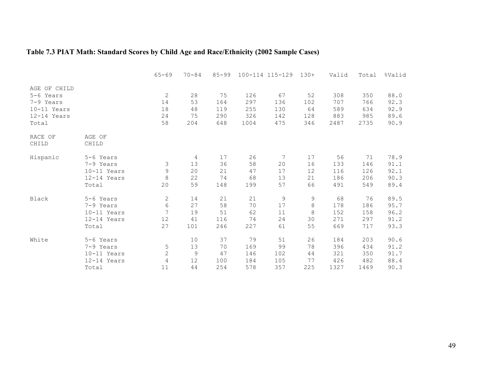## **Table 7.3 PIAT Math: Standard Scores by Child Age and Race/Ethnicity (2002 Sample Cases)**

|                           |             | $65 - 69$      | $70 - 84$ | $85 - 99$ |      | 100-114 115-129 | $130+$  | Valid | Total | %Valid |
|---------------------------|-------------|----------------|-----------|-----------|------|-----------------|---------|-------|-------|--------|
|                           |             |                |           |           |      |                 |         |       |       |        |
| AGE OF CHILD<br>5-6 Years |             | $\mathbf{2}$   | 28        | 75        | 126  | 67              | 52      | 308   | 350   | 88.0   |
| 7-9 Years                 |             | 14             | 53        | 164       | 297  | 136             | 102     | 707   | 766   | 92.3   |
| 10-11 Years               |             | 18             | 48        | 119       | 255  | 130             | 64      | 589   | 634   | 92.9   |
| $12-14$ Years             |             | 24             | 75        | 290       | 326  | 142             | 128     | 883   | 985   | 89.6   |
| Total                     |             | 58             | 204       | 648       | 1004 | 475             | 346     | 2487  | 2735  | 90.9   |
| RACE OF                   | AGE OF      |                |           |           |      |                 |         |       |       |        |
| CHILD                     | CHILD       |                |           |           |      |                 |         |       |       |        |
| Hispanic                  | 5-6 Years   |                | 4         | 17        | 26   | 7               | 17      | 56    | 71    | 78.9   |
|                           | 7-9 Years   | 3              | 13        | 36        | 58   | 20              | 16      | 133   | 146   | 91.1   |
|                           | 10-11 Years | $\mathcal{G}$  | 20        | 21        | 47   | 17              | 12      | 116   | 126   | 92.1   |
|                           | 12-14 Years | 8              | 22        | 74        | 68   | 13              | 21      | 186   | 206   | 90.3   |
|                           | Total       | 20             | 59        | 148       | 199  | 57              | 66      | 491   | 549   | 89.4   |
| Black                     | 5-6 Years   | $\mathbf{2}$   | 14        | 21        | 21   | $\mathsf 9$     | 9       | 68    | 76    | 89.5   |
|                           | 7-9 Years   | 6              | 27        | 58        | 70   | 17              | 8       | 178   | 186   | 95.7   |
|                           | 10-11 Years | 7              | 19        | 51        | 62   | 11              | $\,8\,$ | 152   | 158   | 96.2   |
|                           | 12-14 Years | 12             | 41        | 116       | 74   | 24              | 30      | 271   | 297   | 91.2   |
|                           | Total       | 27             | 101       | 246       | 227  | 61              | 55      | 669   | 717   | 93.3   |
| White                     | 5-6 Years   |                | 10        | 37        | 79   | 51              | 26      | 184   | 203   | 90.6   |
|                           | 7-9 Years   | 5              | 13        | 70        | 169  | 99              | 78      | 396   | 434   | 91.2   |
|                           | 10-11 Years | $\overline{2}$ | 9         | 47        | 146  | 102             | 44      | 321   | 350   | 91.7   |
|                           | 12-14 Years | 4              | 12        | 100       | 184  | 105             | 77      | 426   | 482   | 88.4   |
|                           | Total       | 11             | 44        | 254       | 578  | 357             | 225     | 1327  | 1469  | 90.3   |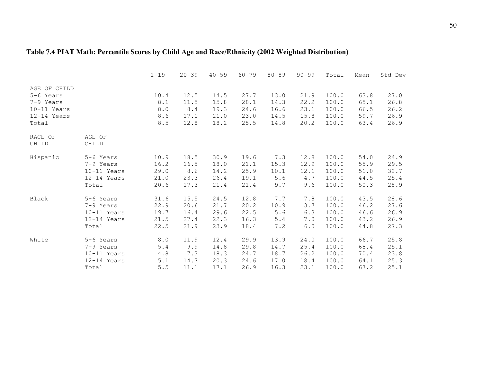## **Table 7.4 PIAT Math: Percentile Scores by Child Age and Race/Ethnicity (2002 Weighted Distribution)**

|                                                                               |                 | $1 - 19$                             | $20 - 39$                           | $40 - 59$                            | $60 - 79$                            | $80 - 89$                            | $90 - 99$                            | Total                                     | Mean                                 | Std Dev                              |
|-------------------------------------------------------------------------------|-----------------|--------------------------------------|-------------------------------------|--------------------------------------|--------------------------------------|--------------------------------------|--------------------------------------|-------------------------------------------|--------------------------------------|--------------------------------------|
| AGE OF CHILD<br>5-6 Years<br>7-9 Years<br>10-11 Years<br>12-14 Years<br>Total |                 | 10.4<br>$8.1\,$<br>8.0<br>8.6<br>8.5 | 12.5<br>11.5<br>8.4<br>17.1<br>12.8 | 14.5<br>15.8<br>19.3<br>21.0<br>18.2 | 27.7<br>28.1<br>24.6<br>23.0<br>25.5 | 13.0<br>14.3<br>16.6<br>14.5<br>14.8 | 21.9<br>22.2<br>23.1<br>15.8<br>20.2 | 100.0<br>100.0<br>100.0<br>100.0<br>100.0 | 63.8<br>65.1<br>66.5<br>59.7<br>63.4 | 27.0<br>26.8<br>26.2<br>26.9<br>26.9 |
| RACE OF<br>CHILD                                                              | AGE OF<br>CHILD |                                      |                                     |                                      |                                      |                                      |                                      |                                           |                                      |                                      |
| Hispanic                                                                      | 5-6 Years       | 10.9                                 | 18.5                                | 30.9                                 | 19.6                                 | 7.3                                  | 12.8                                 | 100.0                                     | 54.0                                 | 24.9                                 |
|                                                                               | 7-9 Years       | 16.2                                 | 16.5                                | 18.0                                 | 21.1                                 | 15.3                                 | 12.9                                 | 100.0                                     | 55.9                                 | 29.5                                 |
|                                                                               | 10-11 Years     | 29.0                                 | 8.6                                 | 14.2                                 | 25.9                                 | 10.1                                 | 12.1                                 | 100.0                                     | 51.0                                 | 32.7                                 |
|                                                                               | $12-14$ Years   | 21.0                                 | 23.3                                | 26.4                                 | 19.1                                 | 5.6                                  | 4.7                                  | 100.0                                     | 44.5                                 | 25.4                                 |
|                                                                               | Total           | 20.6                                 | 17.3                                | 21.4                                 | 21.4                                 | 9.7                                  | 9.6                                  | 100.0                                     | 50.3                                 | 28.9                                 |
| Black                                                                         | 5-6 Years       | 31.6                                 | 15.5                                | 24.5                                 | 12.8                                 | 7.7                                  | 7.8                                  | 100.0                                     | 43.5                                 | 28.6                                 |
|                                                                               | 7-9 Years       | 22.9                                 | 20.6                                | 21.7                                 | 20.2                                 | 10.9                                 | 3.7                                  | 100.0                                     | 46.2                                 | 27.6                                 |
|                                                                               | 10-11 Years     | 19.7                                 | 16.4                                | 29.6                                 | 22.5                                 | 5.6                                  | 6.3                                  | 100.0                                     | 46.6                                 | 26.9                                 |
|                                                                               | 12-14 Years     | 21.5                                 | 27.4                                | 22.3                                 | 16.3                                 | 5.4                                  | 7.0                                  | 100.0                                     | 43.2                                 | 26.9                                 |
|                                                                               | Total           | 22.5                                 | 21.9                                | 23.9                                 | 18.4                                 | 7.2                                  | 6.0                                  | 100.0                                     | 44.8                                 | 27.3                                 |
| White                                                                         | 5-6 Years       | 8.0                                  | 11.9                                | 12.4                                 | 29.9                                 | 13.9                                 | 24.0                                 | 100.0                                     | 66.7                                 | 25.8                                 |
|                                                                               | 7-9 Years       | $5.4\,$                              | 9.9                                 | 14.8                                 | 29.8                                 | 14.7                                 | 25.4                                 | 100.0                                     | 68.4                                 | 25.1                                 |
|                                                                               | 10-11 Years     | 4.8                                  | 7.3                                 | 18.3                                 | 24.7                                 | 18.7                                 | 26.2                                 | 100.0                                     | 70.4                                 | 23.8                                 |
|                                                                               | 12-14 Years     | 5.1                                  | 14.7                                | 20.3                                 | 24.6                                 | 17.0                                 | 18.4                                 | 100.0                                     | 64.1                                 | 25.3                                 |
|                                                                               | Total           | 5.5                                  | 11.1                                | 17.1                                 | 26.9                                 | 16.3                                 | 23.1                                 | 100.0                                     | 67.2                                 | 25.1                                 |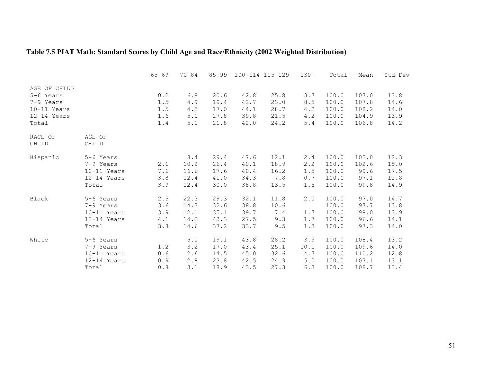## **Table 7.5 PIAT Math: Standard Scores by Child Age and Race/Ethnicity (2002 Weighted Distribution)**

|                                                                                 |                                                                 | $65 - 69$                           | $70 - 84$                            | $85 - 99$                            |                                      | 100-114 115-129                      | $130+$                            | Total                                     | Mean                                      | Std Dev                              |
|---------------------------------------------------------------------------------|-----------------------------------------------------------------|-------------------------------------|--------------------------------------|--------------------------------------|--------------------------------------|--------------------------------------|-----------------------------------|-------------------------------------------|-------------------------------------------|--------------------------------------|
| AGE OF CHILD<br>5-6 Years<br>7-9 Years<br>10-11 Years<br>$12-14$ Years<br>Total |                                                                 | 0.2<br>$1.5\,$<br>1.5<br>1.6<br>1.4 | 6.8<br>4.9<br>4.5<br>5.1<br>5.1      | 20.6<br>19.4<br>17.0<br>27.8<br>21.8 | 42.8<br>42.7<br>44.1<br>39.8<br>42.0 | 25.8<br>23.0<br>28.7<br>21.5<br>24.2 | 3.7<br>8.5<br>4.2<br>4.2<br>5.4   | 100.0<br>100.0<br>100.0<br>100.0<br>100.0 | 107.0<br>107.8<br>108.2<br>104.9<br>106.8 | 13.8<br>14.6<br>14.0<br>13.9<br>14.2 |
| RACE OF<br>CHILD                                                                | AGE OF<br>CHILD                                                 |                                     |                                      |                                      |                                      |                                      |                                   |                                           |                                           |                                      |
| Hispanic                                                                        | 5-6 Years<br>7-9 Years<br>10-11 Years<br>12-14 Years<br>Total   | 2.1<br>7.6<br>3.8<br>3.9            | 8.4<br>10.2<br>16.6<br>12.4<br>12.4  | 29.4<br>26.4<br>17.6<br>41.0<br>30.0 | 47.6<br>40.1<br>40.4<br>34.3<br>38.8 | 12.1<br>18.9<br>16.2<br>7.8<br>13.5  | 2.4<br>2.2<br>1.5<br>0.7<br>$1.5$ | 100.0<br>100.0<br>100.0<br>100.0<br>100.0 | 102.0<br>102.6<br>99.6<br>97.1<br>99.8    | 12.3<br>15.0<br>17.5<br>12.8<br>14.9 |
| Black                                                                           | 5-6 Years<br>7-9 Years<br>10-11 Years<br>12-14 Years<br>Total   | 2.5<br>3.6<br>3.9<br>4.1<br>3.8     | 22.3<br>14.3<br>12.1<br>14.2<br>14.6 | 29.3<br>32.6<br>35.1<br>43.3<br>37.2 | 32.1<br>38.8<br>39.7<br>27.5<br>33.7 | 11.8<br>10.6<br>7.4<br>9.3<br>9.5    | 2.0<br>1.7<br>1.7<br>1.3          | 100.0<br>100.0<br>100.0<br>100.0<br>100.0 | 97.0<br>97.7<br>98.0<br>96.6<br>97.3      | 14.7<br>13.8<br>13.9<br>14.1<br>14.0 |
| White                                                                           | 5-6 Years<br>7-9 Years<br>10-11 Years<br>$12-14$ Years<br>Total | 1.2<br>0.6<br>0.9<br>0.8            | 5.0<br>3.2<br>2.6<br>2.8<br>3.1      | 19.1<br>17.0<br>14.5<br>23.8<br>18.9 | 43.8<br>43.4<br>45.0<br>42.5<br>43.5 | 28.2<br>25.1<br>32.6<br>24.9<br>27.3 | 3.9<br>10.1<br>4.7<br>5.0<br>6.3  | 100.0<br>100.0<br>100.0<br>100.0<br>100.0 | 108.4<br>109.6<br>110.2<br>107.1<br>108.7 | 13.2<br>14.0<br>12.8<br>13.1<br>13.4 |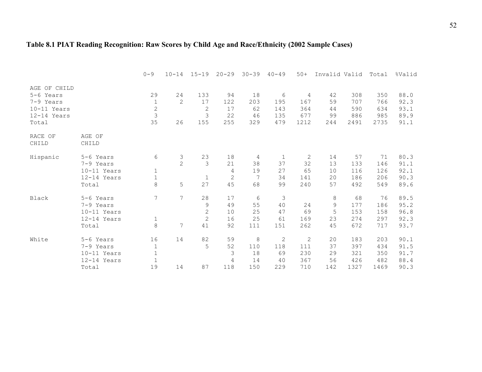# **Table 8.1 PIAT Reading Recognition: Raw Scores by Child Age and Race/Ethnicity (2002 Sample Cases)**

|                           |                 | $0 - 9$        | $10 - 14$      | $15 - 19$      | $20 - 29$      | $30 - 39$ | $40 - 49$      | $50+$          | Invalid Valid |      | Total | %Valid |
|---------------------------|-----------------|----------------|----------------|----------------|----------------|-----------|----------------|----------------|---------------|------|-------|--------|
| AGE OF CHILD<br>5-6 Years |                 | 29             | 24             | 133            | 94             | 18        | 6              | 4              | 42            | 308  | 350   | 88.0   |
| 7-9 Years                 |                 | $\mathbf 1$    | $\mathbf{2}$   | 17             | 122            | 203       | 195            | 167            | 59            | 707  | 766   | 92.3   |
| 10-11 Years               |                 | $\frac{2}{3}$  |                | $\mathbf{2}$   | 17             | 62        | 143            | 364            | 44            | 590  | 634   | 93.1   |
| $12-14$ Years             |                 |                |                | 3              | 22             | 46        | 135            | 677            | 99            | 886  | 985   | 89.9   |
| Total                     |                 | 35             | 26             | 155            | 255            | 329       | 479            | 1212           | 244           | 2491 | 2735  | 91.1   |
| RACE OF<br>${\tt CHILD}$  | AGE OF<br>CHILD |                |                |                |                |           |                |                |               |      |       |        |
| Hispanic                  | 5-6 Years       | 6              | 3              | 23             | 18             | 4         | $\mathbf{1}$   | 2              | 14            | 57   | 71    | 80.3   |
|                           | 7-9 Years       |                | $\overline{2}$ | $\mathfrak{Z}$ | 21             | 38        | 37             | 32             | 13            | 133  | 146   | 91.1   |
|                           | 10-11 Years     | $\mathbf 1$    |                |                | 4              | 19        | 27             | 65             | 10            | 116  | 126   | 92.1   |
|                           | 12-14 Years     | $\mathbf 1$    |                | $\mathbf 1$    | $\overline{2}$ | 7         | 34             | 141            | 20            | 186  | 206   | 90.3   |
|                           | Total           | $\,8\,$        | 5              | 27             | 45             | 68        | 99             | 240            | 57            | 492  | 549   | 89.6   |
| Black                     | 5-6 Years       | $\overline{7}$ | $\overline{7}$ | 28             | 17             | 6         | $\mathfrak{Z}$ |                | 8             | 68   | 76    | 89.5   |
|                           | 7-9 Years       |                |                | 9              | 49             | 55        | 40             | 24             | 9             | 177  | 186   | 95.2   |
|                           | $10-11$ Years   |                |                | $\overline{c}$ | 10             | 25        | 47             | 69             | 5             | 153  | 158   | 96.8   |
|                           | 12-14 Years     | $\mathbf 1$    |                | $\overline{c}$ | 16             | 25        | 61             | 169            | 23            | 274  | 297   | 92.3   |
|                           | Total           | $\,8\,$        | 7              | 41             | 92             | 111       | 151            | 262            | 45            | 672  | 717   | 93.7   |
| White                     | 5-6 Years       | 16             | 14             | 82             | 59             | 8         | 2              | $\overline{2}$ | 20            | 183  | 203   | 90.1   |
|                           | 7-9 Years       | $\mathbf 1$    |                | 5              | 52             | 110       | 118            | 111            | 37            | 397  | 434   | 91.5   |
|                           | 10-11 Years     | $\mathbf 1$    |                |                | 3              | 18        | 69             | 230            | 29            | 321  | 350   | 91.7   |
|                           | 12-14 Years     | $\mathbf{1}$   |                |                | 4              | 14        | 40             | 367            | 56            | 426  | 482   | 88.4   |
|                           | Total           | 19             | 14             | 87             | 118            | 150       | 229            | 710            | 142           | 1327 | 1469  | 90.3   |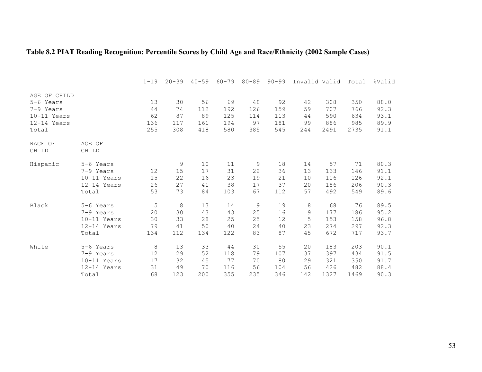## **Table 8.2 PIAT Reading Recognition: Percentile Scores by Child Age and Race/Ethnicity (2002 Sample Cases)**

|               |             | $1 - 19$ | $20 - 39$ | $40 - 59$ | $60 - 79$ | $80 - 89$ | $90 - 99$ | Invalid Valid |      | Total | %Valid |
|---------------|-------------|----------|-----------|-----------|-----------|-----------|-----------|---------------|------|-------|--------|
| AGE OF CHILD  |             |          |           |           |           |           |           |               |      |       |        |
| 5-6 Years     |             | 13       | 30        | 56        | 69        | 48        | 92        | 42            | 308  | 350   | 88.0   |
| 7-9 Years     |             | 44       | 74        | 112       | 192       | 126       | 159       | 59            | 707  | 766   | 92.3   |
| $10-11$ Years |             | 62       | 87        | 89        | 125       | 114       | 113       | 44            | 590  | 634   | 93.1   |
| 12-14 Years   |             | 136      | 117       | 161       | 194       | 97        | 181       | 99            | 886  | 985   | 89.9   |
| Total         |             | 255      | 308       | 418       | 580       | 385       | 545       | 244           | 2491 | 2735  | 91.1   |
| RACE OF       | AGE OF      |          |           |           |           |           |           |               |      |       |        |
| CHILD         | CHILD       |          |           |           |           |           |           |               |      |       |        |
| Hispanic      | 5-6 Years   |          | 9         | 10        | 11        | 9         | 18        | 14            | 57   | 71    | 80.3   |
|               | 7-9 Years   | 12       | 15        | 17        | 31        | 22        | 36        | 13            | 133  | 146   | 91.1   |
|               | 10-11 Years | 15       | 22        | 16        | 23        | 19        | 21        | 10            | 116  | 126   | 92.1   |
|               | 12-14 Years | 26       | 27        | 41        | 38        | 17        | 37        | 20            | 186  | 206   | 90.3   |
|               | Total       | 53       | 73        | 84        | 103       | 67        | 112       | 57            | 492  | 549   | 89.6   |
| Black         | 5-6 Years   | 5        | 8         | 13        | 14        | 9         | 19        | 8             | 68   | 76    | 89.5   |
|               | 7-9 Years   | 20       | 30        | 43        | 43        | 25        | 16        | 9             | 177  | 186   | 95.2   |
|               | 10-11 Years | 30       | 33        | 28        | 25        | 25        | 12        | 5             | 153  | 158   | 96.8   |
|               | 12-14 Years | 79       | 41        | 50        | 40        | 24        | 40        | 23            | 274  | 297   | 92.3   |
|               | Total       | 134      | 112       | 134       | 122       | 83        | 87        | 45            | 672  | 717   | 93.7   |
| White         | 5-6 Years   | 8        | 13        | 33        | 44        | 30        | 55        | 20            | 183  | 203   | 90.1   |
|               | 7-9 Years   | 12       | 29        | 52        | 118       | 79        | 107       | 37            | 397  | 434   | 91.5   |
|               | 10-11 Years | 17       | 32        | 45        | 77        | 70        | 80        | 29            | 321  | 350   | 91.7   |
|               | 12-14 Years | 31       | 49        | 70        | 116       | 56        | 104       | 56            | 426  | 482   | 88.4   |
|               | Total       | 68       | 123       | 200       | 355       | 235       | 346       | 142           | 1327 | 1469  | 90.3   |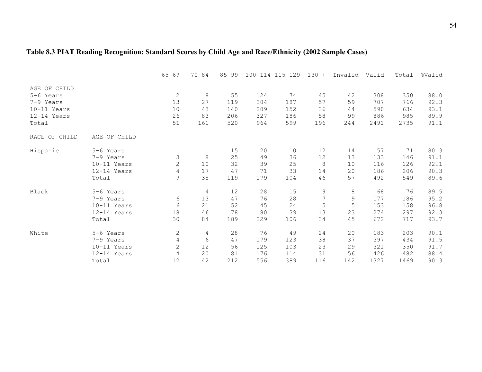## **Table 8.3 PIAT Reading Recognition: Standard Scores by Child Age and Race/Ethnicity (2002 Sample Cases)**

|               |              | $65 - 69$      | $70 - 84$ | $85 - 99$ |     | 100-114 115-129 | $130 +$ | Invalid     | Valid | Total | %Valid |
|---------------|--------------|----------------|-----------|-----------|-----|-----------------|---------|-------------|-------|-------|--------|
| AGE OF CHILD  |              |                |           |           |     |                 |         |             |       |       |        |
| 5-6 Years     |              | $\mathbf{2}$   | 8         | 55        | 124 | 74              | 45      | 42          | 308   | 350   | 88.0   |
| 7-9 Years     |              | 13             | 27        | 119       | 304 | 187             | 57      | 59          | 707   | 766   | 92.3   |
| 10-11 Years   |              | 10             | 43        | 140       | 209 | 152             | 36      | 44          | 590   | 634   | 93.1   |
| $12-14$ Years |              | 26             | 83        | 206       | 327 | 186             | 58      | 99          | 886   | 985   | 89.9   |
| Total         |              | 51             | 161       | 520       | 964 | 599             | 196     | 244         | 2491  | 2735  | 91.1   |
| RACE OF CHILD | AGE OF CHILD |                |           |           |     |                 |         |             |       |       |        |
| Hispanic      | 5-6 Years    |                |           | 15        | 20  | 10              | 12      | 14          | 57    | 71    | 80.3   |
|               | 7-9 Years    | 3              | 8         | 25        | 49  | 36              | 12      | 13          | 133   | 146   | 91.1   |
|               | 10-11 Years  | $\overline{2}$ | 10        | 32        | 39  | 25              | 8       | 10          | 116   | 126   | 92.1   |
|               | 12-14 Years  | 4              | 17        | 47        | 71  | 33              | 14      | 20          | 186   | 206   | 90.3   |
|               | Total        | 9              | 35        | 119       | 179 | 104             | 46      | 57          | 492   | 549   | 89.6   |
| Black         | 5-6 Years    |                | 4         | 12        | 28  | 15              | 9       | $\,8\,$     | 68    | 76    | 89.5   |
|               | 7-9 Years    | 6              | 13        | 47        | 76  | 28              | 7       | $\mathsf 9$ | 177   | 186   | 95.2   |
|               | 10-11 Years  | 6              | 21        | 52        | 45  | 24              | 5       | 5           | 153   | 158   | 96.8   |
|               | 12-14 Years  | 18             | 46        | 78        | 80  | 39              | 13      | 23          | 274   | 297   | 92.3   |
|               | Total        | 30             | 84        | 189       | 229 | 106             | 34      | 45          | 672   | 717   | 93.7   |
| White         | 5-6 Years    | $\mathbf{2}$   | 4         | 28        | 76  | 49              | 24      | 20          | 183   | 203   | 90.1   |
|               | 7-9 Years    | $\overline{4}$ | 6         | 47        | 179 | 123             | 38      | 37          | 397   | 434   | 91.5   |
|               | 10-11 Years  | $\mathbf{2}$   | 12        | 56        | 125 | 103             | 23      | 29          | 321   | 350   | 91.7   |
|               | 12-14 Years  | 4              | 20        | 81        | 176 | 114             | 31      | 56          | 426   | 482   | 88.4   |
|               | Total        | 12             | 42        | 212       | 556 | 389             | 116     | 142         | 1327  | 1469  | 90.3   |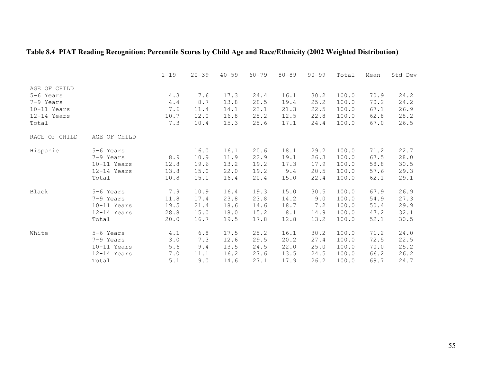## **Table 8.4 PIAT Reading Recognition: Percentile Scores by Child Age and Race/Ethnicity (2002 Weighted Distribution)**

|                                                                                   |                                                                   | $1 - 19$                            | $20 - 39$                            | $40 - 59$                            | $60 - 79$                            | $80 - 89$                            | $90 - 99$                            | Total                                     | Mean                                 | Std Dev                              |
|-----------------------------------------------------------------------------------|-------------------------------------------------------------------|-------------------------------------|--------------------------------------|--------------------------------------|--------------------------------------|--------------------------------------|--------------------------------------|-------------------------------------------|--------------------------------------|--------------------------------------|
| AGE OF CHILD<br>5-6 Years<br>7-9 Years<br>$10-11$ Years<br>$12-14$ Years<br>Total |                                                                   | 4.3<br>4.4<br>7.6<br>10.7<br>7.3    | 7.6<br>8.7<br>11.4<br>12.0<br>10.4   | 17.3<br>13.8<br>14.1<br>16.8<br>15.3 | 24.4<br>28.5<br>23.1<br>25.2<br>25.6 | 16.1<br>19.4<br>21.3<br>12.5<br>17.1 | 30.2<br>25.2<br>22.5<br>22.8<br>24.4 | 100.0<br>100.0<br>100.0<br>100.0<br>100.0 | 70.9<br>70.2<br>67.1<br>62.8<br>67.0 | 24.2<br>24.2<br>26.9<br>28.2<br>26.5 |
| RACE OF CHILD                                                                     | AGE OF CHILD                                                      |                                     |                                      |                                      |                                      |                                      |                                      |                                           |                                      |                                      |
| Hispanic                                                                          | 5-6 Years<br>7-9 Years<br>10-11 Years<br>$12-14$ Years<br>Total   | 8.9<br>12.8<br>13.8<br>10.8         | 16.0<br>10.9<br>19.6<br>15.0<br>15.1 | 16.1<br>11.9<br>13.2<br>22.0<br>16.4 | 20.6<br>22.9<br>19.2<br>19.2<br>20.4 | 18.1<br>19.1<br>17.3<br>9.4<br>15.0  | 29.2<br>26.3<br>17.9<br>20.5<br>22.4 | 100.0<br>100.0<br>100.0<br>100.0<br>100.0 | 71.2<br>67.5<br>58.8<br>57.6<br>62.1 | 22.7<br>28.0<br>30.5<br>29.3<br>29.1 |
| Black                                                                             | 5-6 Years<br>7-9 Years<br>$10-11$ Years<br>$12-14$ Years<br>Total | 7.9<br>11.8<br>19.5<br>28.8<br>20.0 | 10.9<br>17.4<br>21.4<br>15.0<br>16.7 | 16.4<br>23.8<br>18.6<br>18.0<br>19.5 | 19.3<br>23.8<br>14.6<br>15.2<br>17.8 | 15.0<br>14.2<br>18.7<br>8.1<br>12.8  | 30.5<br>9.0<br>7.2<br>14.9<br>13.2   | 100.0<br>100.0<br>100.0<br>100.0<br>100.0 | 67.9<br>54.9<br>50.4<br>47.2<br>52.1 | 26.9<br>27.3<br>29.9<br>32.1<br>30.5 |
| White                                                                             | 5-6 Years<br>7-9 Years<br>10-11 Years<br>12-14 Years<br>Total     | 4.1<br>3.0<br>5.6<br>7.0<br>5.1     | $6.8$<br>7.3<br>9.4<br>11.1<br>9.0   | 17.5<br>12.6<br>13.5<br>16.2<br>14.6 | 25.2<br>29.5<br>24.5<br>27.6<br>27.1 | 16.1<br>20.2<br>22.0<br>13.5<br>17.9 | 30.2<br>27.4<br>25.0<br>24.5<br>26.2 | 100.0<br>100.0<br>100.0<br>100.0<br>100.0 | 71.2<br>72.5<br>70.0<br>66.2<br>69.7 | 24.0<br>22.5<br>25.2<br>26.2<br>24.7 |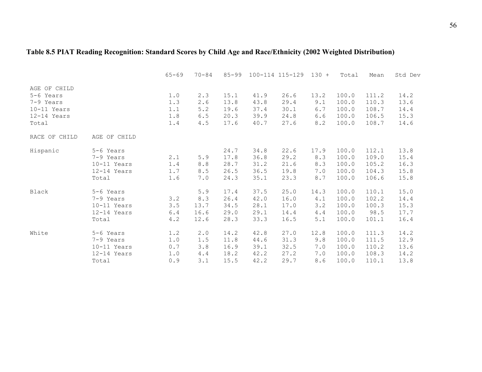## **Table 8.5 PIAT Reading Recognition: Standard Scores by Child Age and Race/Ethnicity (2002 Weighted Distribution)**

|                                                                                 |                                                                 | $65 - 69$                       | $70 - 84$                          | $85 - 99$                            |                                      | 100-114 115-129                      | $130 +$                                 | Total                                     | Mean                                      | Std Dev                              |
|---------------------------------------------------------------------------------|-----------------------------------------------------------------|---------------------------------|------------------------------------|--------------------------------------|--------------------------------------|--------------------------------------|-----------------------------------------|-------------------------------------------|-------------------------------------------|--------------------------------------|
| AGE OF CHILD<br>5-6 Years<br>7-9 Years<br>10-11 Years<br>$12-14$ Years<br>Total |                                                                 | 1.0<br>1.3<br>1.1<br>1.8<br>1.4 | 2.3<br>2.6<br>5.2<br>6.5<br>4.5    | 15.1<br>13.8<br>19.6<br>20.3<br>17.6 | 41.9<br>43.8<br>37.4<br>39.9<br>40.7 | 26.6<br>29.4<br>30.1<br>24.8<br>27.6 | 13.2<br>9.1<br>6.7<br>$6.6$<br>8.2      | 100.0<br>100.0<br>100.0<br>100.0<br>100.0 | 111.2<br>110.3<br>108.7<br>106.5<br>108.7 | 14.2<br>13.6<br>14.4<br>15.3<br>14.6 |
| RACE OF CHILD                                                                   | AGE OF CHILD                                                    |                                 |                                    |                                      |                                      |                                      |                                         |                                           |                                           |                                      |
| Hispanic                                                                        | 5-6 Years<br>7-9 Years<br>10-11 Years<br>12-14 Years<br>Total   | 2.1<br>1.4<br>1.7<br>1.6        | $5.9$<br>8.8<br>8.5<br>7.0         | 24.7<br>17.8<br>28.7<br>26.5<br>24.3 | 34.8<br>36.8<br>31.2<br>36.5<br>35.1 | 22.6<br>29.2<br>21.6<br>19.8<br>23.3 | 17.9<br>8.3<br>8.3<br>7.0<br>8.7        | 100.0<br>100.0<br>100.0<br>100.0<br>100.0 | 112.1<br>109.0<br>105.2<br>104.3<br>106.6 | 13.8<br>15.4<br>16.3<br>15.8<br>15.8 |
| Black                                                                           | 5-6 Years<br>7-9 Years<br>$10-11$ Years<br>12-14 Years<br>Total | 3.2<br>3.5<br>6.4<br>4.2        | 5.9<br>8.3<br>13.7<br>16.6<br>12.6 | 17.4<br>26.4<br>34.5<br>29.0<br>28.3 | 37.5<br>42.0<br>28.1<br>29.1<br>33.3 | 25.0<br>16.0<br>17.0<br>14.4<br>16.5 | 14.3<br>4.1<br>3.2<br>$4\cdot 4$<br>5.1 | 100.0<br>100.0<br>100.0<br>100.0<br>100.0 | 110.1<br>102.2<br>100.3<br>98.5<br>101.1  | 15.0<br>14.4<br>15.3<br>17.7<br>16.4 |
| White                                                                           | 5-6 Years<br>7-9 Years<br>10-11 Years<br>12-14 Years<br>Total   | 1.2<br>1.0<br>0.7<br>1.0<br>0.9 | 2.0<br>1.5<br>3.8<br>4.4<br>3.1    | 14.2<br>11.8<br>16.9<br>18.2<br>15.5 | 42.8<br>44.6<br>39.1<br>42.2<br>42.2 | 27.0<br>31.3<br>32.5<br>27.2<br>29.7 | 12.8<br>9.8<br>7.0<br>7.0<br>8.6        | 100.0<br>100.0<br>100.0<br>100.0<br>100.0 | 111.3<br>111.5<br>110.2<br>108.3<br>110.1 | 14.2<br>12.9<br>13.6<br>14.2<br>13.8 |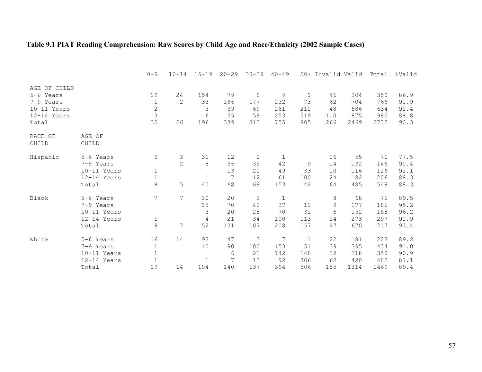# **Table 9.1 PIAT Reading Comprehension: Raw Scores by Child Age and Race/Ethnicity (2002 Sample Cases)**

|                                                                                 |                                                                 | $0 - 9$                                                | $10 - 14$                  | $15 - 19$                                          | $20 - 29$                    | $30 - 39$                               | $40 - 49$                              |                              | 50+ Invalid Valid            |                                  | Total                            | %Valid                               |
|---------------------------------------------------------------------------------|-----------------------------------------------------------------|--------------------------------------------------------|----------------------------|----------------------------------------------------|------------------------------|-----------------------------------------|----------------------------------------|------------------------------|------------------------------|----------------------------------|----------------------------------|--------------------------------------|
| AGE OF CHILD<br>5-6 Years<br>7-9 Years<br>10-11 Years<br>$12-14$ Years<br>Total |                                                                 | 29<br>$\mathbf 1$<br>$\frac{2}{3}$<br>35               | 24<br>$\overline{c}$<br>26 | 154<br>33<br>3<br>6<br>196                         | 79<br>186<br>39<br>35<br>339 | 8<br>177<br>69<br>59<br>313             | 9<br>232<br>261<br>253<br>755          | 1<br>73<br>212<br>519<br>805 | 46<br>62<br>48<br>110<br>266 | 304<br>704<br>586<br>875<br>2469 | 350<br>766<br>634<br>985<br>2735 | 86.9<br>91.9<br>92.4<br>88.8<br>90.3 |
| RACE OF<br>$\texttt{CHILD}$                                                     | AGE OF<br>CHILD                                                 |                                                        |                            |                                                    |                              |                                         |                                        |                              |                              |                                  |                                  |                                      |
| Hispanic                                                                        | 5-6 Years<br>7-9 Years<br>10-11 Years<br>12-14 Years<br>Total   | 6<br>$1\,$<br>$\mathbf 1$<br>$\,8\,$                   | 3<br>$\overline{2}$<br>5   | 31<br>$8\,$<br>$\mathbf{1}$<br>40                  | 12<br>36<br>13<br>7<br>68    | 2<br>35<br>20<br>12<br>69               | $\mathbf{1}$<br>42<br>49<br>61<br>153  | 9<br>33<br>100<br>142        | 16<br>14<br>10<br>24<br>64   | 55<br>132<br>116<br>182<br>485   | 71<br>146<br>126<br>206<br>549   | 77.5<br>90.4<br>92.1<br>88.3<br>88.3 |
| Black                                                                           | 5-6 Years<br>7-9 Years<br>$10-11$ Years<br>12-14 Years<br>Total | $\overline{7}$<br>$\mathbf{1}$<br>8                    | 7<br>7                     | 30<br>15<br>$\mathfrak{Z}$<br>$\overline{4}$<br>52 | 20<br>70<br>20<br>21<br>131  | $\mathfrak{Z}$<br>42<br>28<br>34<br>107 | $\mathbf{1}$<br>37<br>70<br>100<br>208 | 13<br>31<br>113<br>157       | 8<br>9<br>6<br>24<br>47      | 68<br>177<br>152<br>273<br>670   | 76<br>186<br>158<br>297<br>717   | 89.5<br>95.2<br>96.2<br>91.9<br>93.4 |
| White                                                                           | 5-6 Years<br>7-9 Years<br>10-11 Years<br>12-14 Years<br>Total   | 16<br>$\mathbf 1$<br>$\mathbf 1$<br>$\mathbf{1}$<br>19 | 14<br>14                   | 93<br>10<br>$\mathbf{1}$<br>104                    | 47<br>80<br>6<br>7<br>140    | 3<br>100<br>21<br>13<br>137             | 7<br>153<br>142<br>92<br>394           | 1<br>51<br>148<br>306<br>506 | 22<br>39<br>32<br>62<br>155  | 181<br>395<br>318<br>420<br>1314 | 203<br>434<br>350<br>482<br>1469 | 89.2<br>91.0<br>90.9<br>87.1<br>89.4 |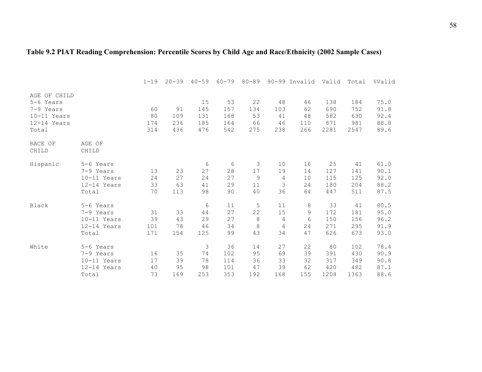## **Table 9.2 PIAT Reading Comprehension: Percentile Scores by Child Age and Race/Ethnicity (2002 Sample Cases)**

|               |               | $1 - 19$ | $20 - 39$ | $40 - 59$   | $60 - 79$ | $80 - 89$ |     | 90-99 Invalid Valid |      | Total | %Valid |
|---------------|---------------|----------|-----------|-------------|-----------|-----------|-----|---------------------|------|-------|--------|
| AGE OF CHILD  |               |          |           |             |           |           |     |                     |      |       |        |
| 5-6 Years     |               |          |           | 15          | 53        | 22        | 48  | 46                  | 138  | 184   | 75.0   |
| 7-9 Years     |               | 60       | 91        | 145         | 157       | 134       | 103 | 62                  | 690  | 752   | 91.8   |
| 10-11 Years   |               | 80       | 109       | 131         | 168       | 53        | 41  | 48                  | 582  | 630   | 92.4   |
| $12-14$ Years |               | 174      | 236       | 185         | 164       | 66        | 46  | 110                 | 871  | 981   | 88.8   |
| Total         |               | 314      | 436       | 476         | 542       | 275       | 238 | 266                 | 2281 | 2547  | 89.6   |
| RACE OF       | AGE OF        |          |           |             |           |           |     |                     |      |       |        |
| CHILD         | CHILD         |          |           |             |           |           |     |                     |      |       |        |
| Hispanic      | 5-6 Years     |          |           | 6           | 6         | 3         | 10  | 16                  | 25   | 41    | 61.0   |
|               | 7-9 Years     | 13       | 23        | 27          | 28        | 17        | 19  | 14                  | 127  | 141   | 90.1   |
|               | $10-11$ Years | 24       | 27        | 24          | 27        | 9         | 4   | 10                  | 115  | 125   | 92.0   |
|               | 12-14 Years   | 33       | 63        | 41          | 29        | 11        | 3   | 24                  | 180  | 204   | 88.2   |
|               | Total         | 70       | 113       | 98          | 90        | 40        | 36  | 64                  | 447  | 511   | 87.5   |
| Black         | 5-6 Years     |          |           | 6           | 11        | 5         | 11  | 8                   | 33   | 41    | 80.5   |
|               | 7-9 Years     | 31       | 33        | 44          | 27        | 22        | 15  | 9                   | 172  | 181   | 95.0   |
|               | 10-11 Years   | 39       | 43        | 29          | 27        | $\,8\,$   | 4   | 6                   | 150  | 156   | 96.2   |
|               | $12-14$ Years | 101      | 78        | 46          | 34        | 8         | 4   | 24                  | 271  | 295   | 91.9   |
|               | Total         | 171      | 154       | 125         | 99        | 43        | 34  | 47                  | 626  | 673   | 93.0   |
| White         | 5-6 Years     |          |           | $\mathsf 3$ | 36        | 14        | 27  | 22                  | 80   | 102   | 78.4   |
|               | 7-9 Years     | 16       | 35        | 74          | 102       | 95        | 69  | 39                  | 391  | 430   | 90.9   |
|               | 10-11 Years   | 17       | 39        | 78          | 114       | 36        | 33  | 32                  | 317  | 349   | 90.8   |
|               | 12-14 Years   | 40       | 95        | 98          | 101       | 47        | 39  | 62                  | 420  | 482   | 87.1   |
|               | Total         | 73       | 169       | 253         | 353       | 192       | 168 | 155                 | 1208 | 1363  | 88.6   |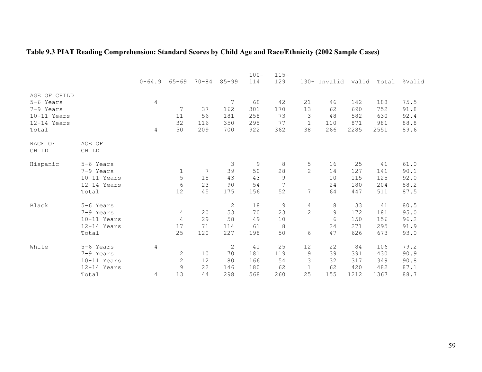## **Table 9.3 PIAT Reading Comprehension: Standard Scores by Child Age and Race/Ethnicity (2002 Sample Cases)**

|                                                                                 |                                                                 | $0 - 64.9$      | $65 - 69$                                 | $70 - 84$              | $85 - 99$                              | $100 -$<br>114                       | $115 -$<br>129               |                                       | 130+ Invalid Valid           |                                  | Total                            | %Valid                               |
|---------------------------------------------------------------------------------|-----------------------------------------------------------------|-----------------|-------------------------------------------|------------------------|----------------------------------------|--------------------------------------|------------------------------|---------------------------------------|------------------------------|----------------------------------|----------------------------------|--------------------------------------|
| AGE OF CHILD<br>5-6 Years<br>7-9 Years<br>10-11 Years<br>$12-14$ Years<br>Total |                                                                 | $\sqrt{4}$<br>4 | 7<br>11<br>32<br>50                       | 37<br>56<br>116<br>209 | 7<br>162<br>181<br>350<br>700          | 68<br>301<br>258<br>295<br>922       | 42<br>170<br>73<br>77<br>362 | 21<br>13<br>3<br>$\mathbf{1}$<br>38   | 46<br>62<br>48<br>110<br>266 | 142<br>690<br>582<br>871<br>2285 | 188<br>752<br>630<br>981<br>2551 | 75.5<br>91.8<br>92.4<br>88.8<br>89.6 |
| RACE OF<br>CHILD                                                                | AGE OF<br>CHILD                                                 |                 |                                           |                        |                                        |                                      |                              |                                       |                              |                                  |                                  |                                      |
| Hispanic                                                                        | 5-6 Years<br>7-9 Years<br>10-11 Years<br>12-14 Years<br>Total   |                 | $\mathbf{1}$<br>5<br>6<br>12              | 7<br>15<br>23<br>45    | 3<br>39<br>43<br>90<br>175             | $\mathsf 9$<br>50<br>43<br>54<br>156 | 8<br>28<br>9<br>7<br>52      | 5<br>$\overline{2}$<br>$\overline{7}$ | 16<br>14<br>10<br>24<br>64   | 25<br>127<br>115<br>180<br>447   | 41<br>141<br>125<br>204<br>511   | 61.0<br>90.1<br>92.0<br>88.2<br>87.5 |
| Black                                                                           | 5-6 Years<br>7-9 Years<br>10-11 Years<br>$12-14$ Years<br>Total |                 | 4<br>4<br>17<br>25                        | 20<br>29<br>71<br>120  | $\mathbf{2}$<br>53<br>58<br>114<br>227 | 18<br>70<br>49<br>61<br>198          | 9<br>23<br>10<br>8<br>50     | 4<br>$\overline{2}$<br>6              | 8<br>9<br>6<br>24<br>47      | 33<br>172<br>150<br>271<br>626   | 41<br>181<br>156<br>295<br>673   | 80.5<br>95.0<br>96.2<br>91.9<br>93.0 |
| White                                                                           | 5-6 Years<br>7-9 Years<br>10-11 Years<br>12-14 Years<br>Total   | 4<br>4          | $\mathbf{2}$<br>$\overline{2}$<br>9<br>13 | 10<br>12<br>22<br>44   | $\mathbf{2}$<br>70<br>80<br>146<br>298 | 41<br>181<br>166<br>180<br>568       | 25<br>119<br>54<br>62<br>260 | 12<br>9<br>3<br>$\mathbf 1$<br>25     | 22<br>39<br>32<br>62<br>155  | 84<br>391<br>317<br>420<br>1212  | 106<br>430<br>349<br>482<br>1367 | 79.2<br>90.9<br>90.8<br>87.1<br>88.7 |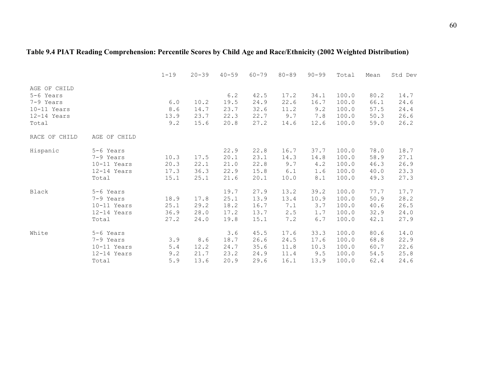## **Table 9.4 PIAT Reading Comprehension: Percentile Scores by Child Age and Race/Ethnicity (2002 Weighted Distribution)**

|                           |               | $1 - 19$ | $20 - 39$ | $40 - 59$ | $60 - 79$ | $80 - 89$ | $90 - 99$ | Total | Mean | Std Dev |
|---------------------------|---------------|----------|-----------|-----------|-----------|-----------|-----------|-------|------|---------|
| AGE OF CHILD<br>5-6 Years |               |          |           | 6.2       | 42.5      | 17.2      | 34.1      | 100.0 | 80.2 | 14.7    |
| 7-9 Years                 |               | 6.0      | 10.2      | 19.5      | 24.9      | 22.6      | 16.7      | 100.0 | 66.1 | 24.6    |
| $10-11$ Years             |               | 8.6      | 14.7      | 23.7      | 32.6      | 11.2      | 9.2       | 100.0 | 57.5 | 24.4    |
| 12-14 Years               |               | 13.9     | 23.7      | 22.3      | 22.7      | 9.7       | 7.8       | 100.0 | 50.3 | 26.6    |
| Total                     |               | 9.2      | 15.6      | 20.8      | 27.2      | 14.6      | 12.6      | 100.0 | 59.0 | 26.2    |
| RACE OF CHILD             | AGE OF CHILD  |          |           |           |           |           |           |       |      |         |
| Hispanic                  | 5-6 Years     |          |           | 22.9      | 22.8      | 16.7      | 37.7      | 100.0 | 78.0 | 18.7    |
|                           | 7-9 Years     | 10.3     | 17.5      | 20.1      | 23.1      | 14.3      | 14.8      | 100.0 | 58.9 | 27.1    |
|                           | 10-11 Years   | 20.3     | 22.1      | 21.0      | 22.8      | 9.7       | 4.2       | 100.0 | 46.3 | 26.9    |
|                           | $12-14$ Years | 17.3     | 36.3      | 22.9      | 15.8      | 6.1       | 1.6       | 100.0 | 40.0 | 23.3    |
|                           | Total         | 15.1     | 25.1      | 21.6      | 20.1      | 10.0      | 8.1       | 100.0 | 49.3 | 27.3    |
| Black                     | 5-6 Years     |          |           | 19.7      | 27.9      | 13.2      | 39.2      | 100.0 | 77.7 | 17.7    |
|                           | 7-9 Years     | 18.9     | 17.8      | 25.1      | 13.9      | 13.4      | 10.9      | 100.0 | 50.9 | 28.2    |
|                           | 10-11 Years   | 25.1     | 29.2      | 18.2      | 16.7      | 7.1       | 3.7       | 100.0 | 40.6 | 26.5    |
|                           | 12-14 Years   | 36.9     | 28.0      | 17.2      | 13.7      | 2.5       | 1.7       | 100.0 | 32.9 | 24.0    |
|                           | Total         | 27.2     | 24.0      | 19.8      | 15.1      | 7.2       | $6.7$     | 100.0 | 42.1 | 27.9    |
| White                     | 5-6 Years     |          |           | 3.6       | 45.5      | 17.6      | 33.3      | 100.0 | 80.6 | 14.0    |
|                           | 7-9 Years     | 3.9      | 8.6       | 18.7      | 26.6      | 24.5      | 17.6      | 100.0 | 68.8 | 22.9    |
|                           | $10-11$ Years | 5.4      | 12.2      | 24.7      | 35.6      | 11.8      | 10.3      | 100.0 | 60.7 | 22.6    |
|                           | 12-14 Years   | 9.2      | 21.7      | 23.2      | 24.9      | 11.4      | 9.5       | 100.0 | 54.5 | 25.8    |
|                           | Total         | 5.9      | 13.6      | 20.9      | 29.6      | 16.1      | 13.9      | 100.0 | 62.4 | 24.6    |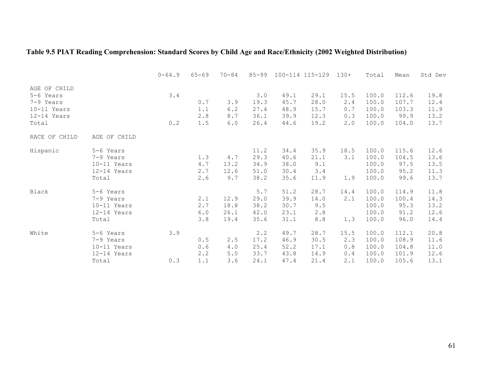## **Table 9.5 PIAT Reading Comprehension: Standard Scores by Child Age and Race/Ethnicity (2002 Weighted Distribution)**

|                                                                                 |                                                               | $0 - 64.9$ | $65 - 69$                | $70 - 84$                    | $85 - 99$                            |                                      | 100-114 115-129                      | 130+                             | Total                                     | Mean                                      | Std Dev                              |
|---------------------------------------------------------------------------------|---------------------------------------------------------------|------------|--------------------------|------------------------------|--------------------------------------|--------------------------------------|--------------------------------------|----------------------------------|-------------------------------------------|-------------------------------------------|--------------------------------------|
| AGE OF CHILD<br>5-6 Years<br>7-9 Years<br>10-11 Years<br>$12-14$ Years<br>Total |                                                               | 3.4<br>0.2 | 0.7<br>1.1<br>2.8<br>1.5 | 3.9<br>6.2<br>8.7<br>6.0     | 3.0<br>19.3<br>27.4<br>36.1<br>26.4  | 49.1<br>45.7<br>48.9<br>39.9<br>44.6 | 29.1<br>28.0<br>15.7<br>12.3<br>19.2 | 15.5<br>2.4<br>0.7<br>0.3<br>2.0 | 100.0<br>100.0<br>100.0<br>100.0<br>100.0 | 112.6<br>107.7<br>103.3<br>99.9<br>104.0  | 19.8<br>12.4<br>11.9<br>13.2<br>13.7 |
| RACE OF CHILD                                                                   | AGE OF CHILD                                                  |            |                          |                              |                                      |                                      |                                      |                                  |                                           |                                           |                                      |
| Hispanic                                                                        | 5-6 Years<br>7-9 Years<br>10-11 Years<br>12-14 Years<br>Total |            | 1.3<br>4.7<br>2.7<br>2.6 | 4.7<br>13.2<br>12.6<br>9.7   | 11.2<br>29.3<br>34.9<br>51.0<br>38.2 | 34.4<br>40.6<br>38.0<br>30.4<br>35.6 | 35.9<br>21.1<br>9.1<br>3.4<br>11.9   | 18.5<br>3.1<br>1.9               | 100.0<br>100.0<br>100.0<br>100.0<br>100.0 | 115.6<br>104.5<br>97.5<br>95.2<br>99.6    | 12.6<br>13.6<br>13.5<br>11.3<br>13.7 |
| Black                                                                           | 5-6 Years<br>7-9 Years<br>10-11 Years<br>12-14 Years<br>Total |            | 2.1<br>2.7<br>6.0<br>3.8 | 12.9<br>18.8<br>26.1<br>19.4 | 5.7<br>29.0<br>38.2<br>42.0<br>35.6  | 51.2<br>39.9<br>30.7<br>23.1<br>31.1 | 28.7<br>14.0<br>9.5<br>2.8<br>8.8    | 14.4<br>2.1<br>1.3               | 100.0<br>100.0<br>100.0<br>100.0<br>100.0 | 114.9<br>100.4<br>95.3<br>91.2<br>96.0    | 11.8<br>14.3<br>13.2<br>12.6<br>14.4 |
| White                                                                           | 5-6 Years<br>7-9 Years<br>10-11 Years<br>12-14 Years<br>Total | 3.9<br>0.3 | 0.5<br>0.6<br>2.2<br>1.1 | 2.5<br>4.0<br>$5.0$<br>3.6   | 2.2<br>17.2<br>25.4<br>33.7<br>24.1  | 49.7<br>46.9<br>52.2<br>43.8<br>47.4 | 28.7<br>30.5<br>17.1<br>14.9<br>21.4 | 15.5<br>2.3<br>0.8<br>0.4<br>2.1 | 100.0<br>100.0<br>100.0<br>100.0<br>100.0 | 112.1<br>108.9<br>104.8<br>101.9<br>105.6 | 20.8<br>11.6<br>11.0<br>12.6<br>13.1 |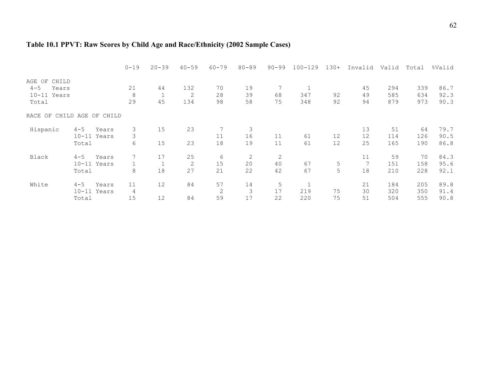# **Table 10.1 PPVT: Raw Scores by Child Age and Race/Ethnicity (2002 Sample Cases)**

|                  |              |       | $0 - 19$ | $20 - 39$   | $40 - 59$    | $60 - 79$ | $80 - 89$ | $90 - 99$ | $100 - 129$ | $130+$ | Invalid | Valid | Total | %Valid |
|------------------|--------------|-------|----------|-------------|--------------|-----------|-----------|-----------|-------------|--------|---------|-------|-------|--------|
| AGE OF CHILD     |              |       |          |             |              |           |           |           |             |        |         |       |       |        |
| $4 - 5$<br>Years |              |       | 21       | 44          | 132          | 70        | 19        |           |             |        | 45      | 294   | 339   | 86.7   |
| 10-11 Years      |              |       | 8        | $\mathbf 1$ | 2            | 28        | 39        | 68        | 347         | 92     | 49      | 585   | 634   | 92.3   |
| Total            |              |       | 29       | 45          | 134          | 98        | 58        | 75        | 348         | 92     | 94      | 879   | 973   | 90.3   |
| OF<br>RACE       | CHILD AGE OF | CHILD |          |             |              |           |           |           |             |        |         |       |       |        |
| Hispanic         | $4 - 5$      | Years | 3        | 15          | 23           |           | 3         |           |             |        | 13      | 51    | 64    | 79.7   |
|                  | 10-11 Years  |       | 3        |             |              | 11        | 16        | 11        | 61          | 12     | 12      | 114   | 126   | 90.5   |
|                  | Total        |       | 6        | 15          | 23           | 18        | 19        | 11        | 61          | 12     | 25      | 165   | 190   | 86.8   |
| Black            | $4 - 5$      | Years | 7        | 17          | 25           | 6         | 2         | 2         |             |        | 11      | 59    | 70    | 84.3   |
|                  | 10-11 Years  |       |          |             | $\mathbf{2}$ | 15        | 20        | 40        | 67          | 5      | 7       | 151   | 158   | 95.6   |
|                  | Total        |       | 8        | 18          | 27           | 21        | 22        | 42        | 67          | 5      | 18      | 210   | 228   | 92.1   |
| White            | $4 - 5$      | Years | 11       | 12          | 84           | 57        | 14        | 5         |             |        | 21      | 184   | 205   | 89.8   |
|                  | 10-11 Years  |       | 4        |             |              | 2         | 3         | 17        | 219         | 75     | 30      | 320   | 350   | 91.4   |
|                  | Total        |       | 15       | 12          | 84           | 59        | 17        | 22        | 220         | 75     | 51      | 504   | 555   | 90.8   |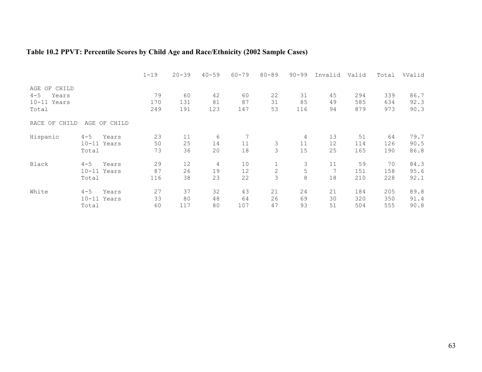## **Table 10.2 PPVT: Percentile Scores by Child Age and Race/Ethnicity (2002 Sample Cases)**

|                    |                  | $1 - 19$ | $20 - 39$ | $40 - 59$ | $60 - 79$ | $80 - 89$    | $90 - 99$ | Invalid | Valid | Total | %Valid |
|--------------------|------------------|----------|-----------|-----------|-----------|--------------|-----------|---------|-------|-------|--------|
| AGE<br>OF<br>CHILD |                  |          |           |           |           |              |           |         |       |       |        |
| $4 - 5$<br>Years   |                  | 79       | 60        | 42        | 60        | 22           | 31        | 45      | 294   | 339   | 86.7   |
| 10-11 Years        |                  | 170      | 131       | 81        | 87        | 31           | 85        | 49      | 585   | 634   | 92.3   |
| Total              |                  | 249      | 191       | 123       | 147       | 53           | 116       | 94      | 879   | 973   | 90.3   |
| RACE OF CHILD      | AGE<br>OF CHILD  |          |           |           |           |              |           |         |       |       |        |
| Hispanic           | $4 - 5$<br>Years | 23       | 11        | 6         | 7         |              | 4         | 13      | 51    | 64    | 79.7   |
|                    | 10-11 Years      | 50       | 25        | 14        | 11        | $\mathsf 3$  | 11        | 12      | 114   | 126   | 90.5   |
|                    | Total            | 73       | 36        | 20        | 18        | 3            | 15        | 25      | 165   | 190   | 86.8   |
| Black              | $4 - 5$<br>Years | 29       | 12        | 4         | 10        | $\mathbf{1}$ | 3         | 11      | 59    | 70    | 84.3   |
|                    | $10-11$ Years    | 87       | 26        | 19        | 12        | $\mathbf{2}$ | 5         | 7       | 151   | 158   | 95.6   |
|                    | Total            | 116      | 38        | 23        | 22        | 3            | 8         | 18      | 210   | 228   | 92.1   |
| White              | $4 - 5$<br>Years | 27       | 37        | 32        | 43        | 21           | 24        | 21      | 184   | 205   | 89.8   |
|                    | 10-11 Years      | 33       | 80        | 48        | 64        | 26           | 69        | 30      | 320   | 350   | 91.4   |
|                    | Total            | 60       | 117       | 80        | 107       | 47           | 93        | 51      | 504   | 555   | 90.8   |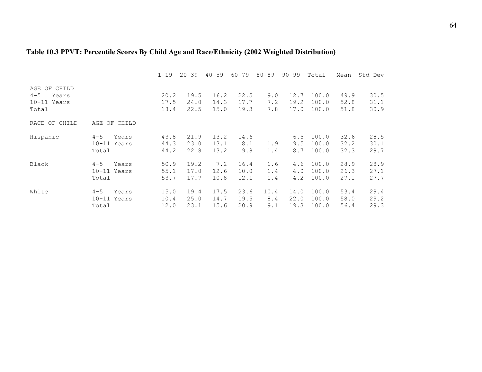# **Table 10.3 PPVT: Percentile Scores By Child Age and Race/Ethnicity (2002 Weighted Distribution)**

|                                                          |                                            | $1 - 19$             | $20 - 39$            | $40 - 59$            | $60 - 79$            | $80 - 89$          | $90 - 99$            | Total                   | Mean                 | Std Dev              |
|----------------------------------------------------------|--------------------------------------------|----------------------|----------------------|----------------------|----------------------|--------------------|----------------------|-------------------------|----------------------|----------------------|
| AGE OF CHILD<br>$4 - 5$<br>Years<br>10-11 Years<br>Total |                                            | 20.2<br>17.5<br>18.4 | 19.5<br>24.0<br>22.5 | 16.2<br>14.3<br>15.0 | 22.5<br>17.7<br>19.3 | 9.0<br>7.2<br>7.8  | 12.7<br>19.2<br>17.0 | 100.0<br>100.0<br>100.0 | 49.9<br>52.8<br>51.8 | 30.5<br>31.1<br>30.9 |
| RACE OF CHILD                                            | OF<br>AGE<br>CHILD                         |                      |                      |                      |                      |                    |                      |                         |                      |                      |
| Hispanic                                                 | $4 - 5$<br>Years<br>$10-11$ Years<br>Total | 43.8<br>44.3<br>44.2 | 21.9<br>23.0<br>22.8 | 13.2<br>13.1<br>13.2 | 14.6<br>8.1<br>9.8   | 1.9<br>1.4         | 6.5<br>9.5<br>8.7    | 100.0<br>100.0<br>100.0 | 32.6<br>32.2<br>32.3 | 28.5<br>30.1<br>29.7 |
| Black                                                    | $4 - 5$<br>Years<br>10-11 Years<br>Total   | 50.9<br>55.1<br>53.7 | 19.2<br>17.0<br>17.7 | 7.2<br>12.6<br>10.8  | 16.4<br>10.0<br>12.1 | 1.6<br>1.4<br>1.4  | 4.6<br>4.0<br>4.2    | 100.0<br>100.0<br>100.0 | 28.9<br>26.3<br>27.1 | 28.9<br>27.1<br>27.7 |
| White                                                    | $4 - 5$<br>Years<br>10-11 Years<br>Total   | 15.0<br>10.4<br>12.0 | 19.4<br>25.0<br>23.1 | 17.5<br>14.7<br>15.6 | 23.6<br>19.5<br>20.9 | 10.4<br>8.4<br>9.1 | 14.0<br>22.0<br>19.3 | 100.0<br>100.0<br>100.0 | 53.4<br>58.0<br>56.4 | 29.4<br>29.2<br>29.3 |